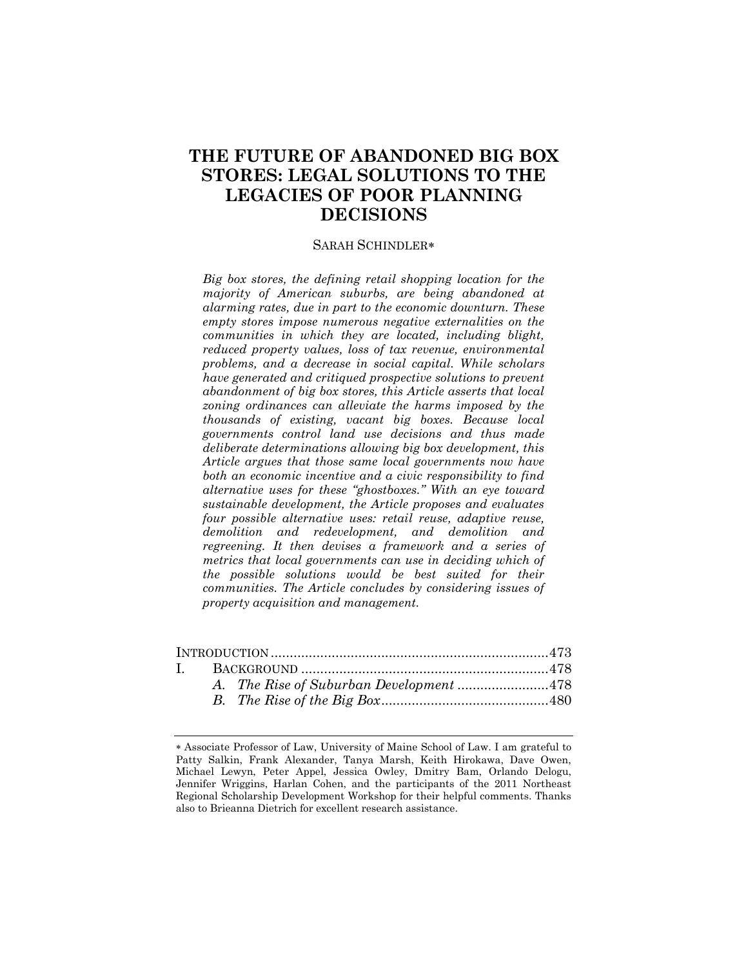# **THE FUTURE OF ABANDONED BIG BOX STORES: LEGAL SOLUTIONS TO THE LEGACIES OF POOR PLANNING DECISIONS**

#### SARAH SCHINDLER

*Big box stores, the defining retail shopping location for the majority of American suburbs, are being abandoned at alarming rates, due in part to the economic downturn. These empty stores impose numerous negative externalities on the communities in which they are located, including blight, reduced property values, loss of tax revenue, environmental problems, and a decrease in social capital. While scholars have generated and critiqued prospective solutions to prevent abandonment of big box stores, this Article asserts that local zoning ordinances can alleviate the harms imposed by the thousands of existing, vacant big boxes. Because local governments control land use decisions and thus made deliberate determinations allowing big box development, this Article argues that those same local governments now have both an economic incentive and a civic responsibility to find alternative uses for these "ghostboxes." With an eye toward sustainable development, the Article proposes and evaluates four possible alternative uses: retail reuse, adaptive reuse, demolition and redevelopment, and demolition and regreening. It then devises a framework and a series of metrics that local governments can use in deciding which of the possible solutions would be best suited for their communities. The Article concludes by considering issues of property acquisition and management.*

Associate Professor of Law, University of Maine School of Law. I am grateful to Patty Salkin, Frank Alexander, Tanya Marsh, Keith Hirokawa, Dave Owen, Michael Lewyn, Peter Appel, Jessica Owley, Dmitry Bam, Orlando Delogu, Jennifer Wriggins, Harlan Cohen, and the participants of the 2011 Northeast Regional Scholarship Development Workshop for their helpful comments. Thanks also to Brieanna Dietrich for excellent research assistance.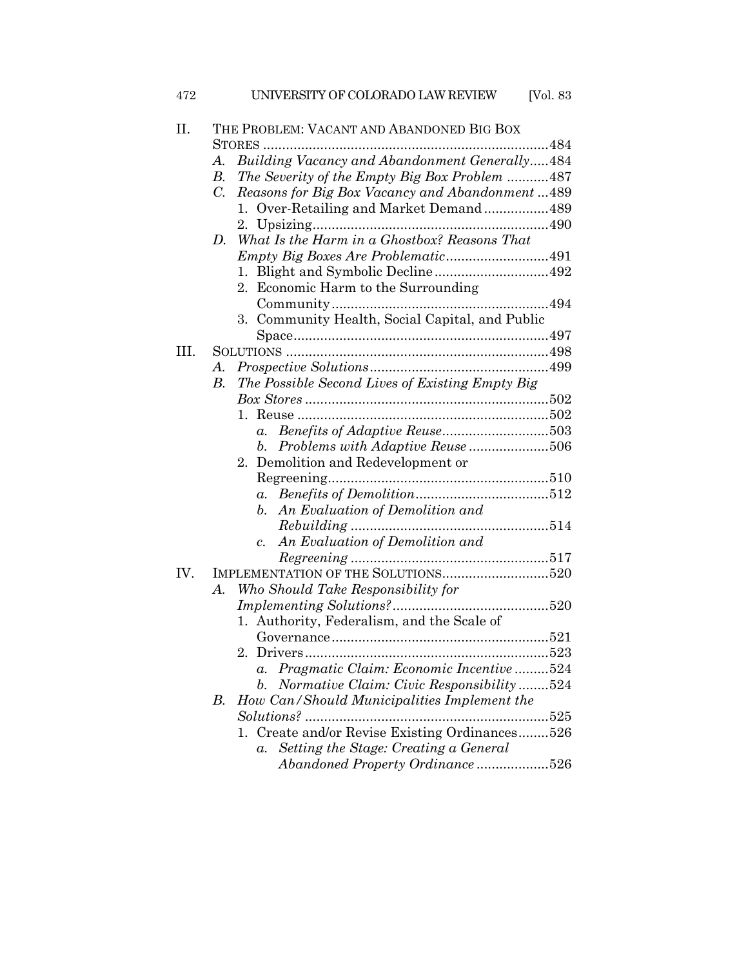| 472  | UNIVERSITY OF COLORADO LAW REVIEW<br>[ $Vol. 83$                                                    |  |  |  |
|------|-----------------------------------------------------------------------------------------------------|--|--|--|
| Π.   | THE PROBLEM: VACANT AND ABANDONED BIG BOX                                                           |  |  |  |
|      | Building Vacancy and Abandonment Generally484<br>А.                                                 |  |  |  |
|      | The Severity of the Empty Big Box Problem 487<br>В.                                                 |  |  |  |
|      | $C_{\cdot}$<br>Reasons for Big Box Vacancy and Abandonment489                                       |  |  |  |
|      | 1. Over-Retailing and Market Demand489                                                              |  |  |  |
|      |                                                                                                     |  |  |  |
|      | What Is the Harm in a Ghostbox? Reasons That<br>D.                                                  |  |  |  |
|      |                                                                                                     |  |  |  |
|      |                                                                                                     |  |  |  |
|      | 2. Economic Harm to the Surrounding                                                                 |  |  |  |
|      |                                                                                                     |  |  |  |
|      | 3. Community Health, Social Capital, and Public                                                     |  |  |  |
|      |                                                                                                     |  |  |  |
| III. |                                                                                                     |  |  |  |
|      | А.                                                                                                  |  |  |  |
|      | The Possible Second Lives of Existing Empty Big<br>В.                                               |  |  |  |
|      |                                                                                                     |  |  |  |
|      |                                                                                                     |  |  |  |
|      | $a_{\cdot}$                                                                                         |  |  |  |
|      | Problems with Adaptive Reuse 506<br>b.                                                              |  |  |  |
|      | 2. Demolition and Redevelopment or                                                                  |  |  |  |
|      |                                                                                                     |  |  |  |
|      |                                                                                                     |  |  |  |
|      | b. An Evaluation of Demolition and                                                                  |  |  |  |
|      |                                                                                                     |  |  |  |
|      | c. An Evaluation of Demolition and                                                                  |  |  |  |
|      |                                                                                                     |  |  |  |
| IV.  |                                                                                                     |  |  |  |
|      | Who Should Take Responsibility for<br>A.                                                            |  |  |  |
|      |                                                                                                     |  |  |  |
|      | 1. Authority, Federalism, and the Scale of                                                          |  |  |  |
|      |                                                                                                     |  |  |  |
|      | 2.                                                                                                  |  |  |  |
|      | Pragmatic Claim: Economic Incentive524<br>$\alpha$ .                                                |  |  |  |
|      | Normative Claim: Civic Responsibility524<br>b.<br>How Can/Should Municipalities Implement the<br>В. |  |  |  |
|      | Solutions?                                                                                          |  |  |  |
|      | 525<br>Create and/or Revise Existing Ordinances526                                                  |  |  |  |
|      | Setting the Stage: Creating a General<br>$\alpha$ .                                                 |  |  |  |
|      | Abandoned Property Ordinance526                                                                     |  |  |  |
|      |                                                                                                     |  |  |  |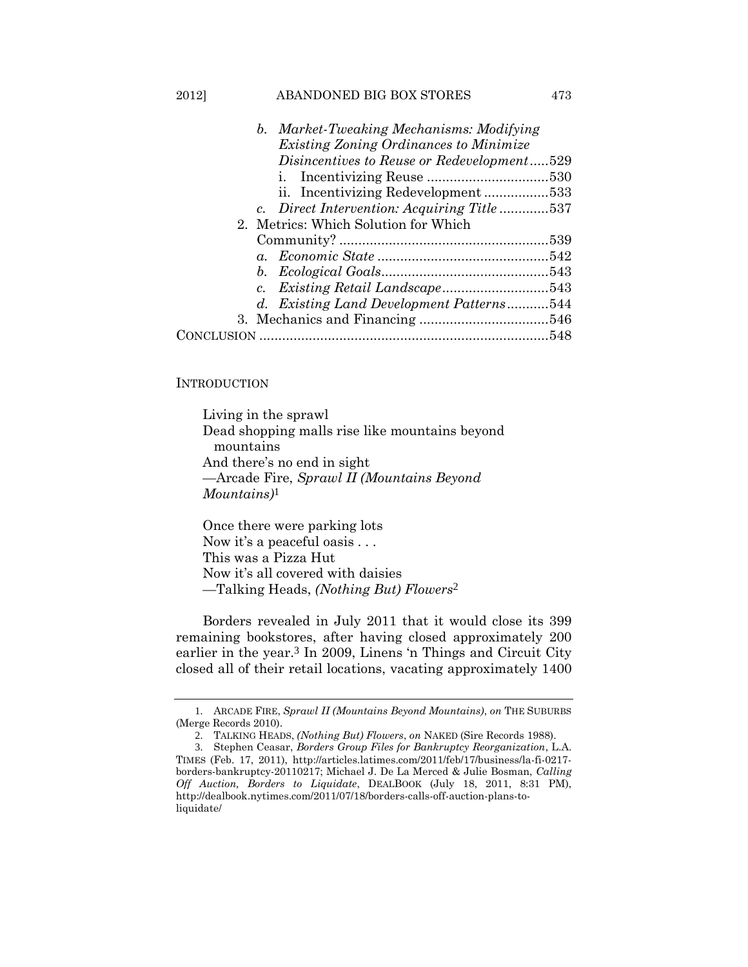| b. Market-Tweaking Mechanisms: Modifying      |  |
|-----------------------------------------------|--|
| <i>Existing Zoning Ordinances to Minimize</i> |  |
| Disincentives to Reuse or Redevelopment529    |  |
|                                               |  |
|                                               |  |
| c. Direct Intervention: Acquiring Title 537   |  |
| 2. Metrics: Which Solution for Which          |  |
|                                               |  |
|                                               |  |
|                                               |  |
|                                               |  |
| d. Existing Land Development Patterns544      |  |
|                                               |  |
|                                               |  |

2012] ABANDONED BIG BOX STORES 473

# **INTRODUCTION**

Living in the sprawl Dead shopping malls rise like mountains beyond mountains And there's no end in sight —Arcade Fire, *Sprawl II (Mountains Beyond Mountains)*1

Once there were parking lots Now it's a peaceful oasis . . . This was a Pizza Hut Now it's all covered with daisies —Talking Heads, *(Nothing But) Flowers*2

Borders revealed in July 2011 that it would close its 399 remaining bookstores, after having closed approximately 200 earlier in the year. 3 In 2009, Linens 'n Things and Circuit City closed all of their retail locations, vacating approximately 1400

<sup>1</sup>. ARCADE FIRE, *Sprawl II (Mountains Beyond Mountains)*, *on* THE SUBURBS (Merge Records 2010).

<sup>2</sup>. TALKING HEADS, *(Nothing But) Flowers*, *on* NAKED (Sire Records 1988).

<sup>3</sup>. Stephen Ceasar, *Borders Group Files for Bankruptcy Reorganization*, L.A. TIMES (Feb. 17, 2011), http://articles.latimes.com/2011/feb/17/business/la-fi-0217 borders-bankruptcy-20110217; Michael J. De La Merced & Julie Bosman, *Calling Off Auction, Borders to Liquidate*, DEALBOOK (July 18, 2011, 8:31 PM), http://dealbook.nytimes.com/2011/07/18/borders-calls-off-auction-plans-toliquidate/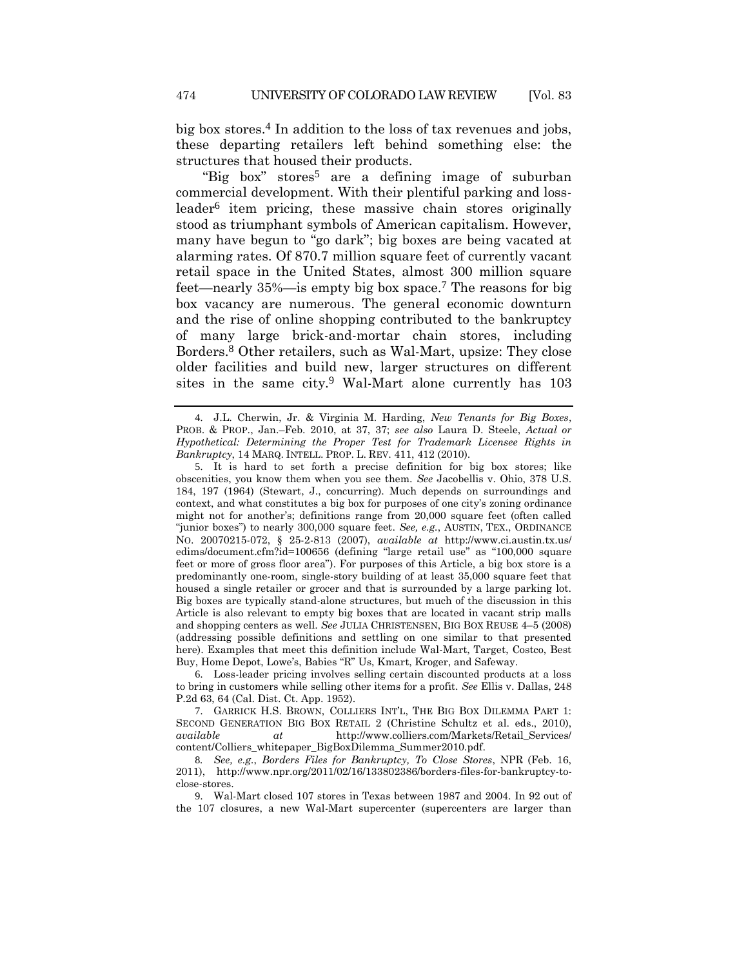<span id="page-3-4"></span>big box stores.4 In addition to the loss of tax revenues and jobs, these departing retailers left behind something else: the structures that housed their products.

<span id="page-3-2"></span><span id="page-3-0"></span>"Big box" stores<sup>5</sup> are a defining image of suburban commercial development. With their plentiful parking and lossleader6 item pricing, these massive chain stores originally stood as triumphant symbols of American capitalism. However, many have begun to "go dark"; big boxes are being vacated at alarming rates. Of 870.7 million square feet of currently vacant retail space in the United States, almost 300 million square feet—nearly 35%—is empty big box space.7 The reasons for big box vacancy are numerous. The general economic downturn and the rise of online shopping contributed to the bankruptcy of many large brick-and-mortar chain stores, including Borders.8 Other retailers, such as Wal-Mart, upsize: They close older facilities and build new, larger structures on different sites in the same city.<sup>9</sup> Wal-Mart alone currently has  $103$ 

<span id="page-3-3"></span><span id="page-3-1"></span><sup>4</sup>. J.L. Cherwin, Jr. & Virginia M. Harding, *New Tenants for Big Boxes*, PROB. & PROP., Jan.–Feb. 2010, at 37, 37; *see also* Laura D. Steele, *Actual or Hypothetical: Determining the Proper Test for Trademark Licensee Rights in Bankruptcy*, 14 MARQ. INTELL. PROP. L. REV. 411, 412 (2010).

<sup>5</sup>. It is hard to set forth a precise definition for big box stores; like obscenities, you know them when you see them. *See* Jacobellis v. Ohio, 378 U.S. 184, 197 (1964) (Stewart, J., concurring). Much depends on surroundings and context, and what constitutes a big box for purposes of one city's zoning ordinance might not for another's; definitions range from 20,000 square feet (often called "junior boxes") to nearly 300,000 square feet. *See, e.g.*, AUSTIN, TEX., ORDINANCE NO. 20070215-072, § 25-2-813 (2007), *available at* http://www.ci.austin.tx.us/ edims/document.cfm?id=100656 (defining "large retail use" as "100,000 square feet or more of gross floor area"). For purposes of this Article, a big box store is a predominantly one-room, single-story building of at least 35,000 square feet that housed a single retailer or grocer and that is surrounded by a large parking lot. Big boxes are typically stand-alone structures, but much of the discussion in this Article is also relevant to empty big boxes that are located in vacant strip malls and shopping centers as well. *See* JULIA CHRISTENSEN, BIG BOX REUSE 4–5 (2008) (addressing possible definitions and settling on one similar to that presented here). Examples that meet this definition include Wal-Mart, Target, Costco, Best Buy, Home Depot, Lowe's, Babies "R" Us, Kmart, Kroger, and Safeway.

<sup>6</sup>. Loss-leader pricing involves selling certain discounted products at a loss to bring in customers while selling other items for a profit. *See* Ellis v. Dallas, 248 P.2d 63, 64 (Cal. Dist. Ct. App. 1952).

<sup>7</sup>. GARRICK H.S. BROWN, COLLIERS INT'L, THE BIG BOX DILEMMA PART 1: SECOND GENERATION BIG BOX RETAIL 2 (Christine Schultz et al. eds., 2010), *available at* http://www.colliers.com/Markets/Retail\_Services/ content/Colliers\_whitepaper\_BigBoxDilemma\_Summer2010.pdf.

<sup>8</sup>*. See, e.g.*, *Borders Files for Bankruptcy, To Close Stores*, NPR (Feb. 16, 2011), http://www.npr.org/2011/02/16/133802386/borders-files-for-bankruptcy-toclose-stores.

<sup>9</sup>. Wal-Mart closed 107 stores in Texas between 1987 and 2004. In 92 out of the 107 closures, a new Wal-Mart supercenter (supercenters are larger than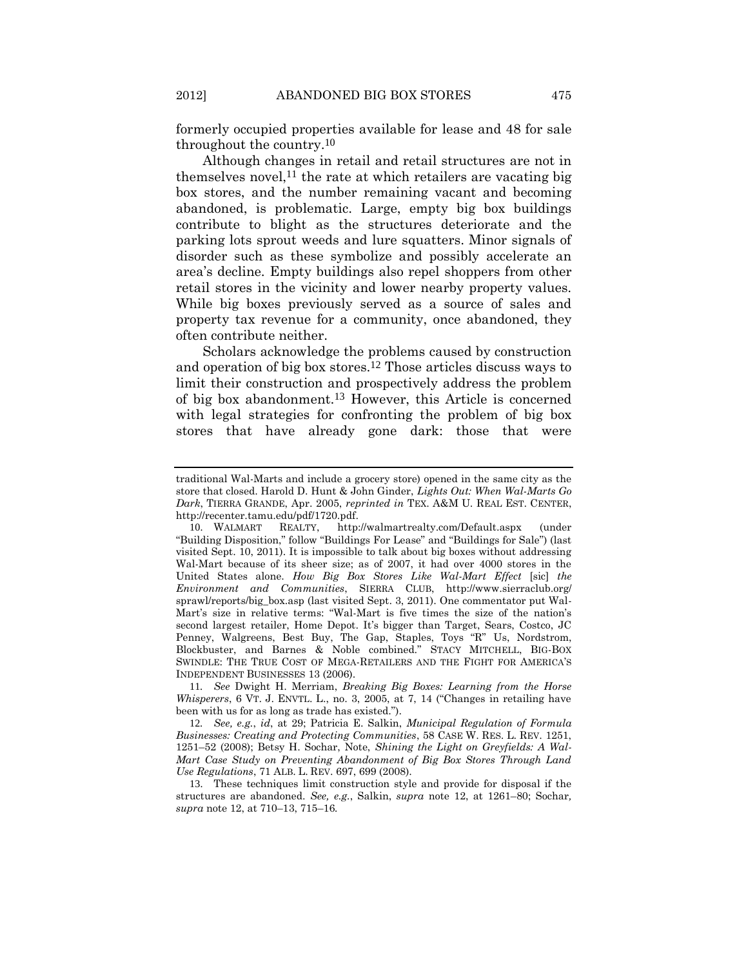<span id="page-4-2"></span>formerly occupied properties available for lease and 48 for sale throughout the country.10

<span id="page-4-1"></span>Although changes in retail and retail structures are not in themselves novel,<sup>11</sup> the rate at which retailers are vacating big box stores, and the number remaining vacant and becoming abandoned, is problematic. Large, empty big box buildings contribute to blight as the structures deteriorate and the parking lots sprout weeds and lure squatters. Minor signals of disorder such as these symbolize and possibly accelerate an area's decline. Empty buildings also repel shoppers from other retail stores in the vicinity and lower nearby property values. While big boxes previously served as a source of sales and property tax revenue for a community, once abandoned, they often contribute neither.

<span id="page-4-0"></span>Scholars acknowledge the problems caused by construction and operation of big box stores.12 Those articles discuss ways to limit their construction and prospectively address the problem of big box abandonment.13 However, this Article is concerned with legal strategies for confronting the problem of big box stores that have already gone dark: those that were

11*. See* Dwight H. Merriam, *Breaking Big Boxes: Learning from the Horse Whisperers*, 6 VT. J. ENVTL. L., no. 3, 2005, at 7, 14 ("Changes in retailing have been with us for as long as trade has existed.").

12*. See, e.g.*, *id*, at 29; Patricia E. Salkin, *Municipal Regulation of Formula Businesses: Creating and Protecting Communities*, 58 CASE W. RES. L. REV. 1251, 1251–52 (2008); Betsy H. Sochar, Note, *Shining the Light on Greyfields: A Wal-Mart Case Study on Preventing Abandonment of Big Box Stores Through Land Use Regulations*, 71 ALB. L. REV. 697, 699 (2008).

13. These techniques limit construction style and provide for disposal if the structures are abandoned. *See, e.g.*, Salkin, *supra* note [12,](#page-4-0) at 1261–80; Sochar*, supra* note [12,](#page-4-0) at 710–13, 715–16*.*

traditional Wal-Marts and include a grocery store) opened in the same city as the store that closed. Harold D. Hunt & John Ginder, *Lights Out: When Wal-Marts Go Dark*, TIERRA GRANDE, Apr. 2005, *reprinted in* TEX. A&M U. REAL EST. CENTER, http://recenter.tamu.edu/pdf/1720.pdf.

<sup>10</sup>. WALMART REALTY, http://walmartrealty.com/Default.aspx (under "Building Disposition," follow "Buildings For Lease" and "Buildings for Sale") (last visited Sept. 10, 2011). It is impossible to talk about big boxes without addressing Wal-Mart because of its sheer size; as of 2007, it had over 4000 stores in the United States alone. *How Big Box Stores Like Wal-Mart Effect* [sic] *the Environment and Communities*, SIERRA CLUB, http://www.sierraclub.org/ sprawl/reports/big\_box.asp (last visited Sept. 3, 2011). One commentator put Wal-Mart's size in relative terms: "Wal-Mart is five times the size of the nation's second largest retailer, Home Depot. It's bigger than Target, Sears, Costco, JC Penney, Walgreens, Best Buy, The Gap, Staples, Toys "R" Us, Nordstrom, Blockbuster, and Barnes & Noble combined." STACY MITCHELL, BIG-BOX SWINDLE: THE TRUE COST OF MEGA-RETAILERS AND THE FIGHT FOR AMERICA'S INDEPENDENT BUSINESSES 13 (2006).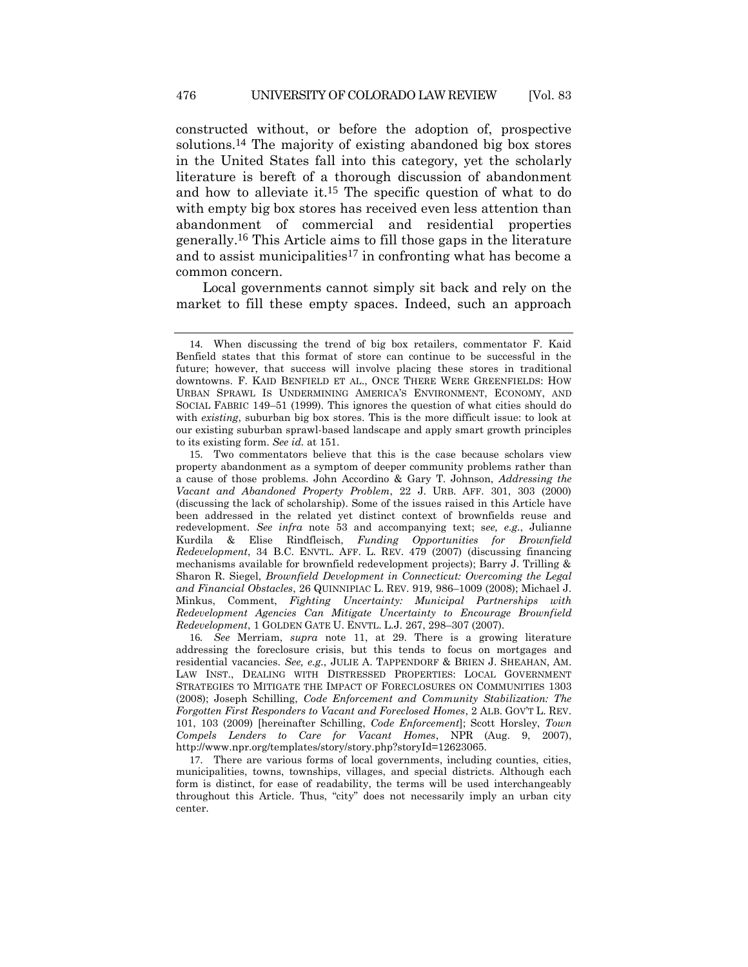<span id="page-5-1"></span><span id="page-5-0"></span>constructed without, or before the adoption of, prospective solutions.14 The majority of existing abandoned big box stores in the United States fall into this category, yet the scholarly literature is bereft of a thorough discussion of abandonment and how to alleviate it.15 The specific question of what to do with empty big box stores has received even less attention than abandonment of commercial and residential properties generally.16 This Article aims to fill those gaps in the literature and to assist municipalities<sup>17</sup> in confronting what has become a common concern.

<span id="page-5-2"></span>Local governments cannot simply sit back and rely on the market to fill these empty spaces. Indeed, such an approach

<sup>14</sup>. When discussing the trend of big box retailers, commentator F. Kaid Benfield states that this format of store can continue to be successful in the future; however, that success will involve placing these stores in traditional downtowns. F. KAID BENFIELD ET AL., ONCE THERE WERE GREENFIELDS: HOW URBAN SPRAWL IS UNDERMINING AMERICA'S ENVIRONMENT, ECONOMY, AND SOCIAL FABRIC 149–51 (1999). This ignores the question of what cities should do with *existing*, suburban big box stores. This is the more difficult issue: to look at our existing suburban sprawl-based landscape and apply smart growth principles to its existing form. *See id.* at 151.

<sup>15</sup>. Two commentators believe that this is the case because scholars view property abandonment as a symptom of deeper community problems rather than a cause of those problems. John Accordino & Gary T. Johnson, *Addressing the Vacant and Abandoned Property Problem*, 22 J. URB. AFF. 301, 303 (2000) (discussing the lack of scholarship). Some of the issues raised in this Article have been addressed in the related yet distinct context of brownfields reuse and redevelopment. *See infra* note [53](#page-14-0) and accompanying text; s*ee, e.g.*, Julianne Kurdila & Elise Rindfleisch, *Funding Opportunities for Brownfield Redevelopment*, 34 B.C. ENVTL. AFF. L. REV. 479 (2007) (discussing financing mechanisms available for brownfield redevelopment projects); Barry J. Trilling & Sharon R. Siegel, *Brownfield Development in Connecticut: Overcoming the Legal and Financial Obstacles*, 26 QUINNIPIAC L. REV. 919, 986–1009 (2008); Michael J. Minkus, Comment, *Fighting Uncertainty: Municipal Partnerships with Redevelopment Agencies Can Mitigate Uncertainty to Encourage Brownfield Redevelopment*, 1 GOLDEN GATE U. ENVTL. L.J. 267, 298–307 (2007).

<sup>16</sup>*. See* Merriam, *supra* note [11,](#page-4-1) at 29. There is a growing literature addressing the foreclosure crisis, but this tends to focus on mortgages and residential vacancies. *See, e.g.*, JULIE A. TAPPENDORF & BRIEN J. SHEAHAN, AM. LAW INST., DEALING WITH DISTRESSED PROPERTIES: LOCAL GOVERNMENT STRATEGIES TO MITIGATE THE IMPACT OF FORECLOSURES ON COMMUNITIES 1303 (2008); Joseph Schilling, *Code Enforcement and Community Stabilization: The Forgotten First Responders to Vacant and Foreclosed Homes*, 2 ALB. GOV'T L. REV. 101, 103 (2009) [hereinafter Schilling, *Code Enforcement*]; Scott Horsley, *Town Compels Lenders to Care for Vacant Homes*, NPR (Aug. 9, 2007), http://www.npr.org/templates/story/story.php?storyId=12623065.

<sup>17</sup>. There are various forms of local governments, including counties, cities, municipalities, towns, townships, villages, and special districts. Although each form is distinct, for ease of readability, the terms will be used interchangeably throughout this Article. Thus, "city" does not necessarily imply an urban city center.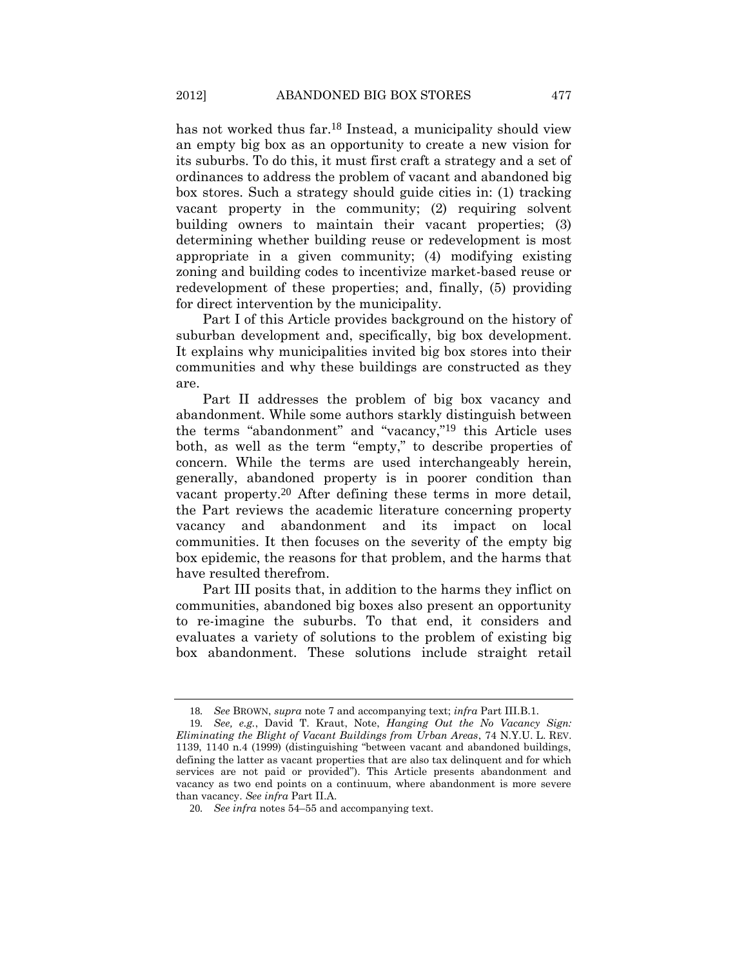has not worked thus far.<sup>18</sup> Instead, a municipality should view an empty big box as an opportunity to create a new vision for its suburbs. To do this, it must first craft a strategy and a set of ordinances to address the problem of vacant and abandoned big box stores. Such a strategy should guide cities in: (1) tracking vacant property in the community; (2) requiring solvent building owners to maintain their vacant properties; (3) determining whether building reuse or redevelopment is most appropriate in a given community; (4) modifying existing zoning and building codes to incentivize market-based reuse or redevelopment of these properties; and, finally, (5) providing for direct intervention by the municipality.

Part I of this Article provides background on the history of suburban development and, specifically, big box development. It explains why municipalities invited big box stores into their communities and why these buildings are constructed as they are.

<span id="page-6-0"></span>Part II addresses the problem of big box vacancy and abandonment. While some authors starkly distinguish between the terms "abandonment" and "vacancy,"19 this Article uses both, as well as the term "empty," to describe properties of concern. While the terms are used interchangeably herein, generally, abandoned property is in poorer condition than vacant property.20 After defining these terms in more detail, the Part reviews the academic literature concerning property vacancy and abandonment and its impact on local communities. It then focuses on the severity of the empty big box epidemic, the reasons for that problem, and the harms that have resulted therefrom.

Part III posits that, in addition to the harms they inflict on communities, abandoned big boxes also present an opportunity to re-imagine the suburbs. To that end, it considers and evaluates a variety of solutions to the problem of existing big box abandonment. These solutions include straight retail

<sup>18</sup>*. See* BROWN, *supra* not[e 7](#page-3-0) and accompanying text; *infra* Part III.B.1.

<sup>19</sup>*. See, e.g.*, David T. Kraut, Note, *Hanging Out the No Vacancy Sign: Eliminating the Blight of Vacant Buildings from Urban Areas*, 74 N.Y.U. L. REV. 1139, 1140 n.4 (1999) (distinguishing "between vacant and abandoned buildings, defining the latter as vacant properties that are also tax delinquent and for which services are not paid or provided"). This Article presents abandonment and vacancy as two end points on a continuum, where abandonment is more severe than vacancy. *See infra* Part II.A.

<sup>20</sup>*. See infra* note[s 54](#page-14-1)–[55](#page-15-0) and accompanying text.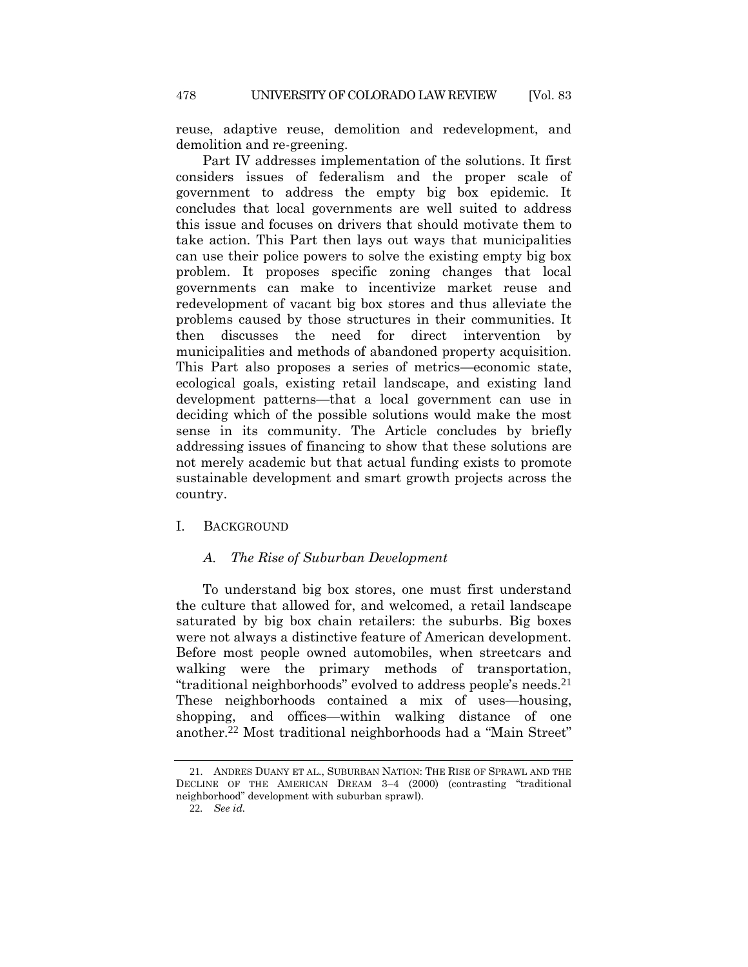reuse, adaptive reuse, demolition and redevelopment, and demolition and re-greening.

Part IV addresses implementation of the solutions. It first considers issues of federalism and the proper scale of government to address the empty big box epidemic. It concludes that local governments are well suited to address this issue and focuses on drivers that should motivate them to take action. This Part then lays out ways that municipalities can use their police powers to solve the existing empty big box problem. It proposes specific zoning changes that local governments can make to incentivize market reuse and redevelopment of vacant big box stores and thus alleviate the problems caused by those structures in their communities. It then discusses the need for direct intervention by municipalities and methods of abandoned property acquisition. This Part also proposes a series of metrics—economic state, ecological goals, existing retail landscape, and existing land development patterns—that a local government can use in deciding which of the possible solutions would make the most sense in its community. The Article concludes by briefly addressing issues of financing to show that these solutions are not merely academic but that actual funding exists to promote sustainable development and smart growth projects across the country.

## I. BACKGROUND

# <span id="page-7-0"></span>*A. The Rise of Suburban Development*

To understand big box stores, one must first understand the culture that allowed for, and welcomed, a retail landscape saturated by big box chain retailers: the suburbs. Big boxes were not always a distinctive feature of American development. Before most people owned automobiles, when streetcars and walking were the primary methods of transportation, "traditional neighborhoods" evolved to address people's needs.21 These neighborhoods contained a mix of uses—housing, shopping, and offices—within walking distance of one another.22 Most traditional neighborhoods had a "Main Street"

<sup>21</sup>. ANDRES DUANY ET AL., SUBURBAN NATION: THE RISE OF SPRAWL AND THE DECLINE OF THE AMERICAN DREAM 3–4 (2000) (contrasting "traditional neighborhood" development with suburban sprawl).

<sup>22</sup>*. See id.*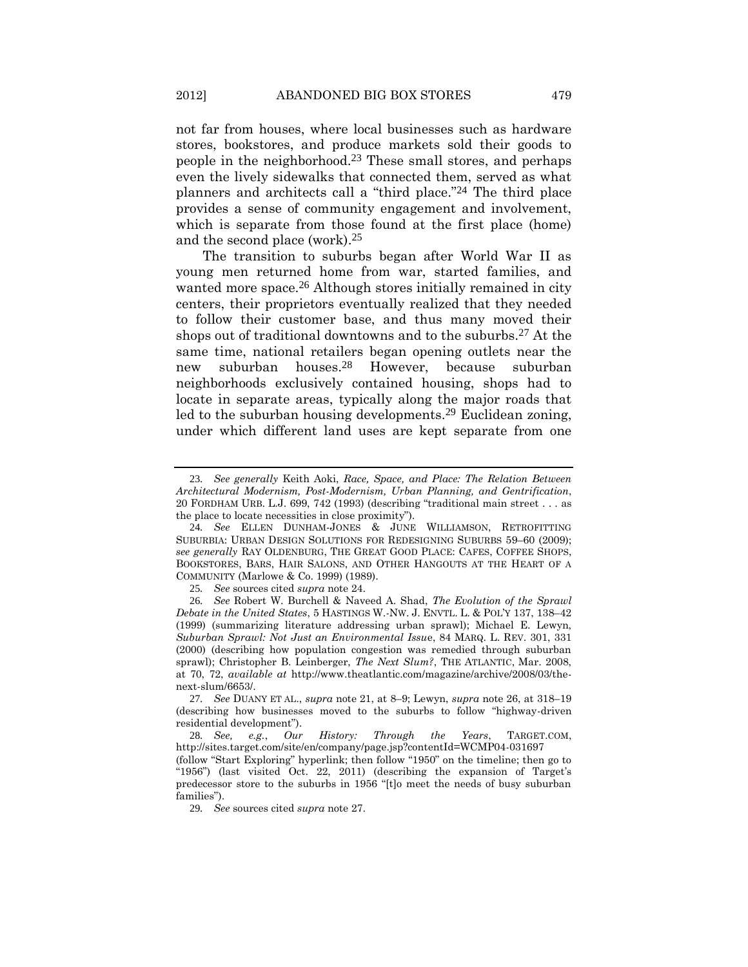<span id="page-8-0"></span>not far from houses, where local businesses such as hardware stores, bookstores, and produce markets sold their goods to people in the neighborhood.23 These small stores, and perhaps even the lively sidewalks that connected them, served as what planners and architects call a "third place."24 The third place provides a sense of community engagement and involvement, which is separate from those found at the first place (home) and the second place (work).25

<span id="page-8-3"></span><span id="page-8-2"></span><span id="page-8-1"></span>The transition to suburbs began after World War II as young men returned home from war, started families, and wanted more space.<sup>26</sup> Although stores initially remained in city centers, their proprietors eventually realized that they needed to follow their customer base, and thus many moved their shops out of traditional downtowns and to the suburbs.27 At the same time, national retailers began opening outlets near the new suburban houses.28 However, because suburban neighborhoods exclusively contained housing, shops had to locate in separate areas, typically along the major roads that led to the suburban housing developments.29 Euclidean zoning, under which different land uses are kept separate from one

<sup>23</sup>*. See generally* Keith Aoki, *Race, Space, and Place: The Relation Between Architectural Modernism, Post-Modernism, Urban Planning, and Gentrification*, 20 FORDHAM URB. L.J. 699, 742 (1993) (describing "traditional main street . . . as the place to locate necessities in close proximity").

<sup>24</sup>*. See* ELLEN DUNHAM-JONES & JUNE WILLIAMSON, RETROFITTING SUBURBIA: URBAN DESIGN SOLUTIONS FOR REDESIGNING SUBURBS 59–60 (2009); *see generally* RAY OLDENBURG, THE GREAT GOOD PLACE: CAFES, COFFEE SHOPS, BOOKSTORES, BARS, HAIR SALONS, AND OTHER HANGOUTS AT THE HEART OF A COMMUNITY (Marlowe & Co. 1999) (1989).

<sup>25</sup>*. See* sources cited *supra* not[e 24.](#page-8-0)

<sup>26</sup>*. See* Robert W. Burchell & Naveed A. Shad, *The Evolution of the Sprawl Debate in the United States*, 5 HASTINGS W.-NW. J. ENVTL. L. & POL'Y 137, 138–42 (1999) (summarizing literature addressing urban sprawl); Michael E. Lewyn, *Suburban Sprawl: Not Just an Environmental Issu*e, 84 MARQ. L. REV. 301, 331 (2000) (describing how population congestion was remedied through suburban sprawl); Christopher B. Leinberger, *The Next Slum?*, THE ATLANTIC, Mar. 2008, at 70, 72, *available at* http://www.theatlantic.com/magazine/archive/2008/03/thenext-slum/6653/.

<sup>27</sup>*. See* DUANY ET AL., *supra* not[e 21,](#page-7-0) at 8–9; Lewyn, *supra* not[e 26,](#page-8-1) at 318–19 (describing how businesses moved to the suburbs to follow "highway-driven residential development").

<sup>28</sup>*. See, e.g.*, *Our History: Through the Years*, TARGET.COM, http://sites.target.com/site/en/company/page.jsp?contentId=WCMP04-031697

<sup>(</sup>follow "Start Exploring" hyperlink; then follow "1950" on the timeline; then go to "1956") (last visited Oct. 22, 2011) (describing the expansion of Target's predecessor store to the suburbs in 1956 "[t]o meet the needs of busy suburban families").

<sup>29</sup>*. See* sources cited *supra* not[e 27.](#page-8-2)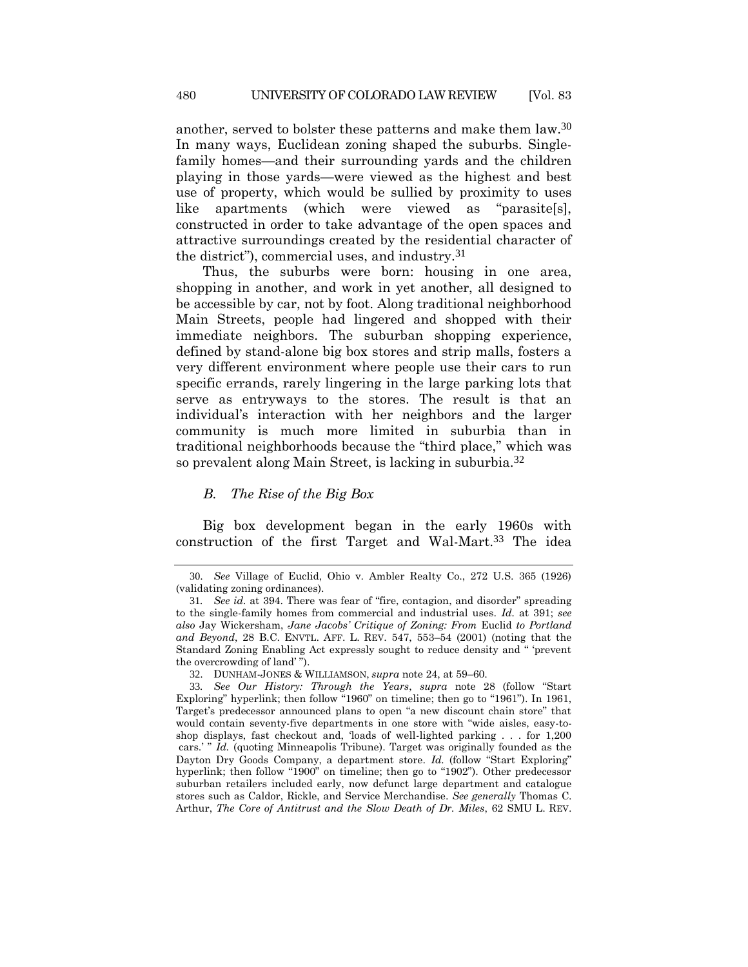another, served to bolster these patterns and make them law.30 In many ways, Euclidean zoning shaped the suburbs. Singlefamily homes—and their surrounding yards and the children playing in those yards—were viewed as the highest and best use of property, which would be sullied by proximity to uses like apartments (which were viewed as "parasite[s], constructed in order to take advantage of the open spaces and attractive surroundings created by the residential character of the district"), commercial uses, and industry.31

Thus, the suburbs were born: housing in one area, shopping in another, and work in yet another, all designed to be accessible by car, not by foot. Along traditional neighborhood Main Streets, people had lingered and shopped with their immediate neighbors. The suburban shopping experience, defined by stand-alone big box stores and strip malls, fosters a very different environment where people use their cars to run specific errands, rarely lingering in the large parking lots that serve as entryways to the stores. The result is that an individual's interaction with her neighbors and the larger community is much more limited in suburbia than in traditional neighborhoods because the "third place," which was so prevalent along Main Street, is lacking in suburbia.32

# <span id="page-9-0"></span>*B. The Rise of the Big Box*

Big box development began in the early 1960s with construction of the first Target and Wal-Mart.33 The idea

<sup>30</sup>. *See* Village of Euclid, Ohio v. Ambler Realty Co., 272 U.S. 365 (1926) (validating zoning ordinances).

<sup>31</sup>*. See id.* at 394. There was fear of "fire, contagion, and disorder" spreading to the single-family homes from commercial and industrial uses. *Id.* at 391; *see also* Jay Wickersham, *Jane Jacobs' Critique of Zoning: From* Euclid *to Portland and Beyond*, 28 B.C. ENVTL. AFF. L. REV. 547, 553–54 (2001) (noting that the Standard Zoning Enabling Act expressly sought to reduce density and " 'prevent the overcrowding of land' ").

<sup>32</sup>. DUNHAM-JONES & WILLIAMSON, *supra* not[e 24,](#page-8-0) at 59–60.

<sup>33</sup>*. See Our History: Through the Years*, *supra* note [28](#page-8-3) (follow "Start Exploring" hyperlink; then follow "1960" on timeline; then go to "1961"). In 1961, Target's predecessor announced plans to open "a new discount chain store" that would contain seventy-five departments in one store with "wide aisles, easy-toshop displays, fast checkout and, 'loads of well-lighted parking . . . for 1,200 cars.' " *Id.* (quoting Minneapolis Tribune). Target was originally founded as the Dayton Dry Goods Company, a department store. *Id.* (follow "Start Exploring" hyperlink; then follow "1900" on timeline; then go to "1902"). Other predecessor suburban retailers included early, now defunct large department and catalogue stores such as Caldor, Rickle, and Service Merchandise. *See generally* Thomas C. Arthur, *The Core of Antitrust and the Slow Death of Dr. Miles*, 62 SMU L. REV.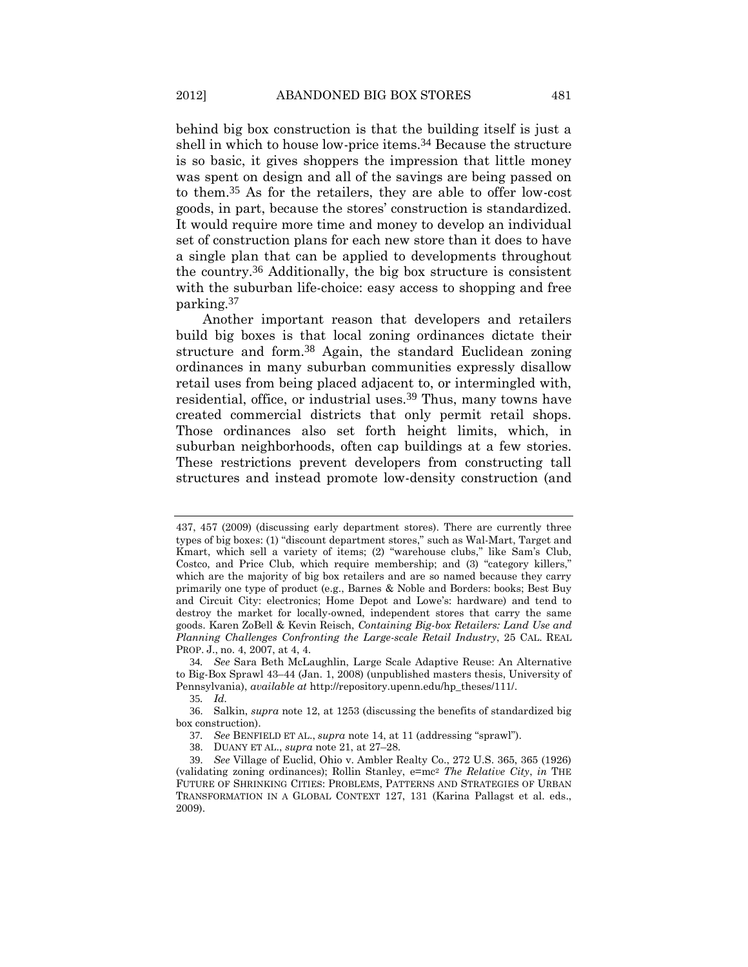behind big box construction is that the building itself is just a shell in which to house low-price items.34 Because the structure is so basic, it gives shoppers the impression that little money was spent on design and all of the savings are being passed on to them.35 As for the retailers, they are able to offer low-cost goods, in part, because the stores' construction is standardized. It would require more time and money to develop an individual set of construction plans for each new store than it does to have a single plan that can be applied to developments throughout the country.36 Additionally, the big box structure is consistent with the suburban life-choice: easy access to shopping and free

Another important reason that developers and retailers build big boxes is that local zoning ordinances dictate their structure and form.<sup>38</sup> Again, the standard Euclidean zoning ordinances in many suburban communities expressly disallow retail uses from being placed adjacent to, or intermingled with, residential, office, or industrial uses.<sup>39</sup> Thus, many towns have created commercial districts that only permit retail shops. Those ordinances also set forth height limits, which, in suburban neighborhoods, often cap buildings at a few stories. These restrictions prevent developers from constructing tall structures and instead promote low-density construction (and

parking.37

<sup>437,</sup> 457 (2009) (discussing early department stores). There are currently three types of big boxes: (1) "discount department stores," such as Wal-Mart, Target and Kmart, which sell a variety of items; (2) "warehouse clubs," like Sam's Club, Costco, and Price Club, which require membership; and (3) "category killers," which are the majority of big box retailers and are so named because they carry primarily one type of product (e.g., Barnes & Noble and Borders: books; Best Buy and Circuit City: electronics; Home Depot and Lowe's: hardware) and tend to destroy the market for locally-owned, independent stores that carry the same goods. Karen ZoBell & Kevin Reisch, *Containing Big-box Retailers: Land Use and Planning Challenges Confronting the Large-scale Retail Industry*, 25 CAL. REAL PROP. J., no. 4, 2007, at 4, 4.

<sup>34</sup>*. See* Sara Beth McLaughlin, Large Scale Adaptive Reuse: An Alternative to Big-Box Sprawl 43–44 (Jan. 1, 2008) (unpublished masters thesis, University of Pennsylvania), *available at* http://repository.upenn.edu/hp\_theses/111/.

<sup>35</sup>*. Id.*

<sup>36</sup>. Salkin, *supra* note [12,](#page-4-0) at 1253 (discussing the benefits of standardized big box construction).

<sup>37</sup>*. See* BENFIELD ET AL., *supra* not[e 14](#page-5-0), at 11 (addressing "sprawl").

<sup>38</sup>. DUANY ET AL., *supra* not[e 21,](#page-7-0) at 27–28.

<sup>39</sup>. *See* Village of Euclid, Ohio v. Ambler Realty Co., 272 U.S. 365, 365 (1926) (validating zoning ordinances); Rollin Stanley, e=mc<sup>2</sup> *The Relative City*, *in* THE FUTURE OF SHRINKING CITIES: PROBLEMS, PATTERNS AND STRATEGIES OF URBAN TRANSFORMATION IN A GLOBAL CONTEXT 127, 131 (Karina Pallagst et al. eds., 2009).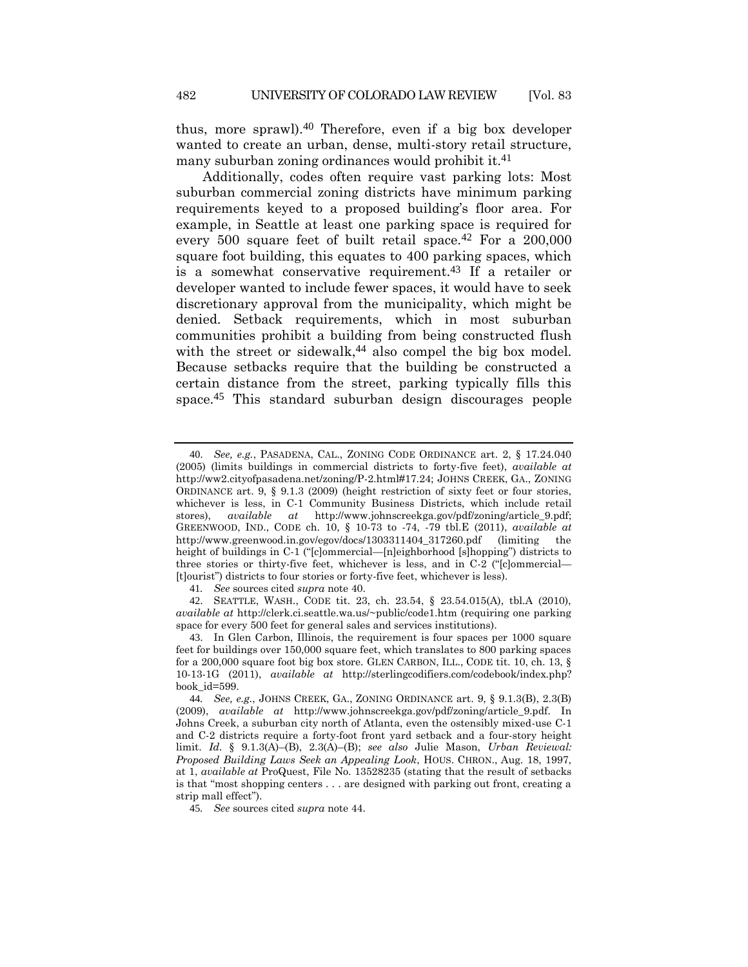<span id="page-11-0"></span>thus, more sprawl).40 Therefore, even if a big box developer wanted to create an urban, dense, multi-story retail structure, many suburban zoning ordinances would prohibit it.<sup>41</sup>

Additionally, codes often require vast parking lots: Most suburban commercial zoning districts have minimum parking requirements keyed to a proposed building's floor area. For example, in Seattle at least one parking space is required for every 500 square feet of built retail space.<sup>42</sup> For a 200,000 square foot building, this equates to 400 parking spaces, which is a somewhat conservative requirement.43 If a retailer or developer wanted to include fewer spaces, it would have to seek discretionary approval from the municipality, which might be denied. Setback requirements, which in most suburban communities prohibit a building from being constructed flush with the street or sidewalk,<sup>44</sup> also compel the big box model. Because setbacks require that the building be constructed a certain distance from the street, parking typically fills this space.45 This standard suburban design discourages people

<span id="page-11-1"></span><sup>40</sup>. *See, e.g.*, PASADENA, CAL., ZONING CODE ORDINANCE art. 2, § 17.24.040 (2005) (limits buildings in commercial districts to forty-five feet), *available at* http://ww2.cityofpasadena.net/zoning/P-2.html#17.24; JOHNS CREEK, GA., ZONING ORDINANCE art. 9, § 9.1.3 (2009) (height restriction of sixty feet or four stories, whichever is less, in C-1 Community Business Districts, which include retail stores), *available at* http://www.johnscreekga.gov/pdf/zoning/article\_9.pdf; GREENWOOD, IND., CODE ch. 10, § 10-73 to -74, -79 tbl.E (2011), *available at* http://www.greenwood.in.gov/egov/docs/1303311404\_317260.pdf (limiting the height of buildings in C-1 ("[c]ommercial—[n]eighborhood [s]hopping") districts to three stories or thirty-five feet, whichever is less, and in C-2 ("[c]ommercial— [t]ourist") districts to four stories or forty-five feet, whichever is less).

<sup>41</sup>*. See* sources cited *supra* not[e 40.](#page-11-0)

<sup>42</sup>. SEATTLE, WASH., CODE tit. 23, ch. 23.54, § 23.54.015(A), tbl.A (2010), *available at* http://clerk.ci.seattle.wa.us/~public/code1.htm (requiring one parking space for every 500 feet for general sales and services institutions).

<sup>43</sup>. In Glen Carbon, Illinois, the requirement is four spaces per 1000 square feet for buildings over 150,000 square feet, which translates to 800 parking spaces for a 200,000 square foot big box store. GLEN CARBON, ILL., CODE tit. 10, ch. 13, § 10-13-1G (2011), *available at* http://sterlingcodifiers.com/codebook/index.php? book\_id=599.

<sup>44</sup>*. See, e.g.*, JOHNS CREEK, GA., ZONING ORDINANCE art. 9, § 9.1.3(B), 2.3(B) (2009), *available at* http://www.johnscreekga.gov/pdf/zoning/article\_9.pdf. In Johns Creek, a suburban city north of Atlanta, even the ostensibly mixed-use C-1 and C-2 districts require a forty-foot front yard setback and a four-story height limit. *Id.* § 9.1.3(A)–(B), 2.3(A)–(B); *see also* Julie Mason, *Urban Reviewal: Proposed Building Laws Seek an Appealing Look*, HOUS. CHRON., Aug. 18, 1997, at 1, *available at* ProQuest, File No. 13528235 (stating that the result of setbacks is that "most shopping centers . . . are designed with parking out front, creating a strip mall effect").

<sup>45</sup>*. See* sources cited *supra* not[e 44.](#page-11-1)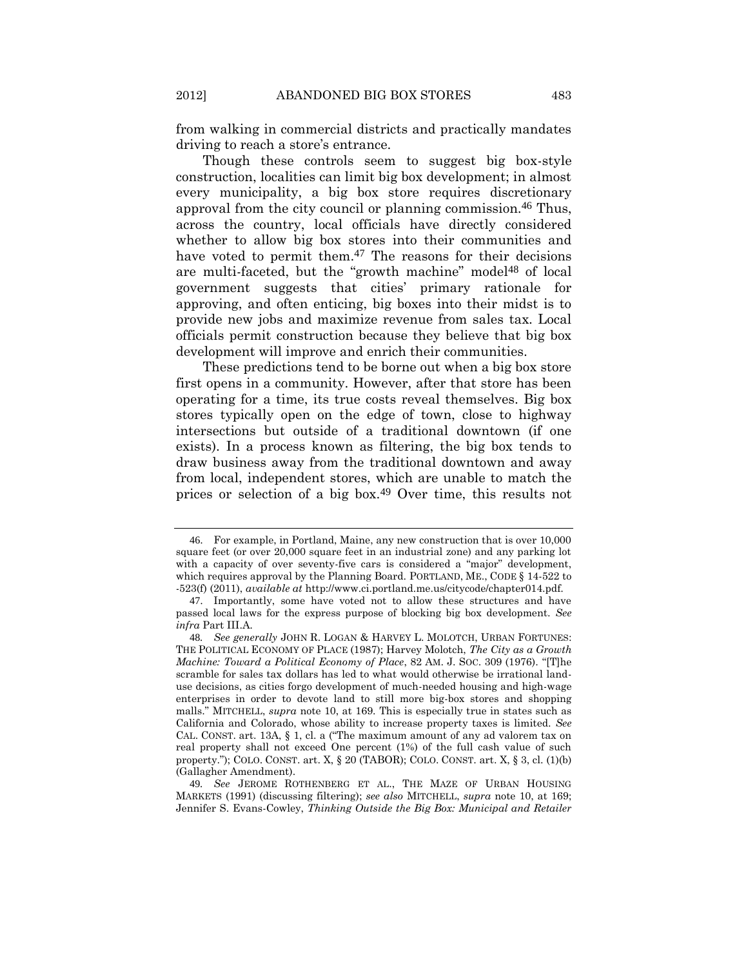from walking in commercial districts and practically mandates driving to reach a store's entrance.

Though these controls seem to suggest big box-style construction, localities can limit big box development; in almost every municipality, a big box store requires discretionary approval from the city council or planning commission.46 Thus, across the country, local officials have directly considered whether to allow big box stores into their communities and have voted to permit them.<sup>47</sup> The reasons for their decisions are multi-faceted, but the "growth machine" model<sup>48</sup> of local government suggests that cities' primary rationale for approving, and often enticing, big boxes into their midst is to provide new jobs and maximize revenue from sales tax. Local officials permit construction because they believe that big box development will improve and enrich their communities.

These predictions tend to be borne out when a big box store first opens in a community. However, after that store has been operating for a time, its true costs reveal themselves. Big box stores typically open on the edge of town, close to highway intersections but outside of a traditional downtown (if one exists). In a process known as filtering, the big box tends to draw business away from the traditional downtown and away from local, independent stores, which are unable to match the prices or selection of a big box.49 Over time, this results not

<span id="page-12-0"></span><sup>46</sup>. For example, in Portland, Maine, any new construction that is over 10,000 square feet (or over 20,000 square feet in an industrial zone) and any parking lot with a capacity of over seventy-five cars is considered a "major" development, which requires approval by the Planning Board. PORTLAND, ME., CODE § 14-522 to -523(f) (2011), *available at* http://www.ci.portland.me.us/citycode/chapter014.pdf.

<sup>47</sup>. Importantly, some have voted not to allow these structures and have passed local laws for the express purpose of blocking big box development. *See infra* Part III.A*.*

<sup>48</sup>*. See generally* JOHN R. LOGAN & HARVEY L. MOLOTCH, URBAN FORTUNES: THE POLITICAL ECONOMY OF PLACE (1987); Harvey Molotch, *The City as a Growth Machine: Toward a Political Economy of Place*, 82 AM. J. SOC. 309 (1976). "[T]he scramble for sales tax dollars has led to what would otherwise be irrational landuse decisions, as cities forgo development of much-needed housing and high-wage enterprises in order to devote land to still more big-box stores and shopping malls." MITCHELL, *supra* note [10,](#page-4-2) at 169. This is especially true in states such as California and Colorado, whose ability to increase property taxes is limited. *See*  CAL. CONST. art. 13A,  $\S$  1, cl. a ("The maximum amount of any ad valorem tax on real property shall not exceed One percent (1%) of the full cash value of such property."); COLO. CONST. art. X,  $\S$  20 (TABOR); COLO. CONST. art. X,  $\S$  3, cl. (1)(b) (Gallagher Amendment).

<sup>49</sup>*. See* JEROME ROTHENBERG ET AL., THE MAZE OF URBAN HOUSING MARKETS (1991) (discussing filtering); *see also* MITCHELL, *supra* note [10,](#page-4-2) at 169; Jennifer S. Evans-Cowley, *Thinking Outside the Big Box: Municipal and Retailer*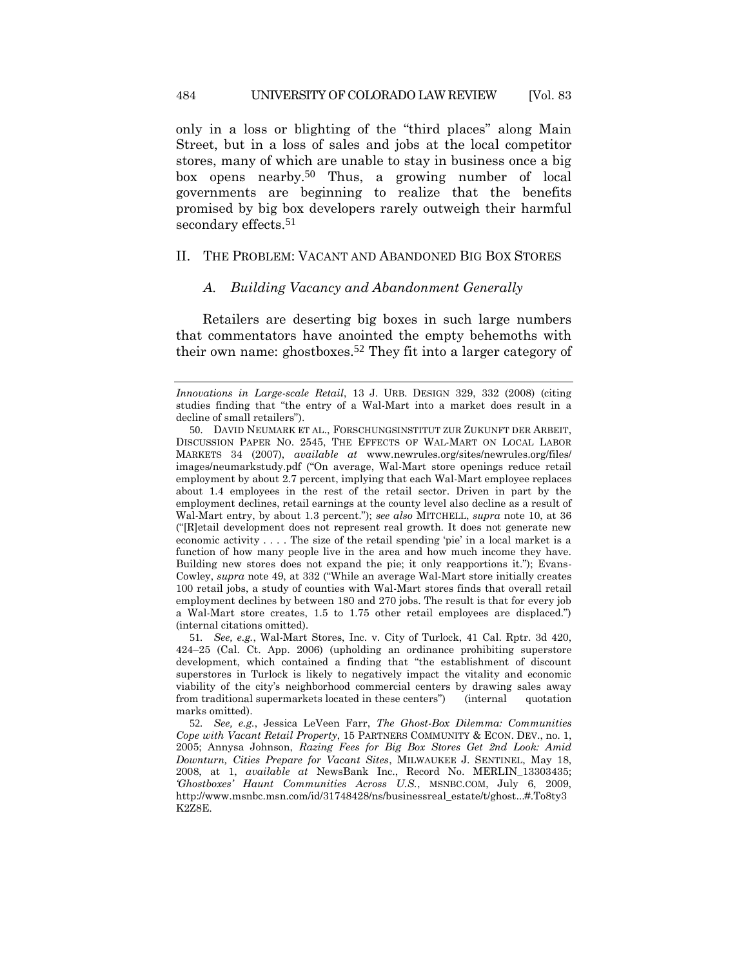only in a loss or blighting of the "third places" along Main Street, but in a loss of sales and jobs at the local competitor stores, many of which are unable to stay in business once a big box opens nearby.50 Thus, a growing number of local governments are beginning to realize that the benefits promised by big box developers rarely outweigh their harmful secondary effects.<sup>51</sup>

# II. THE PROBLEM: VACANT AND ABANDONED BIG BOX STORES

#### <span id="page-13-0"></span>*A. Building Vacancy and Abandonment Generally*

Retailers are deserting big boxes in such large numbers that commentators have anointed the empty behemoths with their own name: ghostboxes.52 They fit into a larger category of

*Innovations in Large-scale Retail*, 13 J. URB. DESIGN 329, 332 (2008) (citing studies finding that "the entry of a Wal-Mart into a market does result in a decline of small retailers").

<sup>50</sup>. DAVID NEUMARK ET AL., FORSCHUNGSINSTITUT ZUR ZUKUNFT DER ARBEIT, DISCUSSION PAPER NO. 2545, THE EFFECTS OF WAL-MART ON LOCAL LABOR MARKETS 34 (2007), *available at* www.newrules.org/sites/newrules.org/files/ images/neumarkstudy.pdf ("On average, Wal-Mart store openings reduce retail employment by about 2.7 percent, implying that each Wal-Mart employee replaces about 1.4 employees in the rest of the retail sector. Driven in part by the employment declines, retail earnings at the county level also decline as a result of Wal-Mart entry, by about 1.3 percent."); *see also* MITCHELL, *supra* note [10,](#page-4-2) at 36 ("[R]etail development does not represent real growth. It does not generate new economic activity . . . . The size of the retail spending 'pie' in a local market is a function of how many people live in the area and how much income they have. Building new stores does not expand the pie; it only reapportions it."); Evans-Cowley, *supra* note [49](#page-12-0), at 332 ("While an average Wal-Mart store initially creates 100 retail jobs, a study of counties with Wal-Mart stores finds that overall retail employment declines by between 180 and 270 jobs. The result is that for every job a Wal-Mart store creates, 1.5 to 1.75 other retail employees are displaced.") (internal citations omitted).

<sup>51</sup>*. See, e.g.*, Wal-Mart Stores, Inc. v. City of Turlock, 41 Cal. Rptr. 3d 420, 424–25 (Cal. Ct. App. 2006) (upholding an ordinance prohibiting superstore development, which contained a finding that "the establishment of discount superstores in Turlock is likely to negatively impact the vitality and economic viability of the city's neighborhood commercial centers by drawing sales away from traditional supermarkets located in these centers") (internal quotation marks omitted).

<sup>52</sup>*. See, e.g.*, Jessica LeVeen Farr, *The Ghost-Box Dilemma: Communities Cope with Vacant Retail Property*, 15 PARTNERS COMMUNITY & ECON. DEV., no. 1, 2005; Annysa Johnson, *Razing Fees for Big Box Stores Get 2nd Look: Amid Downturn, Cities Prepare for Vacant Sites*, MILWAUKEE J. SENTINEL, May 18, 2008, at 1, *available at* NewsBank Inc., Record No. MERLIN\_13303435; *'Ghostboxes' Haunt Communities Across U.S.*, MSNBC.COM, July 6, 2009, http://www.msnbc.msn.com/id/31748428/ns/businessreal\_estate/t/ghost...#.To8ty3 K2Z8E.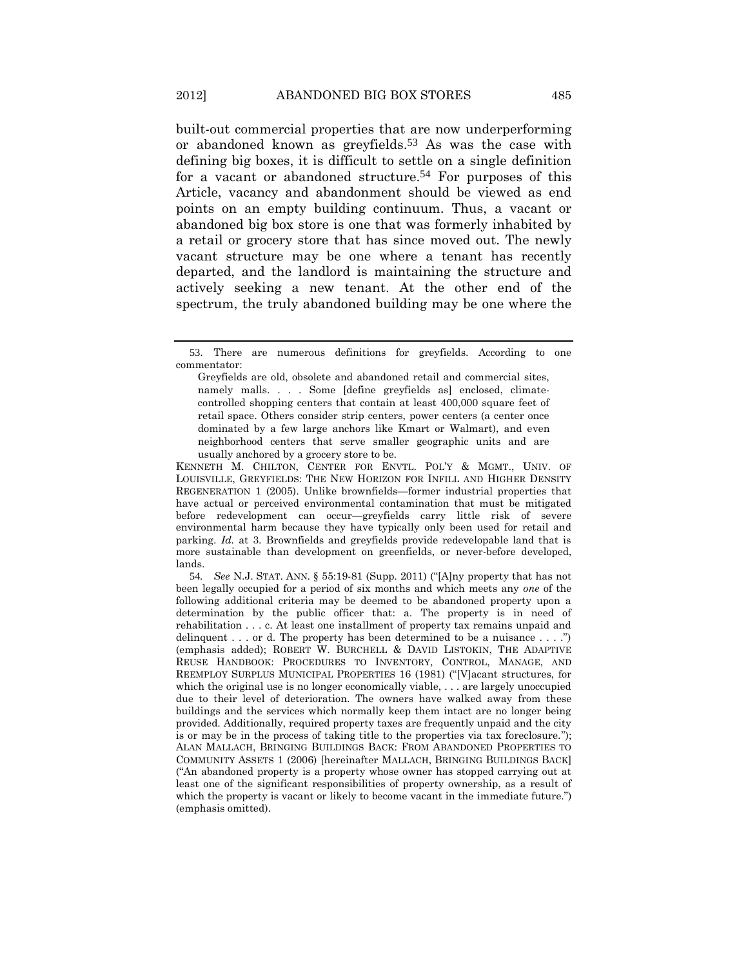<span id="page-14-1"></span><span id="page-14-0"></span>built-out commercial properties that are now underperforming or abandoned known as greyfields.53 As was the case with defining big boxes, it is difficult to settle on a single definition for a vacant or abandoned structure.54 For purposes of this Article, vacancy and abandonment should be viewed as end points on an empty building continuum. Thus, a vacant or abandoned big box store is one that was formerly inhabited by a retail or grocery store that has since moved out. The newly vacant structure may be one where a tenant has recently departed, and the landlord is maintaining the structure and actively seeking a new tenant. At the other end of the spectrum, the truly abandoned building may be one where the

KENNETH M. CHILTON, CENTER FOR ENVTL. POL'Y & MGMT., UNIV. OF LOUISVILLE, GREYFIELDS: THE NEW HORIZON FOR INFILL AND HIGHER DENSITY REGENERATION 1 (2005). Unlike brownfields—former industrial properties that have actual or perceived environmental contamination that must be mitigated before redevelopment can occur—greyfields carry little risk of severe environmental harm because they have typically only been used for retail and parking. *Id.* at 3. Brownfields and greyfields provide redevelopable land that is more sustainable than development on greenfields, or never-before developed, lands.

54*. See* N.J. STAT. ANN. § 55:19-81 (Supp. 2011) ("[A]ny property that has not been legally occupied for a period of six months and which meets any *one* of the following additional criteria may be deemed to be abandoned property upon a determination by the public officer that: a. The property is in need of rehabilitation . . . c. At least one installment of property tax remains unpaid and delinquent . . . or d. The property has been determined to be a nuisance . . . .") (emphasis added); ROBERT W. BURCHELL & DAVID LISTOKIN, THE ADAPTIVE REUSE HANDBOOK: PROCEDURES TO INVENTORY, CONTROL, MANAGE, AND REEMPLOY SURPLUS MUNICIPAL PROPERTIES 16 (1981) ("[V]acant structures, for which the original use is no longer economically viable, . . . are largely unoccupied due to their level of deterioration. The owners have walked away from these buildings and the services which normally keep them intact are no longer being provided. Additionally, required property taxes are frequently unpaid and the city is or may be in the process of taking title to the properties via tax foreclosure."); ALAN MALLACH, BRINGING BUILDINGS BACK: FROM ABANDONED PROPERTIES TO COMMUNITY ASSETS 1 (2006) [hereinafter MALLACH, BRINGING BUILDINGS BACK] ("An abandoned property is a property whose owner has stopped carrying out at least one of the significant responsibilities of property ownership, as a result of which the property is vacant or likely to become vacant in the immediate future.") (emphasis omitted).

<sup>53</sup>. There are numerous definitions for greyfields. According to one commentator:

Greyfields are old, obsolete and abandoned retail and commercial sites, namely malls. . . . Some [define greyfields as] enclosed, climatecontrolled shopping centers that contain at least 400,000 square feet of retail space. Others consider strip centers, power centers (a center once dominated by a few large anchors like Kmart or Walmart), and even neighborhood centers that serve smaller geographic units and are usually anchored by a grocery store to be.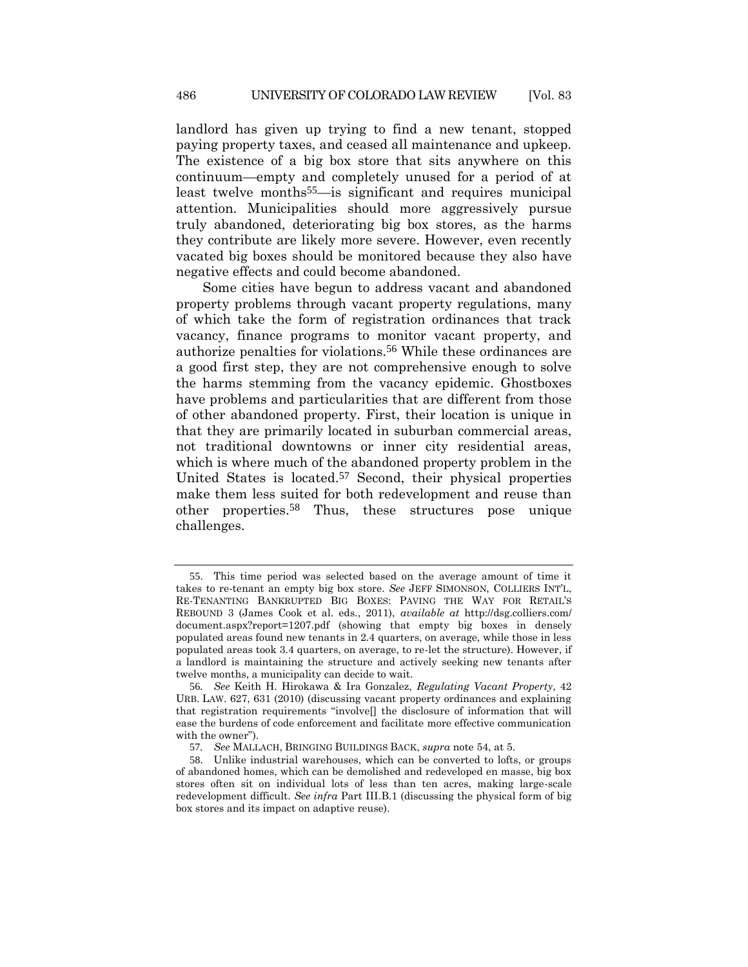<span id="page-15-0"></span>landlord has given up trying to find a new tenant, stopped paying property taxes, and ceased all maintenance and upkeep. The existence of a big box store that sits anywhere on this continuum—empty and completely unused for a period of at least twelve months55—is significant and requires municipal attention. Municipalities should more aggressively pursue truly abandoned, deteriorating big box stores, as the harms they contribute are likely more severe. However, even recently vacated big boxes should be monitored because they also have negative effects and could become abandoned.

<span id="page-15-1"></span>Some cities have begun to address vacant and abandoned property problems through vacant property regulations, many of which take the form of registration ordinances that track vacancy, finance programs to monitor vacant property, and authorize penalties for violations.56 While these ordinances are a good first step, they are not comprehensive enough to solve the harms stemming from the vacancy epidemic. Ghostboxes have problems and particularities that are different from those of other abandoned property. First, their location is unique in that they are primarily located in suburban commercial areas, not traditional downtowns or inner city residential areas, which is where much of the abandoned property problem in the United States is located.57 Second, their physical properties make them less suited for both redevelopment and reuse than other properties.58 Thus, these structures pose unique challenges.

<sup>55</sup>. This time period was selected based on the average amount of time it takes to re-tenant an empty big box store. *See* JEFF SIMONSON, COLLIERS INT'L, RE-TENANTING BANKRUPTED BIG BOXES: PAVING THE WAY FOR RETAIL'S REBOUND 3 (James Cook et al. eds., 2011), *available at* http://dsg.colliers.com/ document.aspx?report=1207.pdf (showing that empty big boxes in densely populated areas found new tenants in 2.4 quarters, on average, while those in less populated areas took 3.4 quarters, on average, to re-let the structure). However, if a landlord is maintaining the structure and actively seeking new tenants after twelve months, a municipality can decide to wait.

<sup>56</sup>*. See* Keith H. Hirokawa & Ira Gonzalez, *Regulating Vacant Property*, 42 URB. LAW. 627, 631 (2010) (discussing vacant property ordinances and explaining that registration requirements "involve[] the disclosure of information that will ease the burdens of code enforcement and facilitate more effective communication with the owner").

<sup>57</sup>*. See* MALLACH, BRINGING BUILDINGS BACK, *supra* note [54,](#page-14-1) at 5.

<sup>58</sup>. Unlike industrial warehouses, which can be converted to lofts, or groups of abandoned homes, which can be demolished and redeveloped en masse, big box stores often sit on individual lots of less than ten acres, making large-scale redevelopment difficult. *See infra* Part III.B.1 (discussing the physical form of big box stores and its impact on adaptive reuse).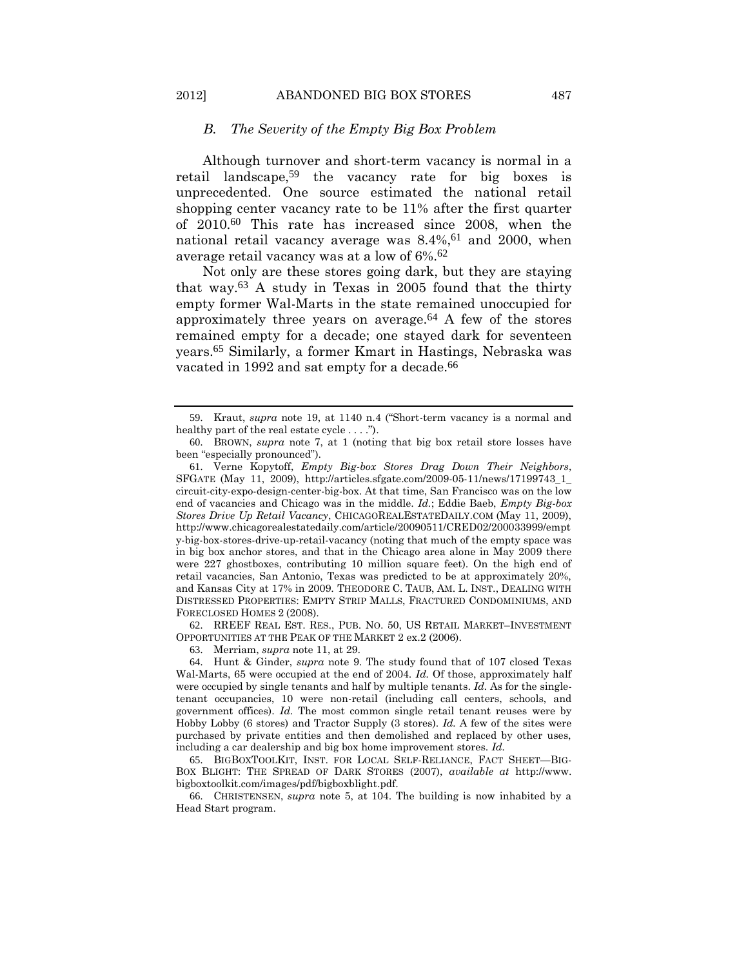#### <span id="page-16-0"></span>*B. The Severity of the Empty Big Box Problem*

Although turnover and short-term vacancy is normal in a retail landscape,59 the vacancy rate for big boxes is unprecedented. One source estimated the national retail shopping center vacancy rate to be 11% after the first quarter of 2010.60 This rate has increased since 2008, when the national retail vacancy average was 8.4%, 61 and 2000, when average retail vacancy was at a low of 6%. 62

Not only are these stores going dark, but they are staying that way.63 A study in Texas in 2005 found that the thirty empty former Wal-Marts in the state remained unoccupied for approximately three years on average. $64$  A few of the stores remained empty for a decade; one stayed dark for seventeen years.65 Similarly, a former Kmart in Hastings, Nebraska was vacated in 1992 and sat empty for a decade.<sup>66</sup>

62. RREEF REAL EST. RES., PUB. NO. 50, US RETAIL MARKET–INVESTMENT OPPORTUNITIES AT THE PEAK OF THE MARKET 2 ex.2 (2006).

63. Merriam, *supra* not[e 11,](#page-4-1) at 29.

64. Hunt & Ginder, *supra* note [9.](#page-3-1) The study found that of 107 closed Texas Wal-Marts, 65 were occupied at the end of 2004. *Id.* Of those, approximately half were occupied by single tenants and half by multiple tenants. *Id.* As for the singletenant occupancies, 10 were non-retail (including call centers, schools, and government offices). *Id.* The most common single retail tenant reuses were by Hobby Lobby (6 stores) and Tractor Supply (3 stores). *Id.* A few of the sites were purchased by private entities and then demolished and replaced by other uses, including a car dealership and big box home improvement stores. *Id.*

65. BIGBOXTOOLKIT, INST. FOR LOCAL SELF-RELIANCE, FACT SHEET—BIG-BOX BLIGHT: THE SPREAD OF DARK STORES (2007), *available at* http://www. bigboxtoolkit.com/images/pdf/bigboxblight.pdf.

66. CHRISTENSEN, *supra* note [5,](#page-3-2) at 104. The building is now inhabited by a Head Start program.

<sup>59</sup>. Kraut, *supra* note [19](#page-6-0), at 1140 n.4 ("Short-term vacancy is a normal and healthy part of the real estate cycle . . . .").

<sup>60</sup>. BROWN, *supra* note [7,](#page-3-0) at 1 (noting that big box retail store losses have been "especially pronounced").

<sup>61</sup>. Verne Kopytoff, *Empty Big-box Stores Drag Down Their Neighbors*, SFGATE (May 11, 2009), http://articles.sfgate.com/2009-05-11/news/17199743\_1\_ circuit-city-expo-design-center-big-box. At that time, San Francisco was on the low end of vacancies and Chicago was in the middle. *Id.*; Eddie Baeb, *Empty Big-box Stores Drive Up Retail Vacancy*, CHICAGOREALESTATEDAILY.COM (May 11, 2009), http://www.chicagorealestatedaily.com/article/20090511/CRED02/200033999/empt y-big-box-stores-drive-up-retail-vacancy (noting that much of the empty space was in big box anchor stores, and that in the Chicago area alone in May 2009 there were 227 ghostboxes, contributing 10 million square feet). On the high end of retail vacancies, San Antonio, Texas was predicted to be at approximately 20%, and Kansas City at 17% in 2009. THEODORE C. TAUB, AM. L. INST., DEALING WITH DISTRESSED PROPERTIES: EMPTY STRIP MALLS, FRACTURED CONDOMINIUMS, AND FORECLOSED HOMES 2 (2008).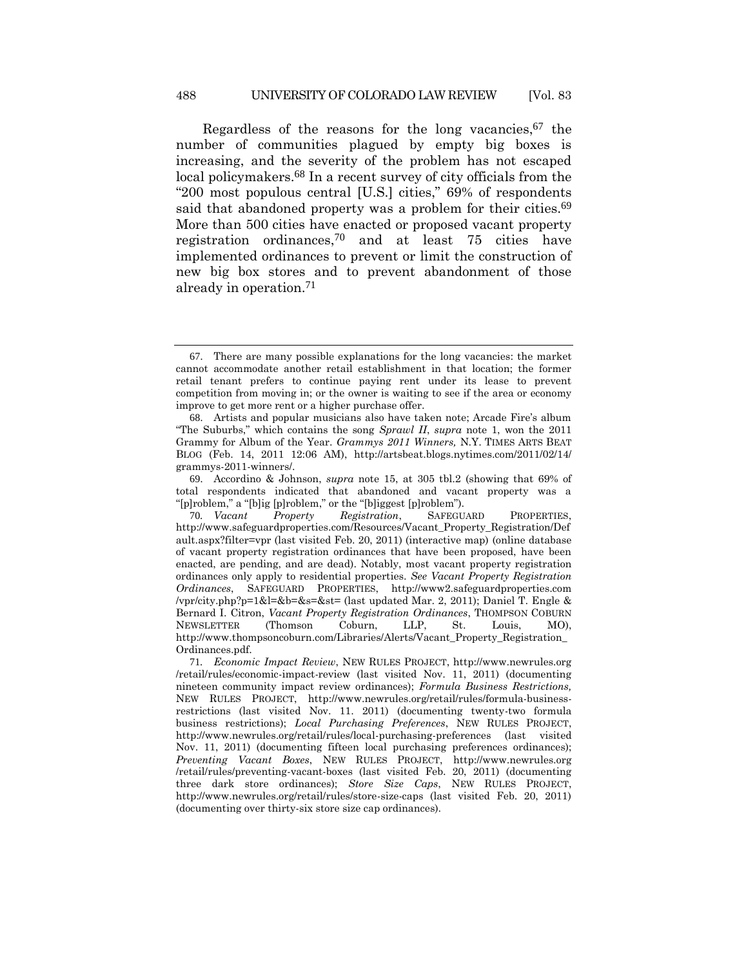Regardless of the reasons for the long vacancies, 67 the number of communities plagued by empty big boxes is increasing, and the severity of the problem has not escaped local policymakers.68 In a recent survey of city officials from the "200 most populous central [U.S.] cities," 69% of respondents said that abandoned property was a problem for their cities.<sup>69</sup> More than 500 cities have enacted or proposed vacant property registration ordinances,70 and at least 75 cities have implemented ordinances to prevent or limit the construction of new big box stores and to prevent abandonment of those already in operation.71

69. Accordino & Johnson, *supra* note [15,](#page-5-1) at 305 tbl.2 (showing that 69% of total respondents indicated that abandoned and vacant property was a "[p]roblem," a "[b]ig [p]roblem," or the "[b]iggest [p]roblem").

70*. Vacant Property Registration*, SAFEGUARD PROPERTIES, http://www.safeguardproperties.com/Resources/Vacant\_Property\_Registration/Def ault.aspx?filter=vpr (last visited Feb. 20, 2011) (interactive map) (online database of vacant property registration ordinances that have been proposed, have been enacted, are pending, and are dead). Notably, most vacant property registration ordinances only apply to residential properties. *See Vacant Property Registration Ordinances*, SAFEGUARD PROPERTIES, http://www2.safeguardproperties.com /vpr/city.php?p=1&l=&b=&s=&st= (last updated Mar. 2, 2011); Daniel T. Engle & Bernard I. Citron, *Vacant Property Registration Ordinances*, THOMPSON COBURN NEWSLETTER (Thomson Coburn, LLP, St. Louis, MO), http://www.thompsoncoburn.com/Libraries/Alerts/Vacant\_Property\_Registration\_ Ordinances.pdf.

71*. Economic Impact Review*, NEW RULES PROJECT, http://www.newrules.org /retail/rules/economic-impact-review (last visited Nov. 11, 2011) (documenting nineteen community impact review ordinances); *Formula Business Restrictions,*  NEW RULES PROJECT, http://www.newrules.org/retail/rules/formula-businessrestrictions (last visited Nov. 11. 2011) (documenting twenty-two formula business restrictions); *Local Purchasing Preferences*, NEW RULES PROJECT, http://www.newrules.org/retail/rules/local-purchasing-preferences (last visited Nov. 11, 2011) (documenting fifteen local purchasing preferences ordinances); *Preventing Vacant Boxes*, NEW RULES PROJECT, http://www.newrules.org /retail/rules/preventing-vacant-boxes (last visited Feb. 20, 2011) (documenting three dark store ordinances); *Store Size Caps*, NEW RULES PROJECT, http://www.newrules.org/retail/rules/store-size-caps (last visited Feb. 20, 2011) (documenting over thirty-six store size cap ordinances).

<sup>67</sup>. There are many possible explanations for the long vacancies: the market cannot accommodate another retail establishment in that location; the former retail tenant prefers to continue paying rent under its lease to prevent competition from moving in; or the owner is waiting to see if the area or economy improve to get more rent or a higher purchase offer.

<sup>68</sup>. Artists and popular musicians also have taken note; Arcade Fire's album "The Suburbs," which contains the song *Sprawl II*, *supra* note 1, won the 2011 Grammy for Album of the Year. *Grammys 2011 Winners,* N.Y. TIMES ARTS BEAT BLOG (Feb. 14, 2011 12:06 AM), http://artsbeat.blogs.nytimes.com/2011/02/14/ grammys-2011-winners/.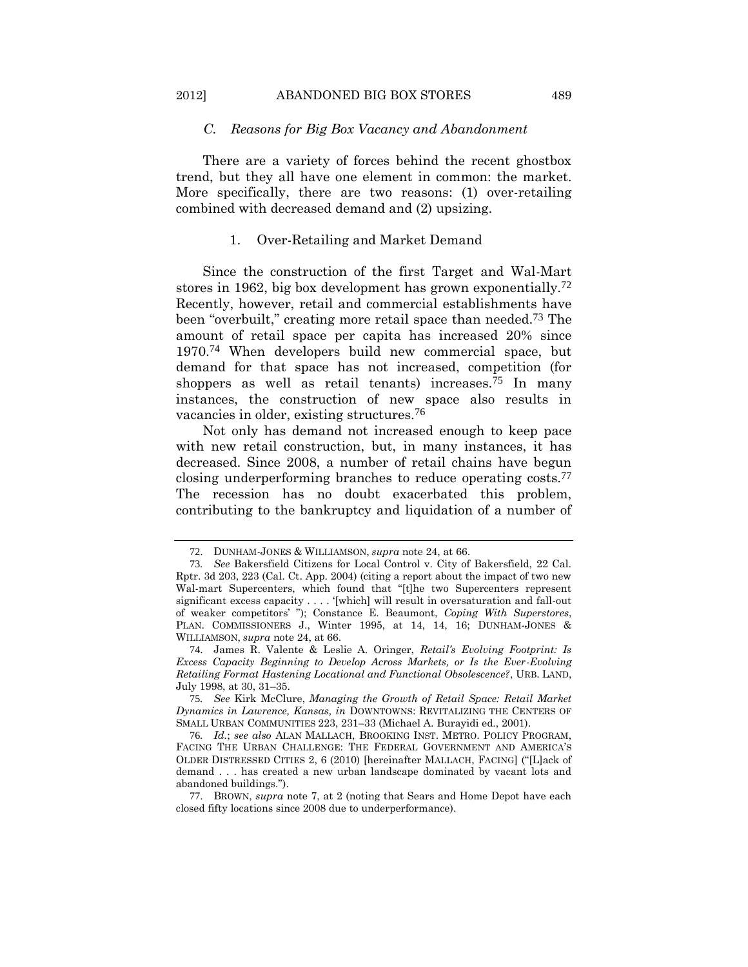# *C. Reasons for Big Box Vacancy and Abandonment*

There are a variety of forces behind the recent ghostbox trend, but they all have one element in common: the market. More specifically, there are two reasons: (1) over-retailing combined with decreased demand and (2) upsizing.

#### <span id="page-18-0"></span>1. Over-Retailing and Market Demand

Since the construction of the first Target and Wal-Mart stores in 1962, big box development has grown exponentially.<sup>72</sup> Recently, however, retail and commercial establishments have been "overbuilt," creating more retail space than needed.73 The amount of retail space per capita has increased 20% since 1970.74 When developers build new commercial space, but demand for that space has not increased, competition (for shoppers as well as retail tenants) increases.75 In many instances, the construction of new space also results in vacancies in older, existing structures.76

Not only has demand not increased enough to keep pace with new retail construction, but, in many instances, it has decreased. Since 2008, a number of retail chains have begun closing underperforming branches to reduce operating costs.77 The recession has no doubt exacerbated this problem, contributing to the bankruptcy and liquidation of a number of

<sup>72</sup>. DUNHAM-JONES & WILLIAMSON, *supra* not[e 24,](#page-8-0) at 66.

<sup>73</sup>*. See* Bakersfield Citizens for Local Control v. City of Bakersfield, 22 Cal. Rptr. 3d 203, 223 (Cal. Ct. App. 2004) (citing a report about the impact of two new Wal-mart Supercenters, which found that "[t]he two Supercenters represent significant excess capacity . . . . '[which] will result in oversaturation and fall-out of weaker competitors' "); Constance E. Beaumont, *Coping With Superstores*, PLAN. COMMISSIONERS J., Winter 1995, at 14, 14, 16; DUNHAM-JONES & WILLIAMSON, *supra* note [24,](#page-8-0) at 66.

<sup>74</sup>. James R. Valente & Leslie A. Oringer, *Retail's Evolving Footprint: Is Excess Capacity Beginning to Develop Across Markets, or Is the Ever-Evolving Retailing Format Hastening Locational and Functional Obsolescence?*, URB. LAND, July 1998, at 30, 31–35.

<sup>75</sup>*. See* Kirk McClure, *Managing the Growth of Retail Space: Retail Market Dynamics in Lawrence, Kansas, in* DOWNTOWNS: REVITALIZING THE CENTERS OF SMALL URBAN COMMUNITIES 223, 231–33 (Michael A. Burayidi ed., 2001).

<sup>76</sup>*. Id.*; *see also* ALAN MALLACH, BROOKING INST. METRO. POLICY PROGRAM, FACING THE URBAN CHALLENGE: THE FEDERAL GOVERNMENT AND AMERICA'S OLDER DISTRESSED CITIES 2, 6 (2010) [hereinafter MALLACH, FACING] ("[L]ack of demand . . . has created a new urban landscape dominated by vacant lots and abandoned buildings.").

<sup>77</sup>. BROWN, *supra* note [7,](#page-3-0) at 2 (noting that Sears and Home Depot have each closed fifty locations since 2008 due to underperformance).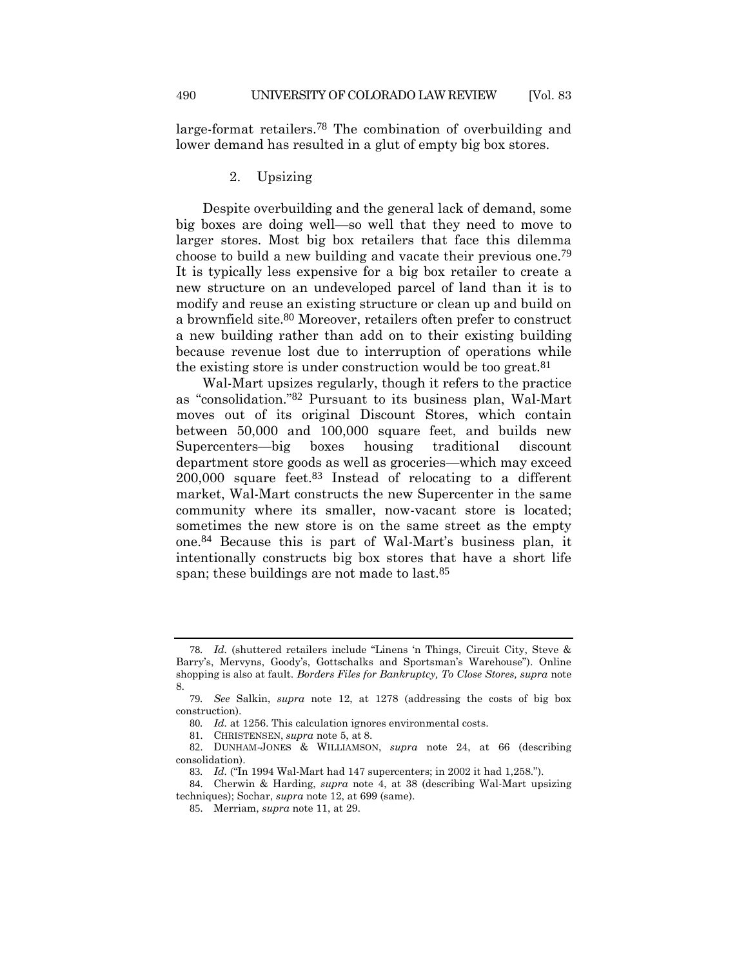large-format retailers.78 The combination of overbuilding and lower demand has resulted in a glut of empty big box stores.

#### 2. Upsizing

Despite overbuilding and the general lack of demand, some big boxes are doing well—so well that they need to move to larger stores. Most big box retailers that face this dilemma choose to build a new building and vacate their previous one.79 It is typically less expensive for a big box retailer to create a new structure on an undeveloped parcel of land than it is to modify and reuse an existing structure or clean up and build on a brownfield site.80 Moreover, retailers often prefer to construct a new building rather than add on to their existing building because revenue lost due to interruption of operations while the existing store is under construction would be too great.<sup>81</sup>

Wal-Mart upsizes regularly, though it refers to the practice as "consolidation."82 Pursuant to its business plan, Wal-Mart moves out of its original Discount Stores, which contain between 50,000 and 100,000 square feet, and builds new Supercenters—big boxes housing traditional discount department store goods as well as groceries—which may exceed 200,000 square feet.83 Instead of relocating to a different market, Wal-Mart constructs the new Supercenter in the same community where its smaller, now-vacant store is located; sometimes the new store is on the same street as the empty one.84 Because this is part of Wal-Mart's business plan, it intentionally constructs big box stores that have a short life span; these buildings are not made to last.<sup>85</sup>

81. CHRISTENSEN, *supra* not[e 5,](#page-3-2) at 8.

<sup>78</sup>*. Id.* (shuttered retailers include "Linens 'n Things, Circuit City, Steve & Barry's, Mervyns, Goody's, Gottschalks and Sportsman's Warehouse"). Online shopping is also at fault. *Borders Files for Bankruptcy, To Close Stores, supra* note [8.](#page-3-3)

<sup>79</sup>*. See* Salkin, *supra* note [12,](#page-4-0) at 1278 (addressing the costs of big box construction).

<sup>80</sup>*. Id.* at 1256. This calculation ignores environmental costs.

<sup>82</sup>. DUNHAM-JONES & WILLIAMSON, *supra* note [24,](#page-8-0) at 66 (describing consolidation).

<sup>83</sup>*. Id.* ("In 1994 Wal-Mart had 147 supercenters; in 2002 it had 1,258.").

<sup>84</sup>. Cherwin & Harding, *supra* note [4,](#page-3-4) at 38 (describing Wal-Mart upsizing techniques); Sochar, *supra* note [12,](#page-4-0) at 699 (same).

<sup>85</sup>. Merriam, *supra* not[e 11,](#page-4-1) at 29.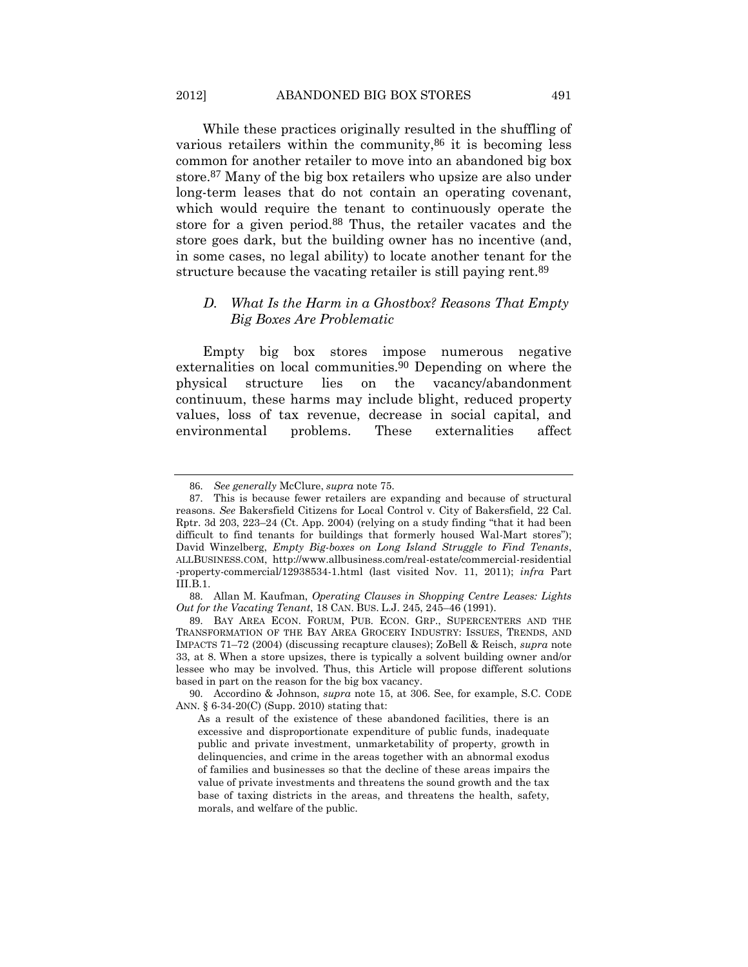<span id="page-20-0"></span>While these practices originally resulted in the shuffling of various retailers within the community, 86 it is becoming less common for another retailer to move into an abandoned big box store.87 Many of the big box retailers who upsize are also under long-term leases that do not contain an operating covenant, which would require the tenant to continuously operate the store for a given period.88 Thus, the retailer vacates and the store goes dark, but the building owner has no incentive (and, in some cases, no legal ability) to locate another tenant for the structure because the vacating retailer is still paying rent.<sup>89</sup>

# *D. What Is the Harm in a Ghostbox? Reasons That Empty Big Boxes Are Problematic*

Empty big box stores impose numerous negative externalities on local communities.90 Depending on where the physical structure lies on the vacancy/abandonment continuum, these harms may include blight, reduced property values, loss of tax revenue, decrease in social capital, and environmental problems. These externalities affect

<sup>86</sup>. *See generally* McClure, *supra* note [75.](#page-18-0)

<sup>87</sup>. This is because fewer retailers are expanding and because of structural reasons. *See* Bakersfield Citizens for Local Control v. City of Bakersfield, 22 Cal. Rptr. 3d 203, 223–24 (Ct. App. 2004) (relying on a study finding "that it had been difficult to find tenants for buildings that formerly housed Wal-Mart stores"); David Winzelberg, *Empty Big-boxes on Long Island Struggle to Find Tenants*, ALLBUSINESS.COM, http://www.allbusiness.com/real-estate/commercial-residential -property-commercial/12938534-1.html (last visited Nov. 11, 2011); *infra* Part III.B.1.

<sup>88</sup>. Allan M. Kaufman, *Operating Clauses in Shopping Centre Leases: Lights Out for the Vacating Tenant*, 18 CAN. BUS. L.J. 245, 245–46 (1991).

<sup>89</sup>. BAY AREA ECON. FORUM, PUB. ECON. GRP., SUPERCENTERS AND THE TRANSFORMATION OF THE BAY AREA GROCERY INDUSTRY: ISSUES, TRENDS, AND IMPACTS 71–72 (2004) (discussing recapture clauses); ZoBell & Reisch, *supra* note [33,](#page-9-0) at 8. When a store upsizes, there is typically a solvent building owner and/or lessee who may be involved. Thus, this Article will propose different solutions based in part on the reason for the big box vacancy.

<sup>90</sup>. Accordino & Johnson, *supra* note [15,](#page-5-1) at 306. See, for example, S.C. CODE ANN. § 6-34-20(C) (Supp. 2010) stating that:

As a result of the existence of these abandoned facilities, there is an excessive and disproportionate expenditure of public funds, inadequate public and private investment, unmarketability of property, growth in delinquencies, and crime in the areas together with an abnormal exodus of families and businesses so that the decline of these areas impairs the value of private investments and threatens the sound growth and the tax base of taxing districts in the areas, and threatens the health, safety, morals, and welfare of the public.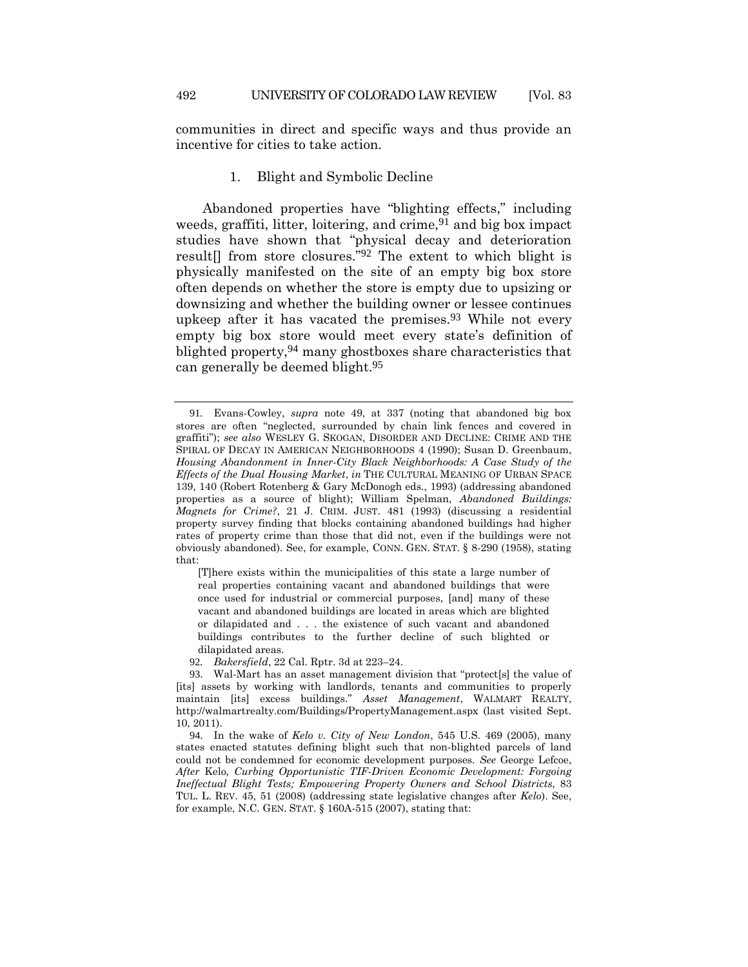communities in direct and specific ways and thus provide an incentive for cities to take action.

#### <span id="page-21-0"></span>1. Blight and Symbolic Decline

Abandoned properties have "blighting effects," including weeds, graffiti, litter, loitering, and crime,  $91$  and big box impact studies have shown that "physical decay and deterioration result[] from store closures."92 The extent to which blight is physically manifested on the site of an empty big box store often depends on whether the store is empty due to upsizing or downsizing and whether the building owner or lessee continues upkeep after it has vacated the premises.<sup>93</sup> While not every empty big box store would meet every state's definition of blighted property, <sup>94</sup> many ghostboxes share characteristics that can generally be deemed blight.95

[T]here exists within the municipalities of this state a large number of real properties containing vacant and abandoned buildings that were once used for industrial or commercial purposes, [and] many of these vacant and abandoned buildings are located in areas which are blighted or dilapidated and . . . the existence of such vacant and abandoned buildings contributes to the further decline of such blighted or dilapidated areas.

<sup>91</sup>*.* Evans-Cowley, *supra* note [49,](#page-12-0) at 337 (noting that abandoned big box stores are often "neglected, surrounded by chain link fences and covered in graffiti"); *see also* WESLEY G. SKOGAN, DISORDER AND DECLINE: CRIME AND THE SPIRAL OF DECAY IN AMERICAN NEIGHBORHOODS 4 (1990); Susan D. Greenbaum, *Housing Abandonment in Inner-City Black Neighborhoods: A Case Study of the Effects of the Dual Housing Market*, *in* THE CULTURAL MEANING OF URBAN SPACE 139, 140 (Robert Rotenberg & Gary McDonogh eds., 1993) (addressing abandoned properties as a source of blight); William Spelman, *Abandoned Buildings: Magnets for Crime?*, 21 J. CRIM. JUST. 481 (1993) (discussing a residential property survey finding that blocks containing abandoned buildings had higher rates of property crime than those that did not, even if the buildings were not obviously abandoned). See, for example, CONN. GEN. STAT. § 8-290 (1958), stating that:

<sup>92</sup>*. Bakersfield*, 22 Cal. Rptr. 3d at 223–24.

<sup>93</sup>. Wal-Mart has an asset management division that "protect[s] the value of [its] assets by working with landlords, tenants and communities to properly maintain [its] excess buildings." *Asset Management*, WALMART REALTY, http://walmartrealty.com/Buildings/PropertyManagement.aspx (last visited Sept. 10, 2011).

<sup>94</sup>. In the wake of *Kelo v. City of New London*, 545 U.S. 469 (2005), many states enacted statutes defining blight such that non-blighted parcels of land could not be condemned for economic development purposes. *See* George Lefcoe, *After* Kelo*, Curbing Opportunistic TIF-Driven Economic Development: Forgoing Ineffectual Blight Tests; Empowering Property Owners and School Districts*, 83 TUL. L. REV. 45, 51 (2008) (addressing state legislative changes after *Kelo*). See, for example, N.C. GEN. STAT. § 160A-515 (2007), stating that: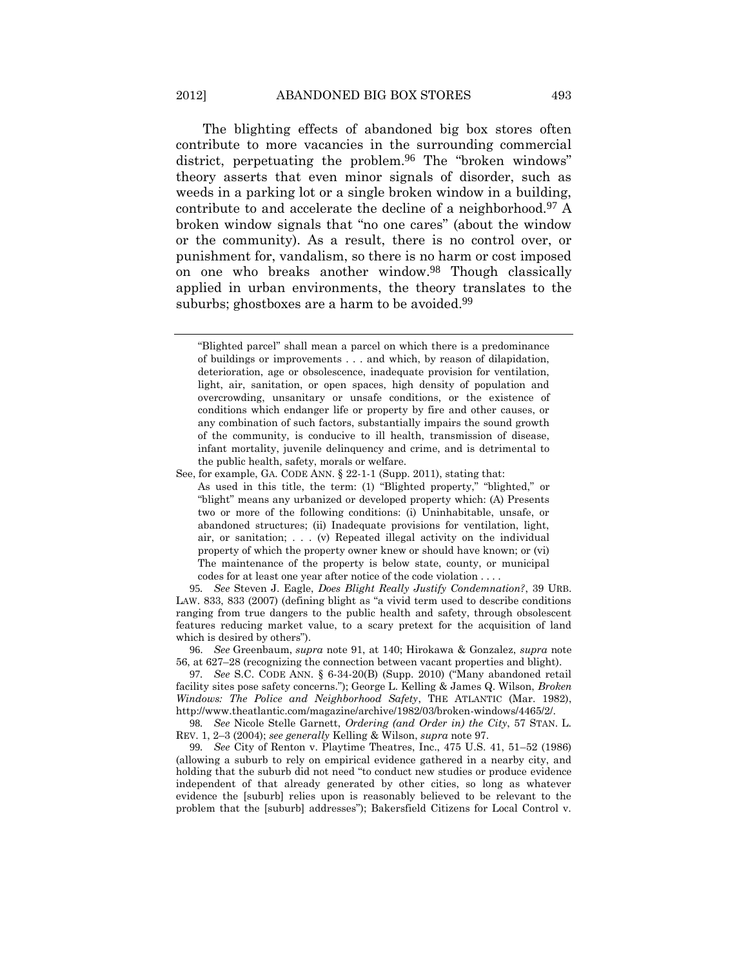<span id="page-22-0"></span>The blighting effects of abandoned big box stores often contribute to more vacancies in the surrounding commercial district, perpetuating the problem.96 The "broken windows" theory asserts that even minor signals of disorder, such as weeds in a parking lot or a single broken window in a building, contribute to and accelerate the decline of a neighborhood.97 A broken window signals that "no one cares" (about the window or the community). As a result, there is no control over, or punishment for, vandalism, so there is no harm or cost imposed on one who breaks another window.98 Though classically applied in urban environments, the theory translates to the suburbs; ghostboxes are a harm to be avoided.<sup>99</sup>

95*. See* Steven J. Eagle, *Does Blight Really Justify Condemnation?*, 39 URB. LAW. 833, 833 (2007) (defining blight as "a vivid term used to describe conditions ranging from true dangers to the public health and safety, through obsolescent features reducing market value, to a scary pretext for the acquisition of land which is desired by others").

96. *See* Greenbaum, *supra* note [91,](#page-21-0) at 140; Hirokawa & Gonzalez, *supra* note [56,](#page-15-1) at 627–28 (recognizing the connection between vacant properties and blight).

97*. See* S.C. CODE ANN. § 6-34-20(B) (Supp. 2010) ("Many abandoned retail facility sites pose safety concerns."); George L. Kelling & James Q. Wilson, *Broken Windows: The Police and Neighborhood Safety*, THE ATLANTIC (Mar. 1982), http://www.theatlantic.com/magazine/archive/1982/03/broken-windows/4465/2/.

98*. See* Nicole Stelle Garnett, *Ordering (and Order in) the City*, 57 STAN. L. REV. 1, 2–3 (2004); *see generally* Kelling & Wilson, *supra* not[e 97.](#page-22-0)

99*. See* City of Renton v. Playtime Theatres, Inc., 475 U.S. 41, 51–52 (1986) (allowing a suburb to rely on empirical evidence gathered in a nearby city, and holding that the suburb did not need "to conduct new studies or produce evidence independent of that already generated by other cities, so long as whatever evidence the [suburb] relies upon is reasonably believed to be relevant to the problem that the [suburb] addresses"); Bakersfield Citizens for Local Control v.

<span id="page-22-2"></span><span id="page-22-1"></span><sup>&</sup>quot;Blighted parcel" shall mean a parcel on which there is a predominance of buildings or improvements . . . and which, by reason of dilapidation, deterioration, age or obsolescence, inadequate provision for ventilation, light, air, sanitation, or open spaces, high density of population and overcrowding, unsanitary or unsafe conditions, or the existence of conditions which endanger life or property by fire and other causes, or any combination of such factors, substantially impairs the sound growth of the community, is conducive to ill health, transmission of disease, infant mortality, juvenile delinquency and crime, and is detrimental to the public health, safety, morals or welfare.

See, for example, GA. CODE ANN. § 22-1-1 (Supp. 2011), stating that: As used in this title, the term: (1) "Blighted property," "blighted," or "blight" means any urbanized or developed property which: (A) Presents two or more of the following conditions: (i) Uninhabitable, unsafe, or abandoned structures; (ii) Inadequate provisions for ventilation, light, air, or sanitation; . . . (v) Repeated illegal activity on the individual property of which the property owner knew or should have known; or (vi) The maintenance of the property is below state, county, or municipal codes for at least one year after notice of the code violation . . . .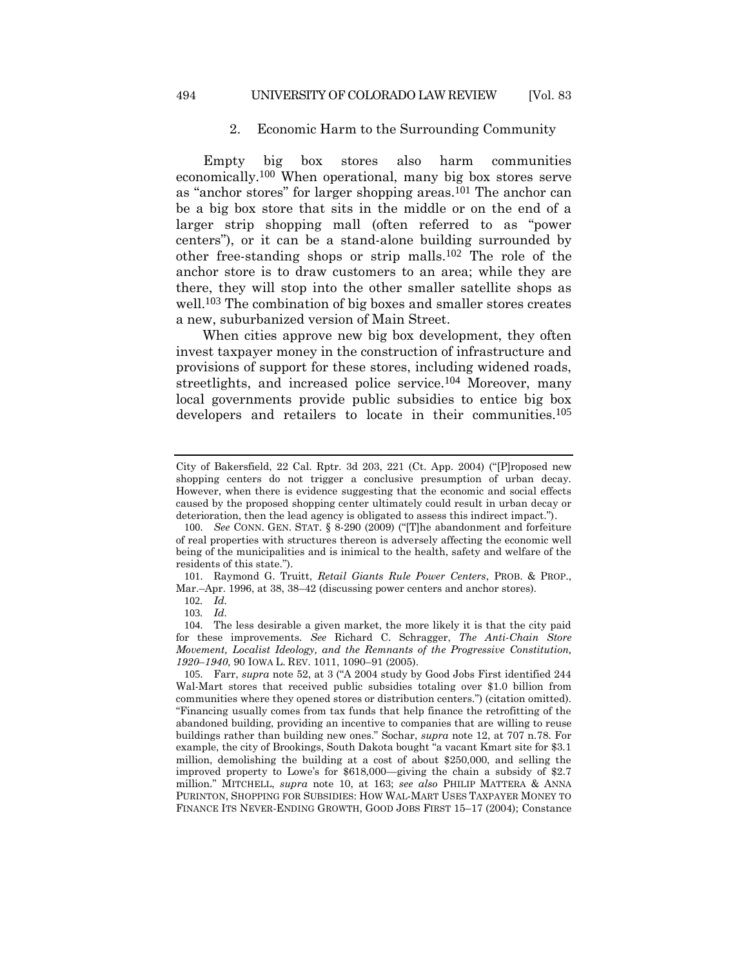# 2. Economic Harm to the Surrounding Community

Empty big box stores also harm communities economically.100 When operational, many big box stores serve as "anchor stores" for larger shopping areas.101 The anchor can be a big box store that sits in the middle or on the end of a larger strip shopping mall (often referred to as "power centers"), or it can be a stand-alone building surrounded by other free-standing shops or strip malls.102 The role of the anchor store is to draw customers to an area; while they are there, they will stop into the other smaller satellite shops as well.<sup>103</sup> The combination of big boxes and smaller stores creates a new, suburbanized version of Main Street.

When cities approve new big box development, they often invest taxpayer money in the construction of infrastructure and provisions of support for these stores, including widened roads, streetlights, and increased police service.<sup>104</sup> Moreover, many local governments provide public subsidies to entice big box developers and retailers to locate in their communities.<sup>105</sup>

City of Bakersfield, 22 Cal. Rptr. 3d 203, 221 (Ct. App. 2004) ("[P]roposed new shopping centers do not trigger a conclusive presumption of urban decay. However, when there is evidence suggesting that the economic and social effects caused by the proposed shopping center ultimately could result in urban decay or deterioration, then the lead agency is obligated to assess this indirect impact.").

<sup>100</sup>. *See* CONN. GEN. STAT. § 8-290 (2009) ("[T]he abandonment and forfeiture of real properties with structures thereon is adversely affecting the economic well being of the municipalities and is inimical to the health, safety and welfare of the residents of this state.").

<sup>101</sup>. Raymond G. Truitt, *Retail Giants Rule Power Centers*, PROB. & PROP., Mar.–Apr. 1996, at 38, 38–42 (discussing power centers and anchor stores).

<sup>102</sup>*. Id.*

<sup>103</sup>*. Id.*

<sup>104</sup>. The less desirable a given market, the more likely it is that the city paid for these improvements. *See* Richard C. Schragger, *The Anti-Chain Store Movement, Localist Ideology, and the Remnants of the Progressive Constitution, 1920*–*1940*, 90 IOWA L. REV. 1011, 1090–91 (2005).

<sup>105</sup>. Farr, *supra* note [52](#page-13-0), at 3 ("A 2004 study by Good Jobs First identified 244 Wal-Mart stores that received public subsidies totaling over \$1.0 billion from communities where they opened stores or distribution centers.") (citation omitted). "Financing usually comes from tax funds that help finance the retrofitting of the abandoned building, providing an incentive to companies that are willing to reuse buildings rather than building new ones." Sochar, *supra* note [12,](#page-4-0) at 707 n.78. For example, the city of Brookings, South Dakota bought "a vacant Kmart site for \$3.1 million, demolishing the building at a cost of about \$250,000, and selling the improved property to Lowe's for \$618,000—giving the chain a subsidy of \$2.7 million." MITCHELL, *supra* note [10,](#page-4-2) at 163; *see also* PHILIP MATTERA & ANNA PURINTON, SHOPPING FOR SUBSIDIES: HOW WAL-MART USES TAXPAYER MONEY TO FINANCE ITS NEVER-ENDING GROWTH, GOOD JOBS FIRST 15–17 (2004); Constance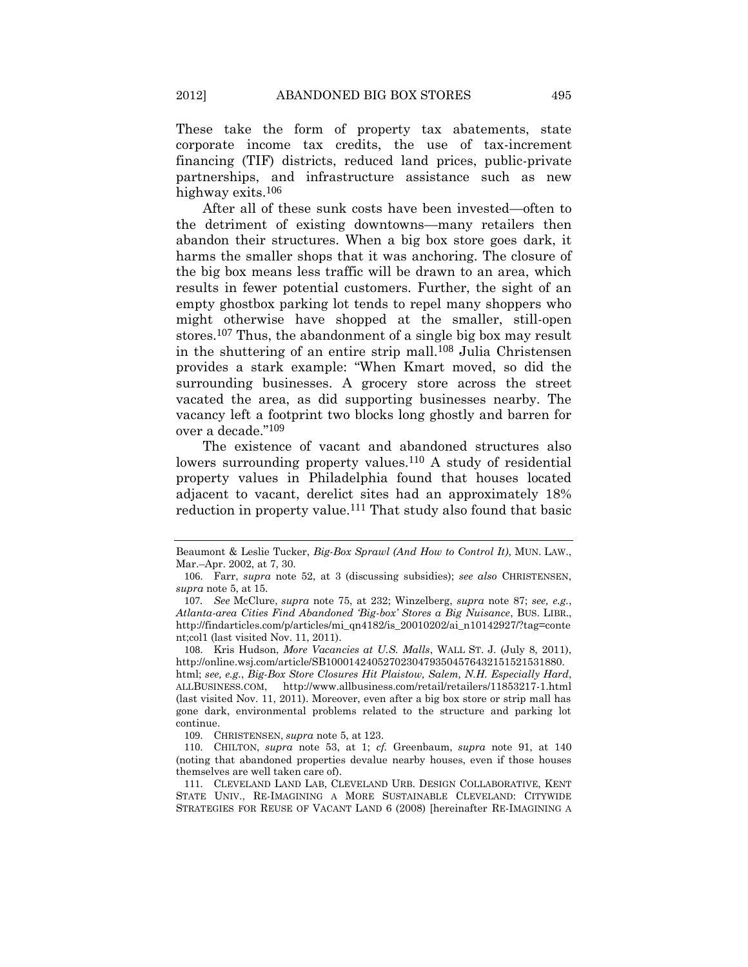These take the form of property tax abatements, state corporate income tax credits, the use of tax-increment financing (TIF) districts, reduced land prices, public-private partnerships, and infrastructure assistance such as new highway exits.106

After all of these sunk costs have been invested—often to the detriment of existing downtowns—many retailers then abandon their structures. When a big box store goes dark, it harms the smaller shops that it was anchoring. The closure of the big box means less traffic will be drawn to an area, which results in fewer potential customers. Further, the sight of an empty ghostbox parking lot tends to repel many shoppers who might otherwise have shopped at the smaller, still-open stores.<sup>107</sup> Thus, the abandonment of a single big box may result in the shuttering of an entire strip mall.108 Julia Christensen provides a stark example: "When Kmart moved, so did the surrounding businesses. A grocery store across the street vacated the area, as did supporting businesses nearby. The vacancy left a footprint two blocks long ghostly and barren for over a decade."109

<span id="page-24-0"></span>The existence of vacant and abandoned structures also lowers surrounding property values.<sup>110</sup> A study of residential property values in Philadelphia found that houses located adjacent to vacant, derelict sites had an approximately 18% reduction in property value.<sup>111</sup> That study also found that basic

Beaumont & Leslie Tucker, *Big-Box Sprawl (And How to Control It)*, MUN. LAW., Mar.–Apr. 2002, at 7, 30.

<sup>106</sup>. Farr, *supra* note [52,](#page-13-0) at 3 (discussing subsidies); *see also* CHRISTENSEN, *supra* note [5,](#page-3-2) at 15.

<sup>107</sup>*. See* McClure, *supra* note [75,](#page-18-0) at 232; Winzelberg, *supra* note [87;](#page-20-0) *see, e.g.*, *Atlanta-area Cities Find Abandoned 'Big-box' Stores a Big Nuisance*, BUS. LIBR., http://findarticles.com/p/articles/mi\_qn4182/is\_20010202/ai\_n10142927/?tag=conte nt;col1 (last visited Nov. 11, 2011).

<sup>108</sup>. Kris Hudson, *More Vacancies at U.S. Malls*, WALL ST. J. (July 8, 2011), http://online.wsj.com/article/SB10001424052702304793504576432151521531880. html; *see, e.g.*, *Big-Box Store Closures Hit Plaistow, Salem, N.H. Especially Hard*, ALLBUSINESS.COM, http://www.allbusiness.com/retail/retailers/11853217-1.html (last visited Nov. 11, 2011). Moreover, even after a big box store or strip mall has gone dark, environmental problems related to the structure and parking lot continue.

<sup>109</sup>. CHRISTENSEN, *supra* not[e 5,](#page-3-2) at 123.

<sup>110</sup>. CHILTON, *supra* note [53,](#page-14-0) at 1; *cf.* Greenbaum, *supra* note [91,](#page-21-0) at 140 (noting that abandoned properties devalue nearby houses, even if those houses themselves are well taken care of).

<sup>111</sup>. CLEVELAND LAND LAB, CLEVELAND URB. DESIGN COLLABORATIVE, KENT STATE UNIV., RE-IMAGINING A MORE SUSTAINABLE CLEVELAND: CITYWIDE STRATEGIES FOR REUSE OF VACANT LAND 6 (2008) [hereinafter RE-IMAGINING A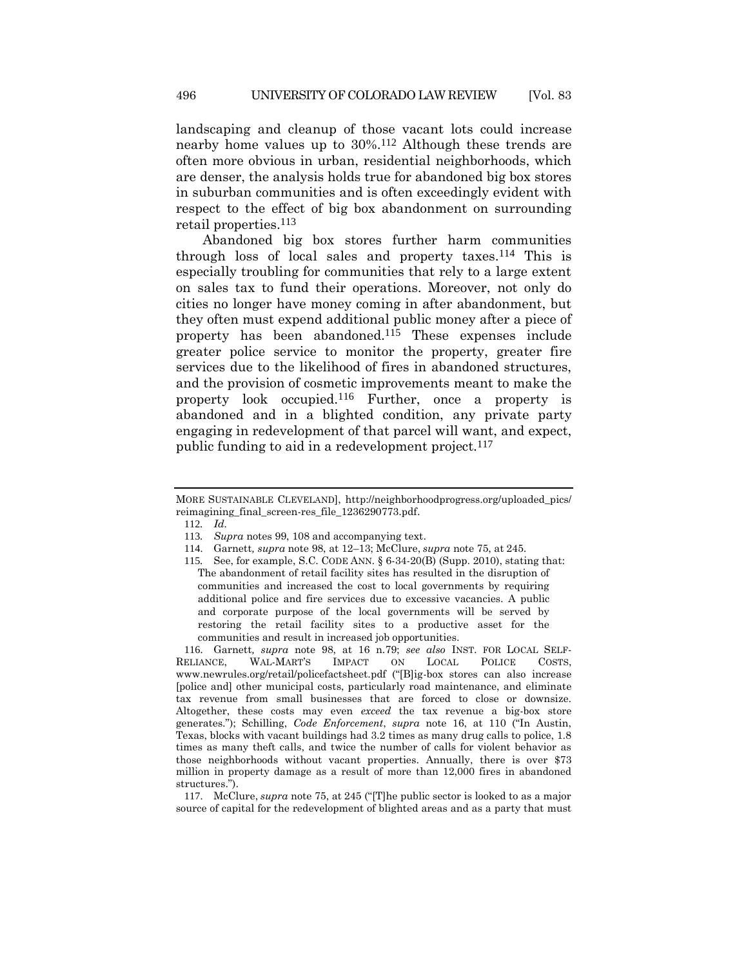landscaping and cleanup of those vacant lots could increase nearby home values up to 30%. 112 Although these trends are often more obvious in urban, residential neighborhoods, which are denser, the analysis holds true for abandoned big box stores in suburban communities and is often exceedingly evident with respect to the effect of big box abandonment on surrounding retail properties.113

Abandoned big box stores further harm communities through loss of local sales and property taxes.114 This is especially troubling for communities that rely to a large extent on sales tax to fund their operations. Moreover, not only do cities no longer have money coming in after abandonment, but they often must expend additional public money after a piece of property has been abandoned.115 These expenses include greater police service to monitor the property, greater fire services due to the likelihood of fires in abandoned structures, and the provision of cosmetic improvements meant to make the property look occupied.116 Further, once a property is abandoned and in a blighted condition, any private party engaging in redevelopment of that parcel will want, and expect, public funding to aid in a redevelopment project.<sup>117</sup>

116. Garnett*, supra* note [98,](#page-22-2) at 16 n.79; *see also* INST. FOR LOCAL SELF-RELIANCE, WAL-MART'S IMPACT ON LOCAL POLICE COSTS, www.newrules.org/retail/policefactsheet.pdf ("[B]ig-box stores can also increase [police and] other municipal costs, particularly road maintenance, and eliminate tax revenue from small businesses that are forced to close or downsize. Altogether, these costs may even *exceed* the tax revenue a big-box store generates."); Schilling, *Code Enforcement*, *supra* note [16](#page-5-2), at 110 ("In Austin, Texas, blocks with vacant buildings had 3.2 times as many drug calls to police, 1.8 times as many theft calls, and twice the number of calls for violent behavior as those neighborhoods without vacant properties. Annually, there is over \$73 million in property damage as a result of more than 12,000 fires in abandoned structures.").

117. McClure, *supra* not[e 75,](#page-18-0) at 245 ("[T]he public sector is looked to as a major source of capital for the redevelopment of blighted areas and as a party that must

MORE SUSTAINABLE CLEVELAND], http://neighborhoodprogress.org/uploaded\_pics/ reimagining\_final\_screen-res\_file\_1236290773.pdf.

<sup>112</sup>*. Id.*

<sup>113</sup>*. Supra* notes [99,](#page-22-1) [108](#page-24-0) and accompanying text.

<sup>114</sup>. Garnett*, supra* note [98,](#page-22-2) at 12–13; McClure, *supra* not[e 75,](#page-18-0) at 245.

<sup>115</sup>*.* See, for example, S.C. CODE ANN. § 6-34-20(B) (Supp. 2010), stating that: The abandonment of retail facility sites has resulted in the disruption of communities and increased the cost to local governments by requiring additional police and fire services due to excessive vacancies. A public and corporate purpose of the local governments will be served by restoring the retail facility sites to a productive asset for the communities and result in increased job opportunities.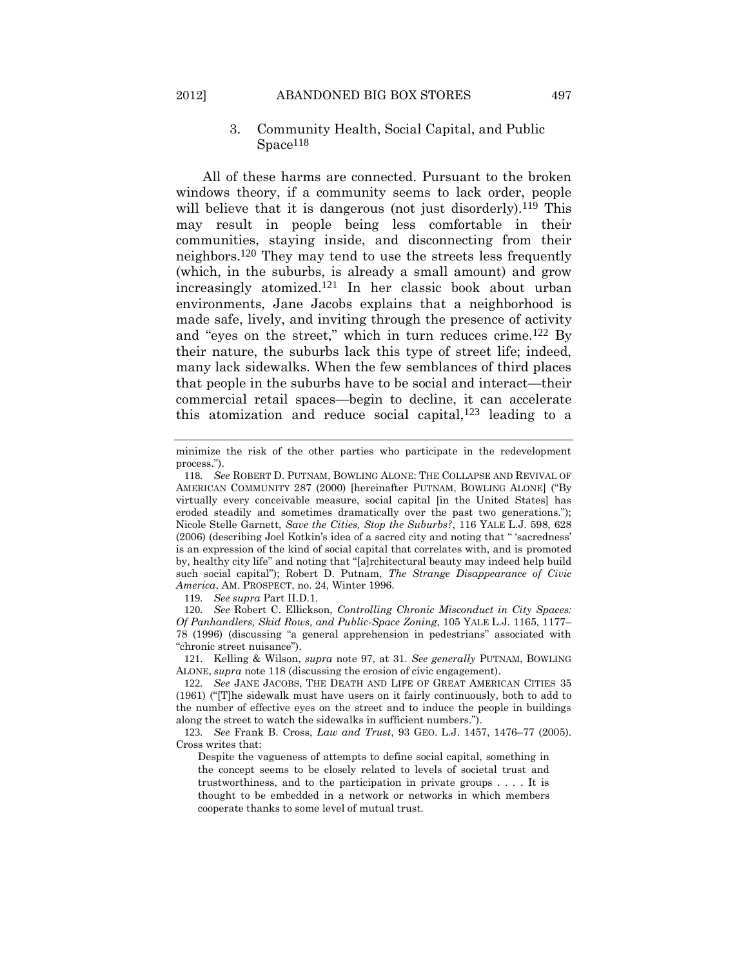# <span id="page-26-0"></span>3. Community Health, Social Capital, and Public Space<sup>118</sup>

All of these harms are connected. Pursuant to the broken windows theory, if a community seems to lack order, people will believe that it is dangerous (not just disorderly).<sup>119</sup> This may result in people being less comfortable in their communities, staying inside, and disconnecting from their neighbors.120 They may tend to use the streets less frequently (which, in the suburbs, is already a small amount) and grow increasingly atomized.121 In her classic book about urban environments, Jane Jacobs explains that a neighborhood is made safe, lively, and inviting through the presence of activity and "eyes on the street," which in turn reduces crime.122 By their nature, the suburbs lack this type of street life; indeed, many lack sidewalks. When the few semblances of third places that people in the suburbs have to be social and interact—their commercial retail spaces—begin to decline, it can accelerate this atomization and reduce social capital,123 leading to a

119*. See supra* Part II.D.1.

120*. See* Robert C. Ellickson, *Controlling Chronic Misconduct in City Spaces: Of Panhandlers, Skid Rows, and Public-Space Zoning*, 105 YALE L.J. 1165, 1177– 78 (1996) (discussing "a general apprehension in pedestrians" associated with "chronic street nuisance").

121. Kelling & Wilson, *supra* note [97,](#page-22-0) at 31. *See generally* PUTNAM, BOWLING ALONE, *supra* not[e 118](#page-26-0) (discussing the erosion of civic engagement).

<span id="page-26-1"></span>minimize the risk of the other parties who participate in the redevelopment process.").

<sup>118</sup>*. See* ROBERT D. PUTNAM, BOWLING ALONE: THE COLLAPSE AND REVIVAL OF AMERICAN COMMUNITY 287 (2000) [hereinafter PUTNAM, BOWLING ALONE] ("By virtually every conceivable measure, social capital [in the United States] has eroded steadily and sometimes dramatically over the past two generations."); Nicole Stelle Garnett, *Save the Cities, Stop the Suburbs?*, 116 YALE L.J. 598, 628 (2006) (describing Joel Kotkin's idea of a sacred city and noting that " 'sacredness' is an expression of the kind of social capital that correlates with, and is promoted by, healthy city life" and noting that "[a]rchitectural beauty may indeed help build such social capital"); Robert D. Putnam, *The Strange Disappearance of Civic America*, AM. PROSPECT, no. 24, Winter 1996.

<sup>122</sup>*. See* JANE JACOBS, THE DEATH AND LIFE OF GREAT AMERICAN CITIES 35 (1961) ("[T]he sidewalk must have users on it fairly continuously, both to add to the number of effective eyes on the street and to induce the people in buildings along the street to watch the sidewalks in sufficient numbers.").

<sup>123</sup>*. See* Frank B. Cross, *Law and Trust*, 93 GEO. L.J. 1457, 1476–77 (2005). Cross writes that:

Despite the vagueness of attempts to define social capital, something in the concept seems to be closely related to levels of societal trust and trustworthiness, and to the participation in private groups . . . . It is thought to be embedded in a network or networks in which members cooperate thanks to some level of mutual trust.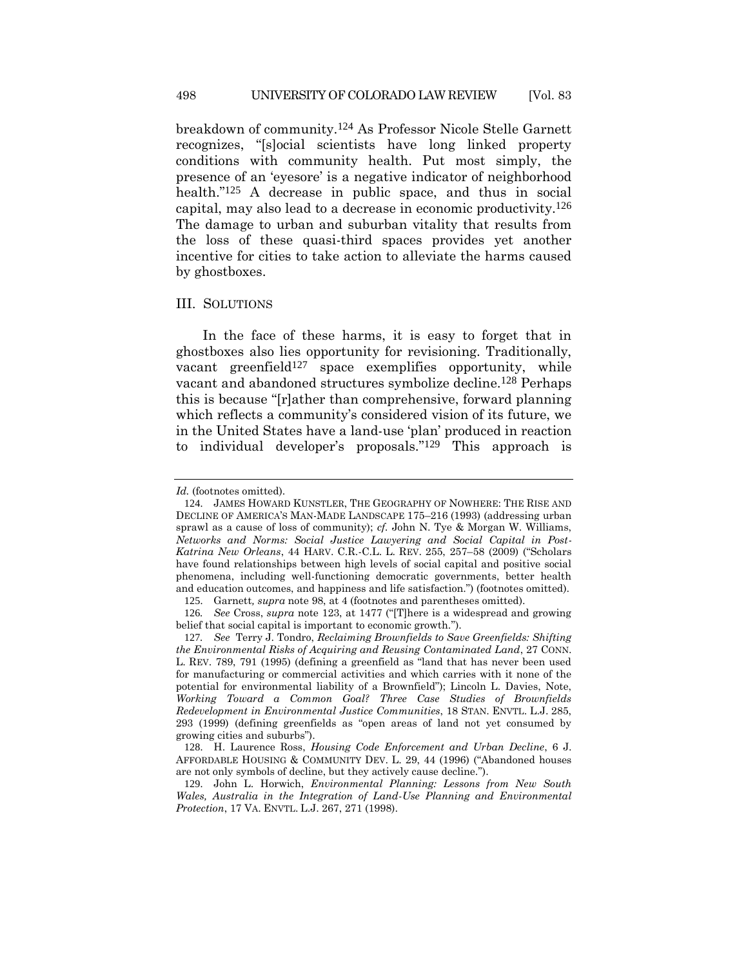breakdown of community.124 As Professor Nicole Stelle Garnett recognizes, "[s]ocial scientists have long linked property conditions with community health. Put most simply, the presence of an 'eyesore' is a negative indicator of neighborhood health."125 A decrease in public space, and thus in social capital, may also lead to a decrease in economic productivity.126 The damage to urban and suburban vitality that results from the loss of these quasi-third spaces provides yet another incentive for cities to take action to alleviate the harms caused by ghostboxes.

# III. SOLUTIONS

In the face of these harms, it is easy to forget that in ghostboxes also lies opportunity for revisioning. Traditionally, vacant greenfield $127$  space exemplifies opportunity, while vacant and abandoned structures symbolize decline.128 Perhaps this is because "[r]ather than comprehensive, forward planning which reflects a community's considered vision of its future, we in the United States have a land-use 'plan' produced in reaction to individual developer's proposals."129 This approach is

*Id.* (footnotes omitted).

<sup>124</sup>. JAMES HOWARD KUNSTLER, THE GEOGRAPHY OF NOWHERE: THE RISE AND DECLINE OF AMERICA'S MAN-MADE LANDSCAPE 175–216 (1993) (addressing urban sprawl as a cause of loss of community); *cf.* John N. Tye & Morgan W. Williams, *Networks and Norms: Social Justice Lawyering and Social Capital in Post-Katrina New Orleans*, 44 HARV. C.R.-C.L. L. REV. 255, 257–58 (2009) ("Scholars have found relationships between high levels of social capital and positive social phenomena, including well-functioning democratic governments, better health and education outcomes, and happiness and life satisfaction.") (footnotes omitted).

<sup>125</sup>. Garnett*, supra* note [98,](#page-22-2) at 4 (footnotes and parentheses omitted).

<sup>126</sup>*. See* Cross, *supra* note [123](#page-26-1), at 1477 ("[T]here is a widespread and growing belief that social capital is important to economic growth.").

<sup>127</sup>*. See* Terry J. Tondro, *Reclaiming Brownfields to Save Greenfields: Shifting the Environmental Risks of Acquiring and Reusing Contaminated Land*, 27 CONN. L. REV. 789, 791 (1995) (defining a greenfield as "land that has never been used for manufacturing or commercial activities and which carries with it none of the potential for environmental liability of a Brownfield"); Lincoln L. Davies, Note, *Working Toward a Common Goal? Three Case Studies of Brownfields Redevelopment in Environmental Justice Communities*, 18 STAN. ENVTL. L.J. 285, 293 (1999) (defining greenfields as "open areas of land not yet consumed by growing cities and suburbs").

<sup>128</sup>. H. Laurence Ross, *Housing Code Enforcement and Urban Decline*, 6 J. AFFORDABLE HOUSING & COMMUNITY DEV. L. 29, 44 (1996) ("Abandoned houses are not only symbols of decline, but they actively cause decline.").

<sup>129</sup>. John L. Horwich, *Environmental Planning: Lessons from New South Wales, Australia in the Integration of Land-Use Planning and Environmental Protection*, 17 VA. ENVTL. L.J. 267, 271 (1998).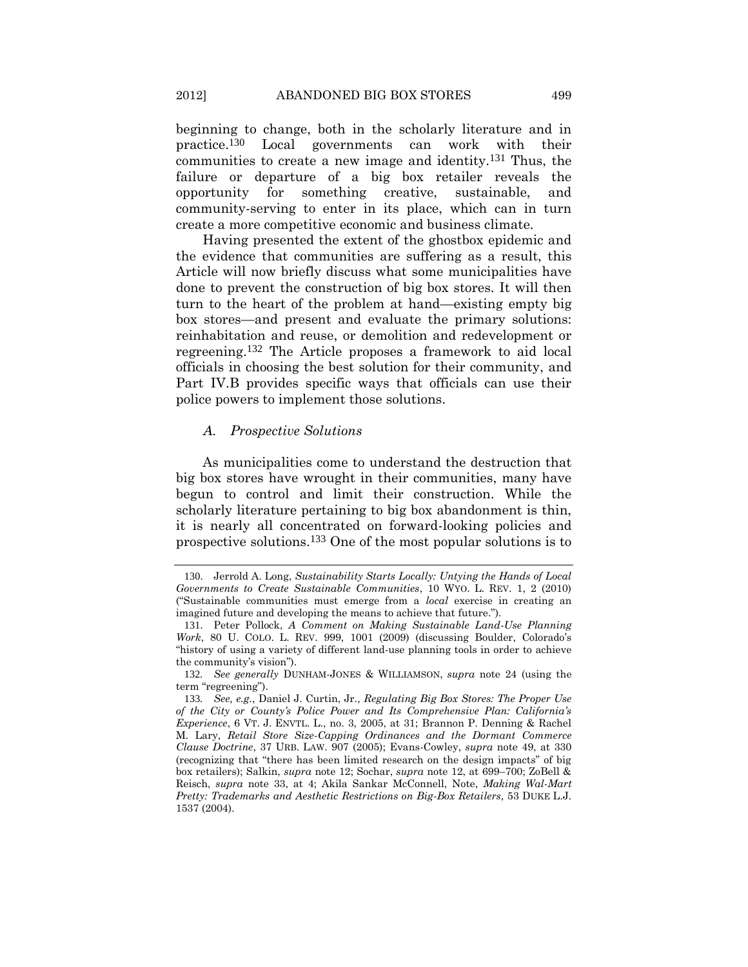beginning to change, both in the scholarly literature and in practice.130 Local governments can work with their communities to create a new image and identity.131 Thus, the failure or departure of a big box retailer reveals the opportunity for something creative, sustainable, and community-serving to enter in its place, which can in turn create a more competitive economic and business climate.

Having presented the extent of the ghostbox epidemic and the evidence that communities are suffering as a result, this Article will now briefly discuss what some municipalities have done to prevent the construction of big box stores. It will then turn to the heart of the problem at hand—existing empty big box stores—and present and evaluate the primary solutions: reinhabitation and reuse, or demolition and redevelopment or regreening.132 The Article proposes a framework to aid local officials in choosing the best solution for their community, and Part IV.B provides specific ways that officials can use their police powers to implement those solutions.

# *A. Prospective Solutions*

As municipalities come to understand the destruction that big box stores have wrought in their communities, many have begun to control and limit their construction. While the scholarly literature pertaining to big box abandonment is thin, it is nearly all concentrated on forward-looking policies and prospective solutions.133 One of the most popular solutions is to

<sup>130</sup>. Jerrold A. Long, *Sustainability Starts Locally: Untying the Hands of Local Governments to Create Sustainable Communities*, 10 WYO. L. REV. 1, 2 (2010) ("Sustainable communities must emerge from a *local* exercise in creating an imagined future and developing the means to achieve that future.").

<sup>131</sup>. Peter Pollock, *A Comment on Making Sustainable Land-Use Planning Work*, 80 U. COLO. L. REV. 999, 1001 (2009) (discussing Boulder, Colorado's "history of using a variety of different land-use planning tools in order to achieve the community's vision").

<sup>132</sup>*. See generally* DUNHAM-JONES & WILLIAMSON, *supra* note [24](#page-8-0) (using the term "regreening").

<sup>133</sup>*. See, e.g.*, Daniel J. Curtin, Jr., *Regulating Big Box Stores: The Proper Use of the City or County's Police Power and Its Comprehensive Plan: California's Experience*, 6 VT. J. ENVTL. L., no. 3, 2005, at 31; Brannon P. Denning & Rachel M. Lary, *Retail Store Size-Capping Ordinances and the Dormant Commerce Clause Doctrine*, 37 URB. LAW. 907 (2005); Evans-Cowley, *supra* note [49,](#page-12-0) at 330 (recognizing that "there has been limited research on the design impacts" of big box retailers); Salkin, *supra* note [12;](#page-4-0) Sochar, *supra* note [12,](#page-4-0) at 699–700; ZoBell & Reisch, *supra* note [33,](#page-9-0) at 4; Akila Sankar McConnell, Note, *Making Wal-Mart Pretty: Trademarks and Aesthetic Restrictions on Big-Box Retailers*, 53 DUKE L.J. 1537 (2004).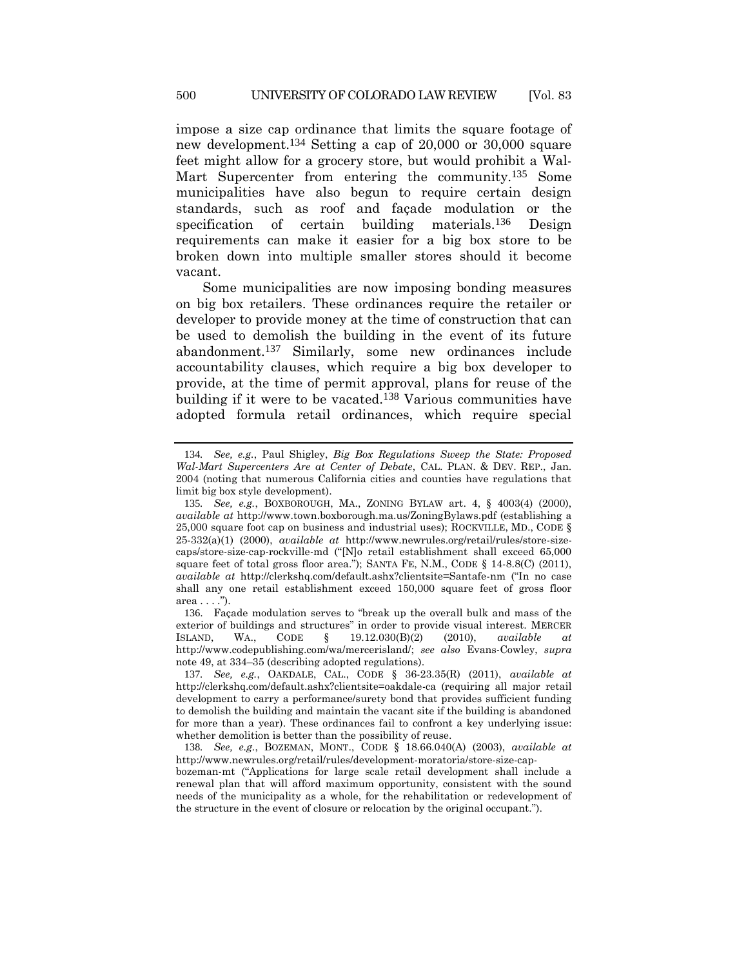impose a size cap ordinance that limits the square footage of new development.134 Setting a cap of 20,000 or 30,000 square feet might allow for a grocery store, but would prohibit a Wal-Mart Supercenter from entering the community.<sup>135</sup> Some municipalities have also begun to require certain design standards, such as roof and façade modulation or the specification of certain building materials.136 Design requirements can make it easier for a big box store to be broken down into multiple smaller stores should it become vacant.

Some municipalities are now imposing bonding measures on big box retailers. These ordinances require the retailer or developer to provide money at the time of construction that can be used to demolish the building in the event of its future abandonment.137 Similarly, some new ordinances include accountability clauses, which require a big box developer to provide, at the time of permit approval, plans for reuse of the building if it were to be vacated.138 Various communities have adopted formula retail ordinances, which require special

136. Façade modulation serves to "break up the overall bulk and mass of the exterior of buildings and structures" in order to provide visual interest. MERCER ISLAND, WA., CODE § 19.12.030(B)(2) (2010), *available at* http://www.codepublishing.com/wa/mercerisland/; *see also* Evans-Cowley, *supra*  note 49, at 334–35 (describing adopted regulations).

<sup>134</sup>*. See, e.g.*, Paul Shigley, *Big Box Regulations Sweep the State: Proposed Wal-Mart Supercenters Are at Center of Debate*, CAL. PLAN. & DEV. REP., Jan. 2004 (noting that numerous California cities and counties have regulations that limit big box style development).

<sup>135</sup>*. See, e.g.*, BOXBOROUGH, MA., ZONING BYLAW art. 4, § 4003(4) (2000), *available at* http://www.town.boxborough.ma.us/ZoningBylaws.pdf (establishing a 25,000 square foot cap on business and industrial uses); ROCKVILLE, MD., CODE § 25-332(a)(1) (2000), *available at* http://www.newrules.org/retail/rules/store-sizecaps/store-size-cap-rockville-md ("[N]o retail establishment shall exceed 65,000 square feet of total gross floor area."); SANTA FE, N.M., CODE § 14-8.8(C) (2011), *available at* http://clerkshq.com/default.ashx?clientsite=Santafe-nm ("In no case shall any one retail establishment exceed 150,000 square feet of gross floor  $area \dots$ ").

<sup>137</sup>*. See, e.g.*, OAKDALE, CAL., CODE § 36-23.35(R) (2011), *available at* http://clerkshq.com/default.ashx?clientsite=oakdale-ca (requiring all major retail development to carry a performance/surety bond that provides sufficient funding to demolish the building and maintain the vacant site if the building is abandoned for more than a year). These ordinances fail to confront a key underlying issue: whether demolition is better than the possibility of reuse.

<sup>138</sup>*. See, e.g.*, BOZEMAN, MONT., CODE § 18.66.040(A) (2003), *available at* http://www.newrules.org/retail/rules/development-moratoria/store-size-cap-

bozeman-mt ("Applications for large scale retail development shall include a renewal plan that will afford maximum opportunity, consistent with the sound needs of the municipality as a whole, for the rehabilitation or redevelopment of the structure in the event of closure or relocation by the original occupant.").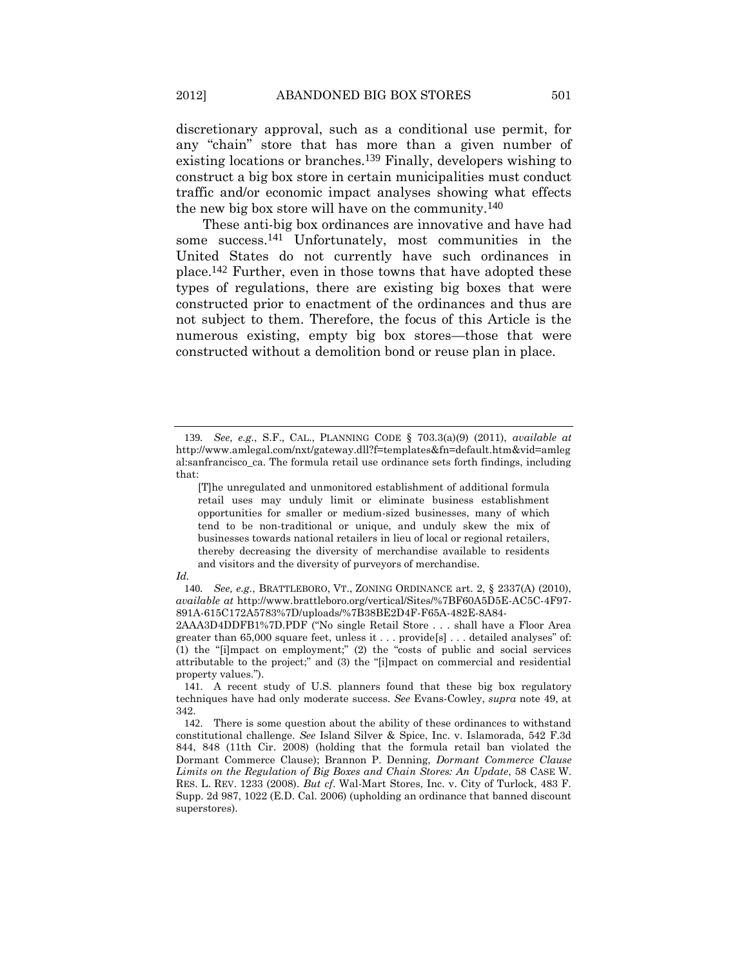discretionary approval, such as a conditional use permit, for any "chain" store that has more than a given number of existing locations or branches.139 Finally, developers wishing to construct a big box store in certain municipalities must conduct traffic and/or economic impact analyses showing what effects the new big box store will have on the community.140

These anti-big box ordinances are innovative and have had some success.141 Unfortunately, most communities in the United States do not currently have such ordinances in place.142 Further, even in those towns that have adopted these types of regulations, there are existing big boxes that were constructed prior to enactment of the ordinances and thus are not subject to them. Therefore, the focus of this Article is the numerous existing, empty big box stores—those that were constructed without a demolition bond or reuse plan in place.

<sup>139</sup>*. See, e.g.*, S.F., CAL., PLANNING CODE § 703.3(a)(9) (2011), *available at* http://www.amlegal.com/nxt/gateway.dll?f=templates&fn=default.htm&vid=amleg al:sanfrancisco\_ca. The formula retail use ordinance sets forth findings, including that:

<sup>[</sup>T]he unregulated and unmonitored establishment of additional formula retail uses may unduly limit or eliminate business establishment opportunities for smaller or medium-sized businesses, many of which tend to be non-traditional or unique, and unduly skew the mix of businesses towards national retailers in lieu of local or regional retailers, thereby decreasing the diversity of merchandise available to residents and visitors and the diversity of purveyors of merchandise.

*Id.*

<sup>140</sup>*. See, e.g.*, BRATTLEBORO, VT., ZONING ORDINANCE art. 2, § 2337(A) (2010), *available at* http://www.brattleboro.org/vertical/Sites/%7BF60A5D5E-AC5C-4F97- 891A-615C172A5783%7D/uploads/%7B38BE2D4F-F65A-482E-8A84-

<sup>2</sup>AAA3D4DDFB1%7D.PDF ("No single Retail Store . . . shall have a Floor Area greater than 65,000 square feet, unless it . . . provide[s] . . . detailed analyses" of: (1) the "[i]mpact on employment;" (2) the "costs of public and social services attributable to the project;" and (3) the "[i]mpact on commercial and residential property values.").

<sup>141</sup>. A recent study of U.S. planners found that these big box regulatory techniques have had only moderate success. *See* Evans-Cowley, *supra* note [49,](#page-12-0) at 342.

<sup>142</sup>. There is some question about the ability of these ordinances to withstand constitutional challenge. *See* Island Silver & Spice, Inc. v. Islamorada, 542 F.3d 844, 848 (11th Cir. 2008) (holding that the formula retail ban violated the Dormant Commerce Clause); Brannon P. Denning, *Dormant Commerce Clause Limits on the Regulation of Big Boxes and Chain Stores: An Update*, 58 CASE W. RES. L. REV. 1233 (2008). *But cf*. Wal-Mart Stores, Inc. v. City of Turlock, 483 F. Supp. 2d 987, 1022 (E.D. Cal. 2006) (upholding an ordinance that banned discount superstores).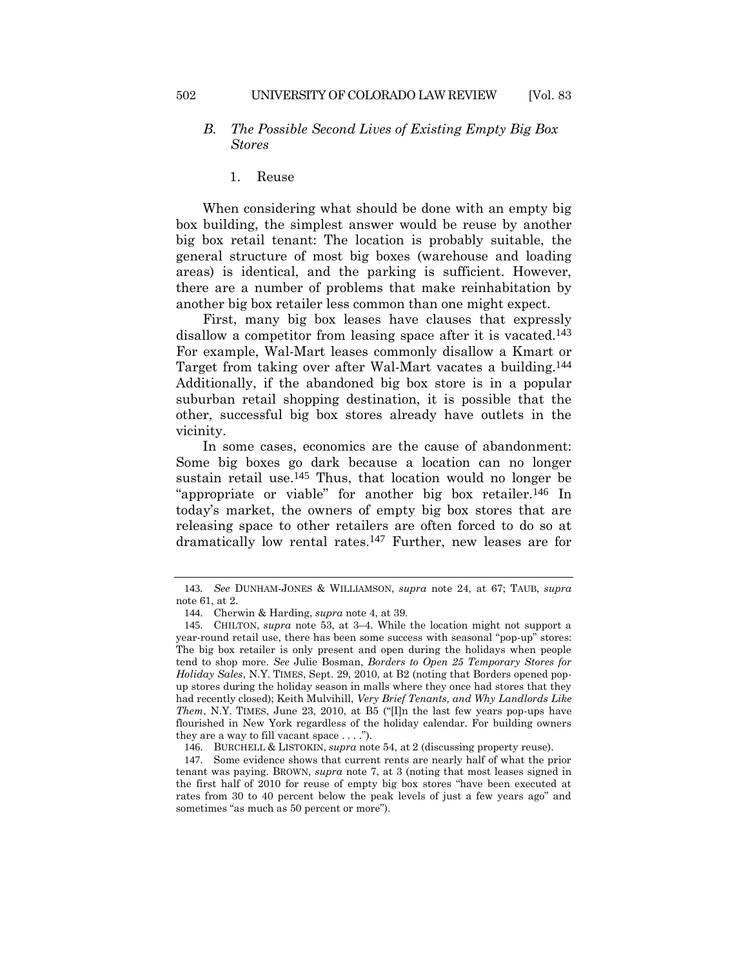# *B. The Possible Second Lives of Existing Empty Big Box Stores*

1. Reuse

When considering what should be done with an empty big box building, the simplest answer would be reuse by another big box retail tenant: The location is probably suitable, the general structure of most big boxes (warehouse and loading areas) is identical, and the parking is sufficient. However, there are a number of problems that make reinhabitation by another big box retailer less common than one might expect.

First, many big box leases have clauses that expressly disallow a competitor from leasing space after it is vacated.<sup>143</sup> For example, Wal-Mart leases commonly disallow a Kmart or Target from taking over after Wal-Mart vacates a building.144 Additionally, if the abandoned big box store is in a popular suburban retail shopping destination, it is possible that the other, successful big box stores already have outlets in the vicinity.

In some cases, economics are the cause of abandonment: Some big boxes go dark because a location can no longer sustain retail use.<sup>145</sup> Thus, that location would no longer be "appropriate or viable" for another big box retailer.146 In today's market, the owners of empty big box stores that are releasing space to other retailers are often forced to do so at dramatically low rental rates.147 Further, new leases are for

<sup>143</sup>*. See* DUNHAM-JONES & WILLIAMSON, *supra* note [24,](#page-8-0) at 67; TAUB, *supra* not[e 61,](#page-16-0) at 2.

<sup>144</sup>. Cherwin & Harding, *supra* note [4,](#page-3-4) at 39.

<sup>145</sup>. CHILTON, *supra* note [53,](#page-14-0) at 3–4. While the location might not support a year-round retail use, there has been some success with seasonal "pop-up" stores: The big box retailer is only present and open during the holidays when people tend to shop more. *See* Julie Bosman, *Borders to Open 25 Temporary Stores for Holiday Sales*, N.Y. TIMES, Sept. 29, 2010, at B2 (noting that Borders opened popup stores during the holiday season in malls where they once had stores that they had recently closed); Keith Mulvihill, *Very Brief Tenants, and Why Landlords Like Them*, N.Y. TIMES, June 23, 2010, at B5 ("[I]n the last few years pop-ups have flourished in New York regardless of the holiday calendar. For building owners they are a way to fill vacant space  $\dots$ .").

<sup>146</sup>. BURCHELL & LISTOKIN, *supra* not[e 54,](#page-14-1) at 2 (discussing property reuse).

<sup>147</sup>. Some evidence shows that current rents are nearly half of what the prior tenant was paying. BROWN, *supra* note [7,](#page-3-0) at 3 (noting that most leases signed in the first half of 2010 for reuse of empty big box stores "have been executed at rates from 30 to 40 percent below the peak levels of just a few years ago" and sometimes "as much as 50 percent or more").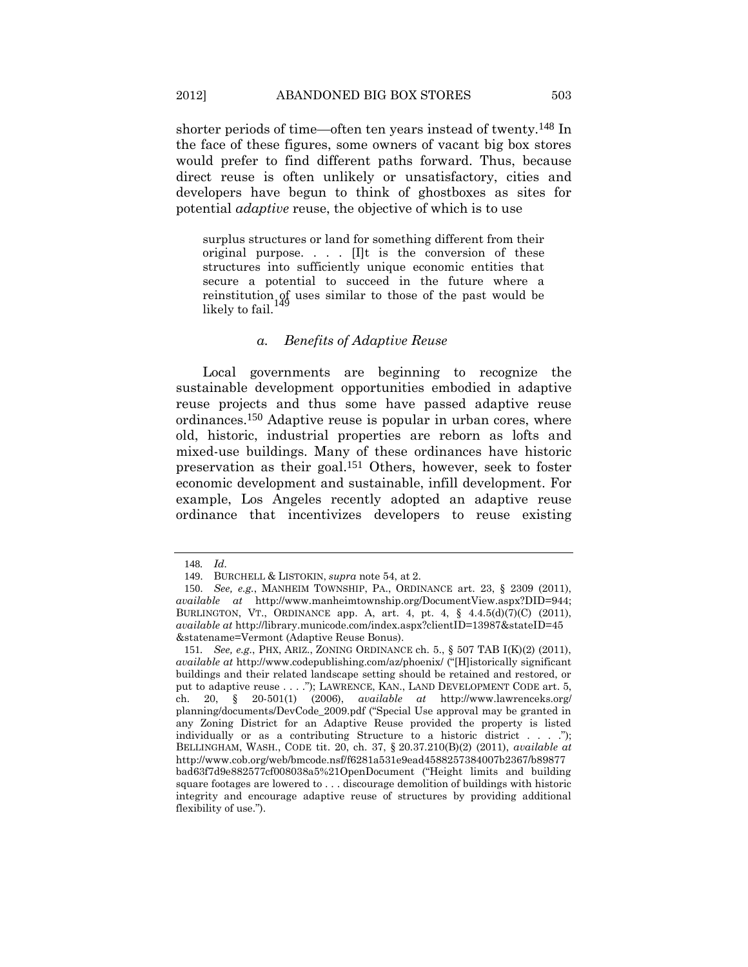shorter periods of time—often ten years instead of twenty.148 In the face of these figures, some owners of vacant big box stores would prefer to find different paths forward. Thus, because direct reuse is often unlikely or unsatisfactory, cities and developers have begun to think of ghostboxes as sites for potential *adaptive* reuse, the objective of which is to use

surplus structures or land for something different from their original purpose. . . . [I]t is the conversion of these structures into sufficiently unique economic entities that secure a potential to succeed in the future where a reinstitution  $\iint_{0}$  uses similar to those of the past would be likely to fail.

#### *a. Benefits of Adaptive Reuse*

Local governments are beginning to recognize the sustainable development opportunities embodied in adaptive reuse projects and thus some have passed adaptive reuse ordinances.150 Adaptive reuse is popular in urban cores, where old, historic, industrial properties are reborn as lofts and mixed-use buildings. Many of these ordinances have historic preservation as their goal.151 Others, however, seek to foster economic development and sustainable, infill development. For example, Los Angeles recently adopted an adaptive reuse ordinance that incentivizes developers to reuse existing

<sup>148</sup>*. Id.*

<sup>149</sup>. BURCHELL & LISTOKIN, *supra* not[e 54,](#page-14-1) at 2.

<sup>150</sup>. *See, e.g.*, MANHEIM TOWNSHIP, PA., ORDINANCE art. 23, § 2309 (2011), *available at* http://www.manheimtownship.org/DocumentView.aspx?DID=944; BURLINGTON, VT., ORDINANCE app. A, art. 4, pt. 4, § 4.4.5(d)(7)(C) (2011), *available at* http://library.municode.com/index.aspx?clientID=13987&stateID=45 &statename=Vermont (Adaptive Reuse Bonus).

<sup>151</sup>*. See, e.g.*, PHX, ARIZ., ZONING ORDINANCE ch. 5., § 507 TAB I(K)(2) (2011), *available at* http://www.codepublishing.com/az/phoenix/ ("[H]istorically significant buildings and their related landscape setting should be retained and restored, or put to adaptive reuse . . . ."); LAWRENCE, KAN., LAND DEVELOPMENT CODE art. 5, ch. 20, § 20-501(1) (2006), *available at* http://www.lawrenceks.org/ planning/documents/DevCode\_2009.pdf ("Special Use approval may be granted in any Zoning District for an Adaptive Reuse provided the property is listed individually or as a contributing Structure to a historic district  $\dots$  ..."); BELLINGHAM, WASH., CODE tit. 20, ch. 37, § 20.37.210(B)(2) (2011), *available at* http://www.cob.org/web/bmcode.nsf/f6281a531e9ead4588257384007b2367/b89877 bad63f7d9e882577cf008038a5%21OpenDocument ("Height limits and building square footages are lowered to . . . discourage demolition of buildings with historic integrity and encourage adaptive reuse of structures by providing additional flexibility of use.").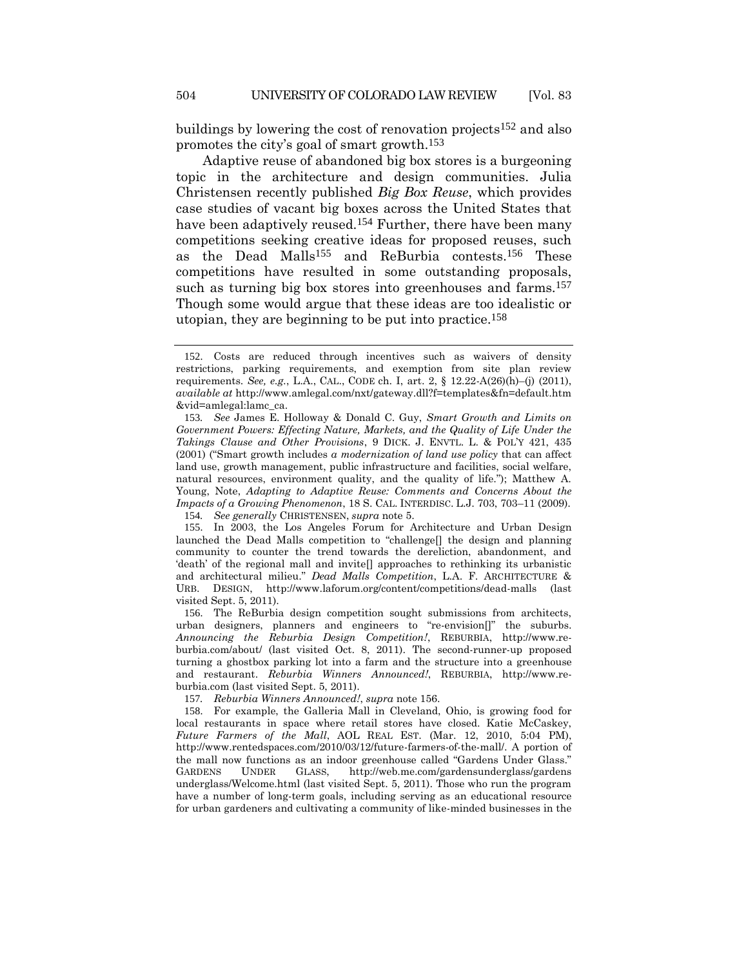buildings by lowering the cost of renovation projects152 and also promotes the city's goal of smart growth.153

<span id="page-33-0"></span>Adaptive reuse of abandoned big box stores is a burgeoning topic in the architecture and design communities. Julia Christensen recently published *Big Box Reuse*, which provides case studies of vacant big boxes across the United States that have been adaptively reused.<sup>154</sup> Further, there have been many competitions seeking creative ideas for proposed reuses, such as the Dead Malls<sup>155</sup> and ReBurbia contests.<sup>156</sup> These competitions have resulted in some outstanding proposals, such as turning big box stores into greenhouses and farms.<sup>157</sup> Though some would argue that these ideas are too idealistic or utopian, they are beginning to be put into practice.158

<sup>152</sup>. Costs are reduced through incentives such as waivers of density restrictions, parking requirements, and exemption from site plan review requirements. *See, e.g.*, L.A., CAL., CODE ch. I, art. 2, § 12.22-A(26)(h)–(j) (2011), *available at* http://www.amlegal.com/nxt/gateway.dll?f=templates&fn=default.htm &vid=amlegal:lamc\_ca.

<sup>153</sup>*. See* James E. Holloway & Donald C. Guy, *Smart Growth and Limits on Government Powers: Effecting Nature, Markets, and the Quality of Life Under the Takings Clause and Other Provisions*, 9 DICK. J. ENVTL. L. & POL'Y 421, 435 (2001) ("Smart growth includes *a modernization of land use policy* that can affect land use, growth management, public infrastructure and facilities, social welfare, natural resources, environment quality, and the quality of life."); Matthew A. Young, Note, *Adapting to Adaptive Reuse: Comments and Concerns About the Impacts of a Growing Phenomenon*, 18 S. CAL. INTERDISC. L.J. 703, 703–11 (2009).

<sup>154</sup>*. See generally* CHRISTENSEN, *supra* note [5.](#page-3-2)

<sup>155</sup>. In 2003, the Los Angeles Forum for Architecture and Urban Design launched the Dead Malls competition to "challenge[] the design and planning community to counter the trend towards the dereliction, abandonment, and 'death' of the regional mall and invite[] approaches to rethinking its urbanistic and architectural milieu." *Dead Malls Competition*, L.A. F. ARCHITECTURE & URB. DESIGN, http://www.laforum.org/content/competitions/dead-malls (last visited Sept. 5, 2011).

<sup>156</sup>. The ReBurbia design competition sought submissions from architects, urban designers, planners and engineers to "re-envision[]" the suburbs. *Announcing the Reburbia Design Competition!*, REBURBIA, http://www.reburbia.com/about/ (last visited Oct. 8, 2011). The second-runner-up proposed turning a ghostbox parking lot into a farm and the structure into a greenhouse and restaurant. *Reburbia Winners Announced!*, REBURBIA, http://www.reburbia.com (last visited Sept. 5, 2011).

<sup>157</sup>*. Reburbia Winners Announced!*, *supra* note [156.](#page-33-0)

<sup>158</sup>. For example, the Galleria Mall in Cleveland, Ohio, is growing food for local restaurants in space where retail stores have closed. Katie McCaskey, *Future Farmers of the Mall*, AOL REAL EST. (Mar. 12, 2010, 5:04 PM), http://www.rentedspaces.com/2010/03/12/future-farmers-of-the-mall/. A portion of the mall now functions as an indoor greenhouse called "Gardens Under Glass." GARDENS UNDER GLASS, http://web.me.com/gardensunderglass/gardens underglass/Welcome.html (last visited Sept. 5, 2011). Those who run the program have a number of long-term goals, including serving as an educational resource for urban gardeners and cultivating a community of like-minded businesses in the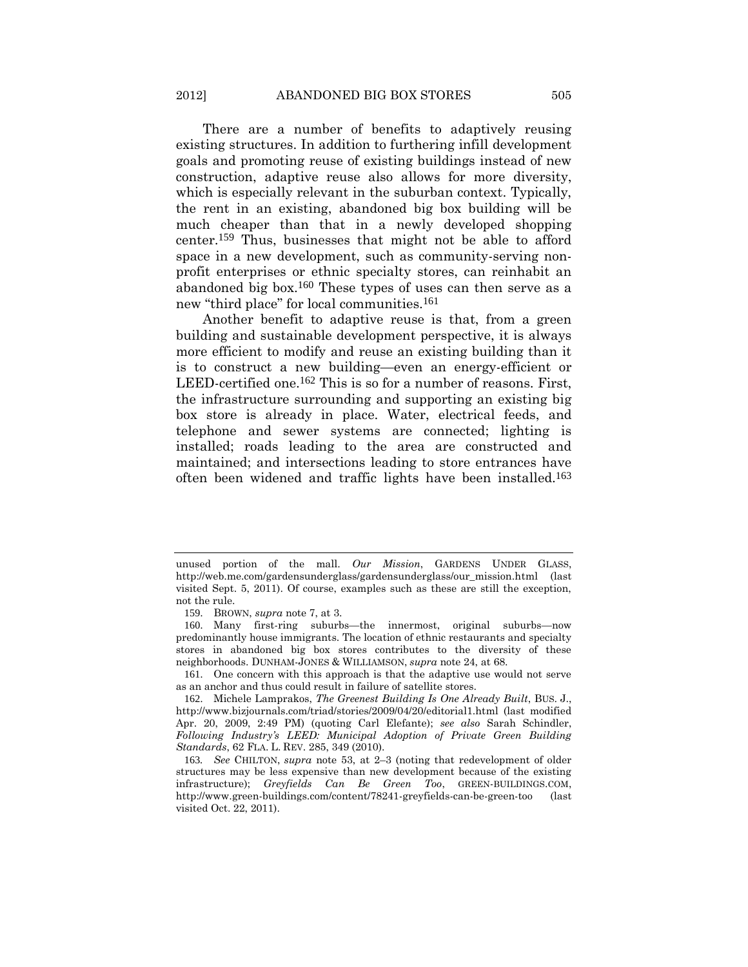There are a number of benefits to adaptively reusing existing structures. In addition to furthering infill development goals and promoting reuse of existing buildings instead of new construction, adaptive reuse also allows for more diversity, which is especially relevant in the suburban context. Typically, the rent in an existing, abandoned big box building will be much cheaper than that in a newly developed shopping center.159 Thus, businesses that might not be able to afford space in a new development, such as community-serving nonprofit enterprises or ethnic specialty stores, can reinhabit an abandoned big box.160 These types of uses can then serve as a new "third place" for local communities.161

<span id="page-34-0"></span>Another benefit to adaptive reuse is that, from a green building and sustainable development perspective, it is always more efficient to modify and reuse an existing building than it is to construct a new building—even an energy-efficient or LEED-certified one.<sup>162</sup> This is so for a number of reasons. First, the infrastructure surrounding and supporting an existing big box store is already in place. Water, electrical feeds, and telephone and sewer systems are connected; lighting is installed; roads leading to the area are constructed and maintained; and intersections leading to store entrances have often been widened and traffic lights have been installed.163

unused portion of the mall. *Our Mission*, GARDENS UNDER GLASS, http://web.me.com/gardensunderglass/gardensunderglass/our\_mission.html (last visited Sept. 5, 2011). Of course, examples such as these are still the exception, not the rule.

<sup>159</sup>. BROWN, *supra* note [7,](#page-3-0) at 3.

<sup>160</sup>. Many first-ring suburbs—the innermost, original suburbs—now predominantly house immigrants. The location of ethnic restaurants and specialty stores in abandoned big box stores contributes to the diversity of these neighborhoods. DUNHAM-JONES & WILLIAMSON, *supra* not[e 24,](#page-8-0) at 68.

<sup>161</sup>. One concern with this approach is that the adaptive use would not serve as an anchor and thus could result in failure of satellite stores.

<sup>162</sup>. Michele Lamprakos, *The Greenest Building Is One Already Built*, BUS. J., http://www.bizjournals.com/triad/stories/2009/04/20/editorial1.html (last modified Apr. 20, 2009, 2:49 PM) (quoting Carl Elefante); *see also* Sarah Schindler, *Following Industry's LEED: Municipal Adoption of Private Green Building Standards*, 62 FLA. L. REV. 285, 349 (2010).

<sup>163</sup>*. See* CHILTON, *supra* note [53,](#page-14-0) at 2–3 (noting that redevelopment of older structures may be less expensive than new development because of the existing infrastructure); *Greyfields Can Be Green Too*, GREEN-BUILDINGS.COM, http://www.green-buildings.com/content/78241-greyfields-can-be-green-too (last visited Oct. 22, 2011).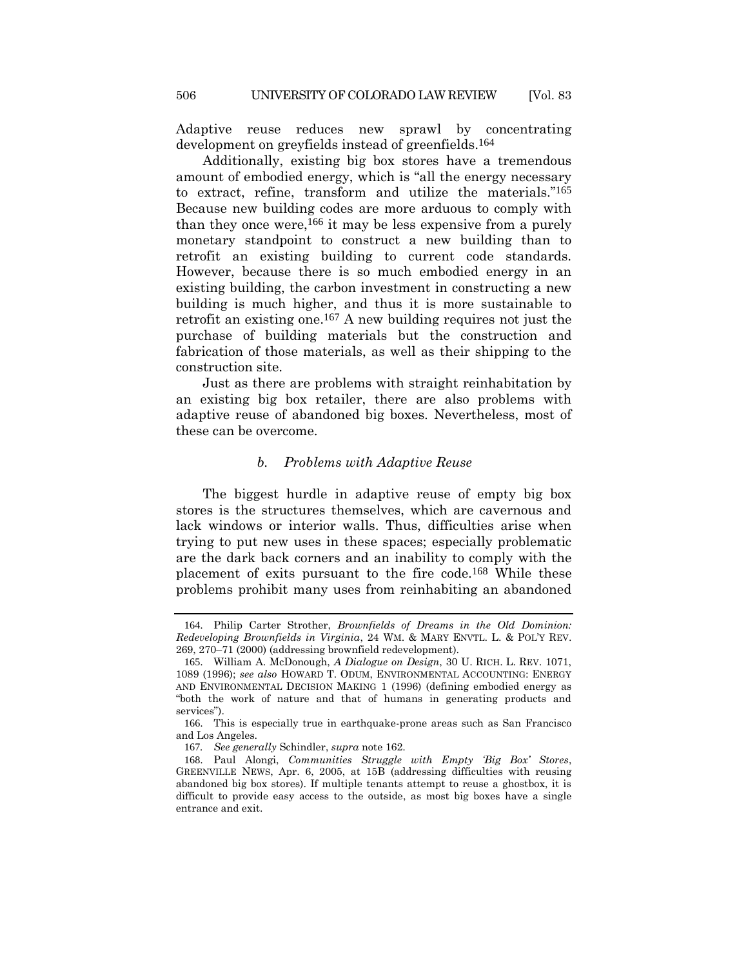Adaptive reuse reduces new sprawl by concentrating development on greyfields instead of greenfields.164

Additionally, existing big box stores have a tremendous amount of embodied energy, which is "all the energy necessary to extract, refine, transform and utilize the materials."165 Because new building codes are more arduous to comply with than they once were,<sup>166</sup> it may be less expensive from a purely monetary standpoint to construct a new building than to retrofit an existing building to current code standards. However, because there is so much embodied energy in an existing building, the carbon investment in constructing a new building is much higher, and thus it is more sustainable to retrofit an existing one.167 A new building requires not just the purchase of building materials but the construction and fabrication of those materials, as well as their shipping to the construction site.

Just as there are problems with straight reinhabitation by an existing big box retailer, there are also problems with adaptive reuse of abandoned big boxes. Nevertheless, most of these can be overcome.

# *b. Problems with Adaptive Reuse*

The biggest hurdle in adaptive reuse of empty big box stores is the structures themselves, which are cavernous and lack windows or interior walls. Thus, difficulties arise when trying to put new uses in these spaces; especially problematic are the dark back corners and an inability to comply with the placement of exits pursuant to the fire code.168 While these problems prohibit many uses from reinhabiting an abandoned

<sup>164</sup>. Philip Carter Strother, *Brownfields of Dreams in the Old Dominion: Redeveloping Brownfields in Virginia*, 24 WM. & MARY ENVTL. L. & POL'Y REV. 269, 270–71 (2000) (addressing brownfield redevelopment).

<sup>165</sup>. William A. McDonough, *A Dialogue on Design*, 30 U. RICH. L. REV. 1071, 1089 (1996); *see also* HOWARD T. ODUM, ENVIRONMENTAL ACCOUNTING: ENERGY AND ENVIRONMENTAL DECISION MAKING 1 (1996) (defining embodied energy as "both the work of nature and that of humans in generating products and services").

<sup>166</sup>. This is especially true in earthquake-prone areas such as San Francisco and Los Angeles.

<sup>167</sup>*. See generally* Schindler, *supra* not[e 162.](#page-34-0)

<sup>168</sup>. Paul Alongi, *Communities Struggle with Empty 'Big Box' Stores*, GREENVILLE NEWS, Apr. 6, 2005, at 15B (addressing difficulties with reusing abandoned big box stores). If multiple tenants attempt to reuse a ghostbox, it is difficult to provide easy access to the outside, as most big boxes have a single entrance and exit.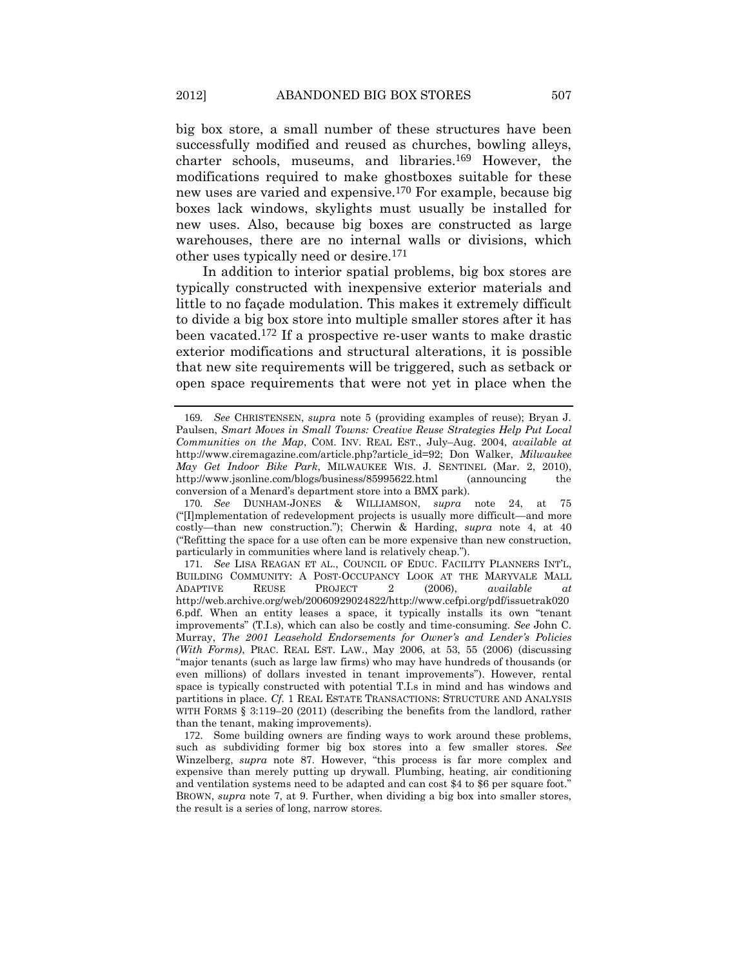<span id="page-36-0"></span>big box store, a small number of these structures have been successfully modified and reused as churches, bowling alleys, charter schools, museums, and libraries.169 However, the modifications required to make ghostboxes suitable for these new uses are varied and expensive.170 For example, because big boxes lack windows, skylights must usually be installed for new uses. Also, because big boxes are constructed as large warehouses, there are no internal walls or divisions, which other uses typically need or desire.171

In addition to interior spatial problems, big box stores are typically constructed with inexpensive exterior materials and little to no façade modulation. This makes it extremely difficult to divide a big box store into multiple smaller stores after it has been vacated.172 If a prospective re-user wants to make drastic exterior modifications and structural alterations, it is possible that new site requirements will be triggered, such as setback or open space requirements that were not yet in place when the

<sup>169</sup>*. See* CHRISTENSEN, *supra* note [5](#page-3-0) (providing examples of reuse); Bryan J. Paulsen, *Smart Moves in Small Towns: Creative Reuse Strategies Help Put Local Communities on the Map*, COM. INV. REAL EST., July–Aug. 2004, *available at* http://www.ciremagazine.com/article.php?article\_id=92; Don Walker, *Milwaukee May Get Indoor Bike Park*, MILWAUKEE WIS. J. SENTINEL (Mar. 2, 2010), http://www.jsonline.com/blogs/business/85995622.html (announcing the conversion of a Menard's department store into a BMX park).

<sup>170</sup>*. See* DUNHAM-JONES & WILLIAMSON, *supra* note [24,](#page-8-0) at 75 ("[I]mplementation of redevelopment projects is usually more difficult—and more costly—than new construction."); Cherwin & Harding, *supra* note [4,](#page-3-1) at 40 ("Refitting the space for a use often can be more expensive than new construction, particularly in communities where land is relatively cheap.").

<sup>171</sup>*. See* LISA REAGAN ET AL., COUNCIL OF EDUC. FACILITY PLANNERS INT'L, BUILDING COMMUNITY: A POST-OCCUPANCY LOOK AT THE MARYVALE MALL ADAPTIVE REUSE PROJECT 2 (2006), *available at* http://web.archive.org/web/20060929024822/http://www.cefpi.org/pdf/issuetrak020 6.pdf. When an entity leases a space, it typically installs its own "tenant improvements" (T.I.s), which can also be costly and time-consuming. *See* John C. Murray, *The 2001 Leasehold Endorsements for Owner's and Lender's Policies (With Forms)*, PRAC. REAL EST. LAW., May 2006, at 53, 55 (2006) (discussing "major tenants (such as large law firms) who may have hundreds of thousands (or even millions) of dollars invested in tenant improvements"). However, rental space is typically constructed with potential T.I.s in mind and has windows and partitions in place. *Cf.* 1 REAL ESTATE TRANSACTIONS: STRUCTURE AND ANALYSIS WITH FORMS § 3:119–20 (2011) (describing the benefits from the landlord, rather than the tenant, making improvements).

<sup>172</sup>. Some building owners are finding ways to work around these problems, such as subdividing former big box stores into a few smaller stores. *See*  Winzelberg, *supra* note [87](#page-20-0). However, "this process is far more complex and expensive than merely putting up drywall. Plumbing, heating, air conditioning and ventilation systems need to be adapted and can cost \$4 to \$6 per square foot." BROWN, *supra* note [7,](#page-3-2) at 9. Further, when dividing a big box into smaller stores, the result is a series of long, narrow stores.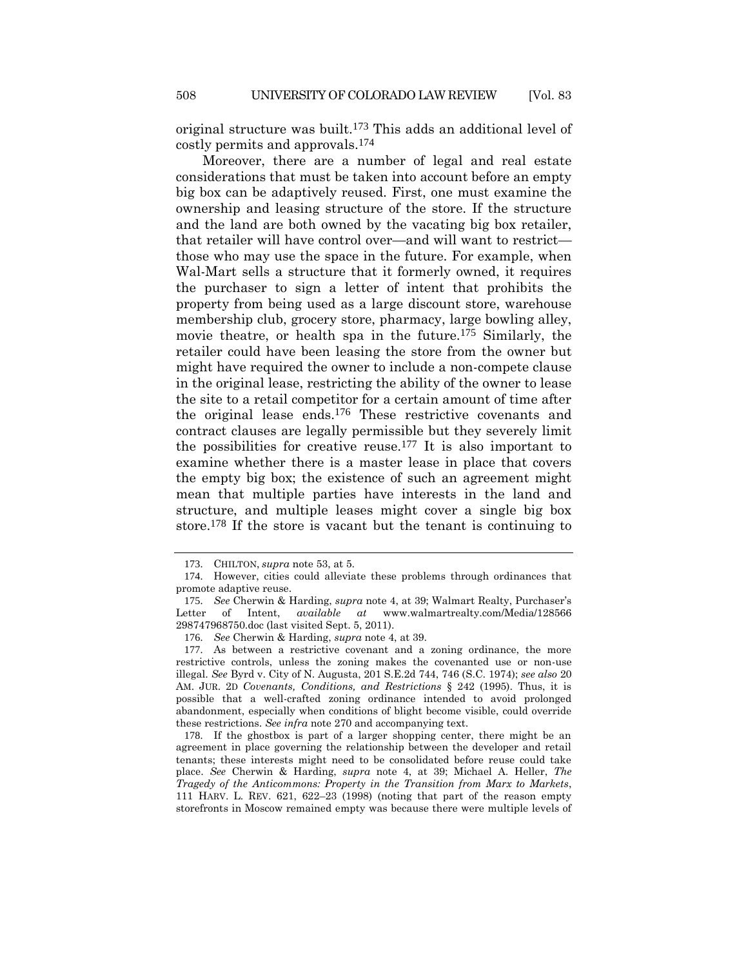original structure was built.173 This adds an additional level of costly permits and approvals.174

Moreover, there are a number of legal and real estate considerations that must be taken into account before an empty big box can be adaptively reused. First, one must examine the ownership and leasing structure of the store. If the structure and the land are both owned by the vacating big box retailer, that retailer will have control over—and will want to restrict those who may use the space in the future. For example, when Wal-Mart sells a structure that it formerly owned, it requires the purchaser to sign a letter of intent that prohibits the property from being used as a large discount store, warehouse membership club, grocery store, pharmacy, large bowling alley, movie theatre, or health spa in the future.175 Similarly, the retailer could have been leasing the store from the owner but might have required the owner to include a non-compete clause in the original lease, restricting the ability of the owner to lease the site to a retail competitor for a certain amount of time after the original lease ends.176 These restrictive covenants and contract clauses are legally permissible but they severely limit the possibilities for creative reuse.177 It is also important to examine whether there is a master lease in place that covers the empty big box; the existence of such an agreement might mean that multiple parties have interests in the land and structure, and multiple leases might cover a single big box store.178 If the store is vacant but the tenant is continuing to

<sup>173</sup>. CHILTON, *supra* note [53,](#page-14-0) at 5.

<sup>174</sup>. However, cities could alleviate these problems through ordinances that promote adaptive reuse.

<sup>175</sup>. *See* Cherwin & Harding, *supra* note [4](#page-3-1), at 39; Walmart Realty, Purchaser's Letter of Intent, *available at* www.walmartrealty.com/Media/128566 298747968750.doc (last visited Sept. 5, 2011).

<sup>176</sup>. *See* Cherwin & Harding, *supra* note [4,](#page-3-1) at 39.

<sup>177</sup>. As between a restrictive covenant and a zoning ordinance, the more restrictive controls, unless the zoning makes the covenanted use or non-use illegal. *See* Byrd v. City of N. Augusta, 201 S.E.2d 744, 746 (S.C. 1974); *see also* 20 AM. JUR. 2D *Covenants, Conditions, and Restrictions* § 242 (1995). Thus, it is possible that a well-crafted zoning ordinance intended to avoid prolonged abandonment, especially when conditions of blight become visible, could override these restrictions. *See infra* note [270](#page-61-0) and accompanying text.

<sup>178</sup>. If the ghostbox is part of a larger shopping center, there might be an agreement in place governing the relationship between the developer and retail tenants; these interests might need to be consolidated before reuse could take place. *See* Cherwin & Harding, *supra* note [4,](#page-3-1) at 39; Michael A. Heller, *The Tragedy of the Anticommons: Property in the Transition from Marx to Markets*, 111 HARV. L. REV. 621, 622–23 (1998) (noting that part of the reason empty storefronts in Moscow remained empty was because there were multiple levels of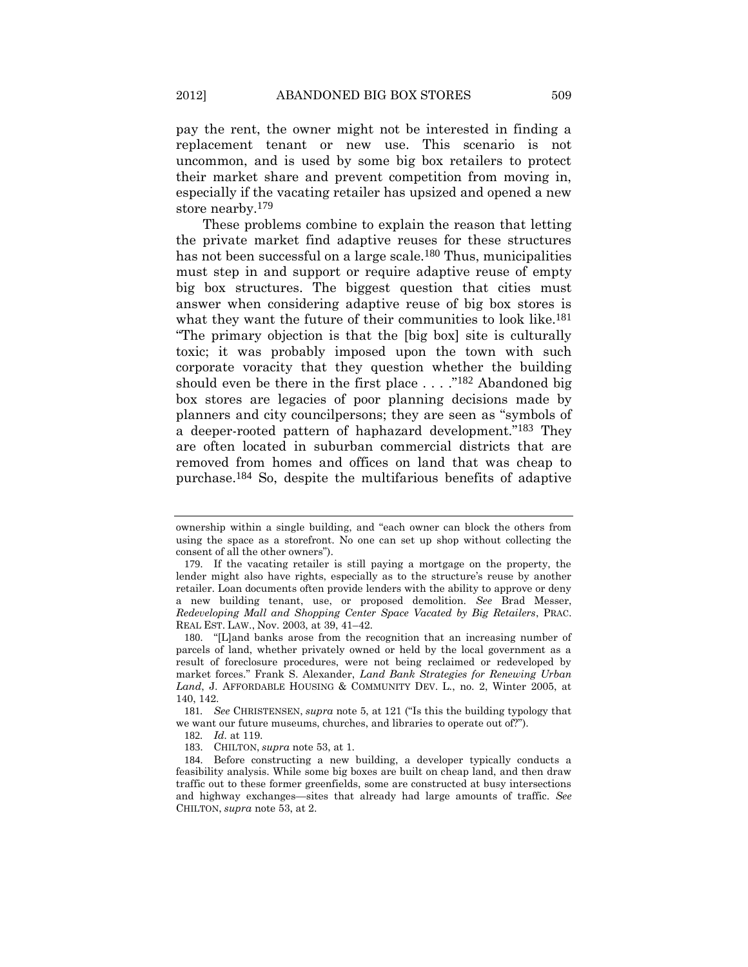pay the rent, the owner might not be interested in finding a replacement tenant or new use. This scenario is not uncommon, and is used by some big box retailers to protect their market share and prevent competition from moving in, especially if the vacating retailer has upsized and opened a new store nearby.<sup>179</sup>

<span id="page-38-0"></span>These problems combine to explain the reason that letting the private market find adaptive reuses for these structures has not been successful on a large scale.<sup>180</sup> Thus, municipalities must step in and support or require adaptive reuse of empty big box structures. The biggest question that cities must answer when considering adaptive reuse of big box stores is what they want the future of their communities to look like.<sup>181</sup> "The primary objection is that the [big box] site is culturally toxic; it was probably imposed upon the town with such corporate voracity that they question whether the building should even be there in the first place . . . ."182 Abandoned big box stores are legacies of poor planning decisions made by planners and city councilpersons; they are seen as "symbols of a deeper-rooted pattern of haphazard development."183 They are often located in suburban commercial districts that are removed from homes and offices on land that was cheap to purchase.184 So, despite the multifarious benefits of adaptive

ownership within a single building, and "each owner can block the others from using the space as a storefront. No one can set up shop without collecting the consent of all the other owners").

<sup>179</sup>. If the vacating retailer is still paying a mortgage on the property, the lender might also have rights, especially as to the structure's reuse by another retailer. Loan documents often provide lenders with the ability to approve or deny a new building tenant, use, or proposed demolition. *See* Brad Messer, *Redeveloping Mall and Shopping Center Space Vacated by Big Retailers*, PRAC. REAL EST. LAW., Nov. 2003, at 39, 41–42.

<sup>180</sup>. "[L]and banks arose from the recognition that an increasing number of parcels of land, whether privately owned or held by the local government as a result of foreclosure procedures, were not being reclaimed or redeveloped by market forces." Frank S. Alexander, *Land Bank Strategies for Renewing Urban Land*, J. AFFORDABLE HOUSING & COMMUNITY DEV. L., no. 2, Winter 2005, at 140, 142.

<sup>181</sup>*. See* CHRISTENSEN, *supra* note [5,](#page-3-0) at 121 ("Is this the building typology that we want our future museums, churches, and libraries to operate out of?").

<sup>182</sup>*. Id.* at 119.

<sup>183</sup>. CHILTON, *supra* note [53,](#page-14-0) at 1.

<sup>184</sup>. Before constructing a new building, a developer typically conducts a feasibility analysis. While some big boxes are built on cheap land, and then draw traffic out to these former greenfields, some are constructed at busy intersections and highway exchanges—sites that already had large amounts of traffic. *See*  CHILTON, *supra* note [53,](#page-14-0) at 2.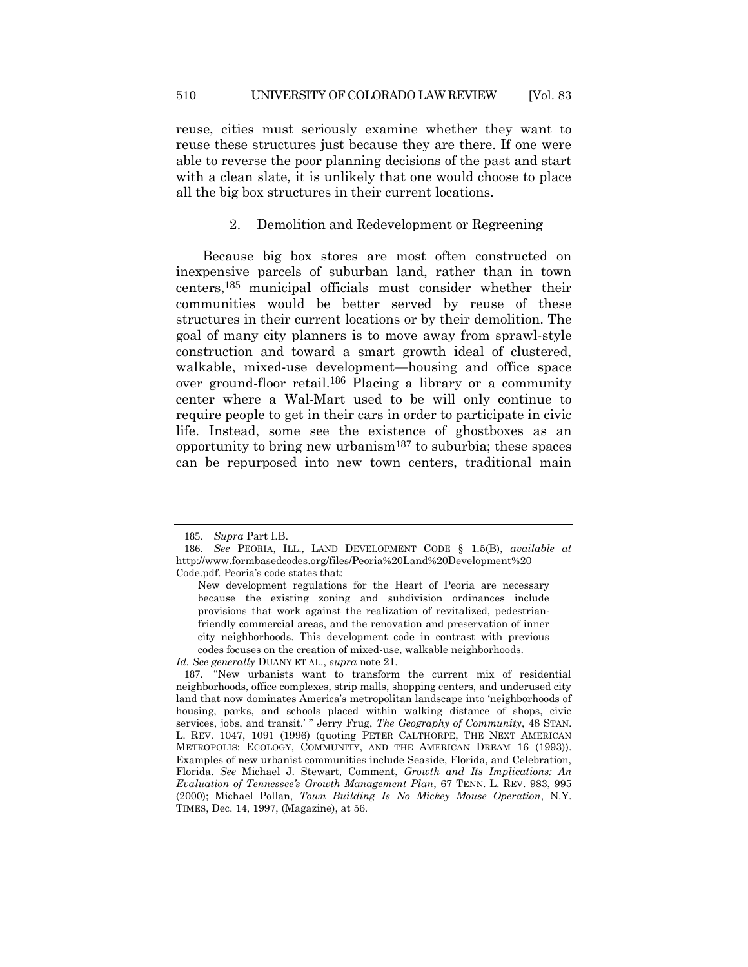reuse, cities must seriously examine whether they want to reuse these structures just because they are there. If one were able to reverse the poor planning decisions of the past and start with a clean slate, it is unlikely that one would choose to place all the big box structures in their current locations.

### 2. Demolition and Redevelopment or Regreening

Because big box stores are most often constructed on inexpensive parcels of suburban land, rather than in town centers,185 municipal officials must consider whether their communities would be better served by reuse of these structures in their current locations or by their demolition. The goal of many city planners is to move away from sprawl-style construction and toward a smart growth ideal of clustered, walkable, mixed-use development—housing and office space over ground-floor retail.186 Placing a library or a community center where a Wal-Mart used to be will only continue to require people to get in their cars in order to participate in civic life. Instead, some see the existence of ghostboxes as an opportunity to bring new urbanism<sup>187</sup> to suburbia; these spaces can be repurposed into new town centers, traditional main

*Id. See generally* DUANY ET AL., *supra* note [21.](#page-7-0)

<sup>185</sup>*. Supra* Part I.B.

<sup>186</sup>*. See* PEORIA, ILL., LAND DEVELOPMENT CODE § 1.5(B), *available at* http://www.formbasedcodes.org/files/Peoria%20Land%20Development%20 Code.pdf. Peoria's code states that:

New development regulations for the Heart of Peoria are necessary because the existing zoning and subdivision ordinances include provisions that work against the realization of revitalized, pedestrianfriendly commercial areas, and the renovation and preservation of inner city neighborhoods. This development code in contrast with previous codes focuses on the creation of mixed-use, walkable neighborhoods.

<sup>187</sup>. "New urbanists want to transform the current mix of residential neighborhoods, office complexes, strip malls, shopping centers, and underused city land that now dominates America's metropolitan landscape into 'neighborhoods of housing, parks, and schools placed within walking distance of shops, civic services, jobs, and transit.' " Jerry Frug, *The Geography of Community*, 48 STAN. L. REV. 1047, 1091 (1996) (quoting PETER CALTHORPE, THE NEXT AMERICAN METROPOLIS: ECOLOGY, COMMUNITY, AND THE AMERICAN DREAM 16 (1993)). Examples of new urbanist communities include Seaside, Florida, and Celebration, Florida. *See* Michael J. Stewart, Comment, *Growth and Its Implications: An Evaluation of Tennessee's Growth Management Plan*, 67 TENN. L. REV. 983, 995 (2000); Michael Pollan, *Town Building Is No Mickey Mouse Operation*, N.Y. TIMES, Dec. 14, 1997, (Magazine), at 56.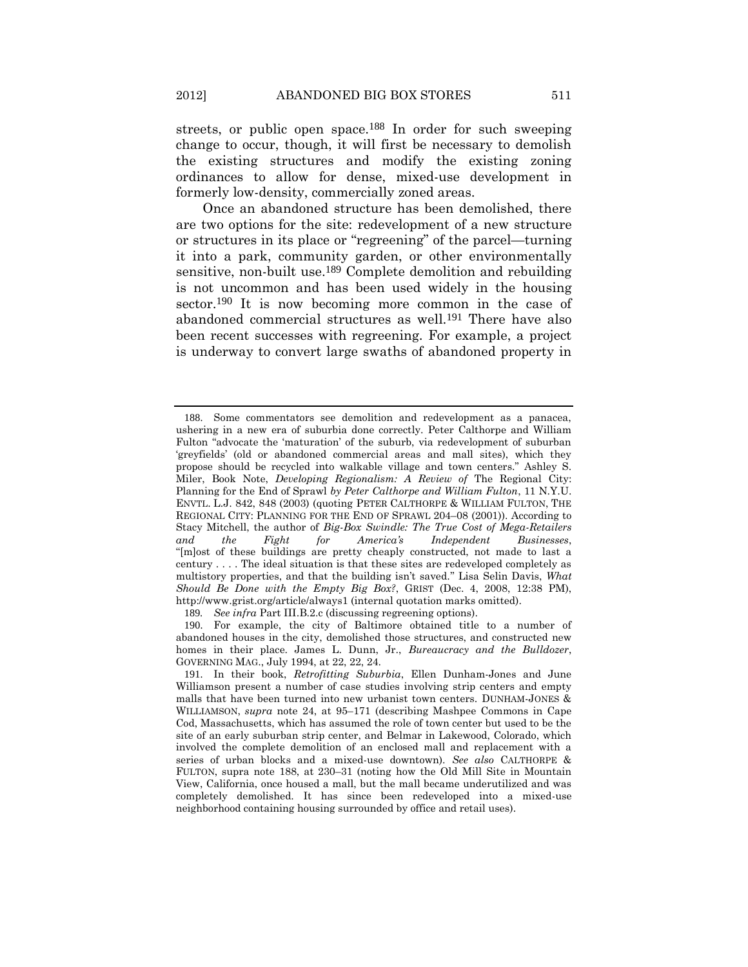<span id="page-40-0"></span>streets, or public open space.<sup>188</sup> In order for such sweeping change to occur, though, it will first be necessary to demolish the existing structures and modify the existing zoning ordinances to allow for dense, mixed-use development in formerly low-density, commercially zoned areas.

<span id="page-40-1"></span>Once an abandoned structure has been demolished, there are two options for the site: redevelopment of a new structure or structures in its place or "regreening" of the parcel—turning it into a park, community garden, or other environmentally sensitive, non-built use.<sup>189</sup> Complete demolition and rebuilding is not uncommon and has been used widely in the housing sector.190 It is now becoming more common in the case of abandoned commercial structures as well.191 There have also been recent successes with regreening. For example, a project is underway to convert large swaths of abandoned property in

<sup>188</sup>. Some commentators see demolition and redevelopment as a panacea, ushering in a new era of suburbia done correctly. Peter Calthorpe and William Fulton "advocate the 'maturation' of the suburb, via redevelopment of suburban 'greyfields' (old or abandoned commercial areas and mall sites), which they propose should be recycled into walkable village and town centers." Ashley S. Miler, Book Note, *Developing Regionalism: A Review of* The Regional City: Planning for the End of Sprawl *by Peter Calthorpe and William Fulton*, 11 N.Y.U. ENVTL. L.J. 842, 848 (2003) (quoting PETER CALTHORPE & WILLIAM FULTON, THE REGIONAL CITY: PLANNING FOR THE END OF SPRAWL 204–08 (2001)). According to Stacy Mitchell, the author of *Big-Box Swindle: The True Cost of Mega-Retailers and the Fight for America's Independent Businesses*, "[m]ost of these buildings are pretty cheaply constructed, not made to last a century . . . . The ideal situation is that these sites are redeveloped completely as multistory properties, and that the building isn't saved." Lisa Selin Davis, *What Should Be Done with the Empty Big Box?*, GRIST (Dec. 4, 2008, 12:38 PM), http://www.grist.org/article/always1 (internal quotation marks omitted).

<sup>189</sup>*. See infra* Part III.B.2.c (discussing regreening options).

<sup>190</sup>. For example, the city of Baltimore obtained title to a number of abandoned houses in the city, demolished those structures, and constructed new homes in their place. James L. Dunn, Jr., *Bureaucracy and the Bulldozer*, GOVERNING MAG., July 1994, at 22, 22, 24.

<sup>191</sup>. In their book, *Retrofitting Suburbia*, Ellen Dunham-Jones and June Williamson present a number of case studies involving strip centers and empty malls that have been turned into new urbanist town centers. DUNHAM-JONES & WILLIAMSON, *supra* note [24,](#page-8-0) at 95–171 (describing Mashpee Commons in Cape Cod, Massachusetts, which has assumed the role of town center but used to be the site of an early suburban strip center, and Belmar in Lakewood, Colorado, which involved the complete demolition of an enclosed mall and replacement with a series of urban blocks and a mixed-use downtown). *See also* CALTHORPE & FULTON, supra note [188,](#page-40-0) at 230–31 (noting how the Old Mill Site in Mountain View, California, once housed a mall, but the mall became underutilized and was completely demolished. It has since been redeveloped into a mixed-use neighborhood containing housing surrounded by office and retail uses).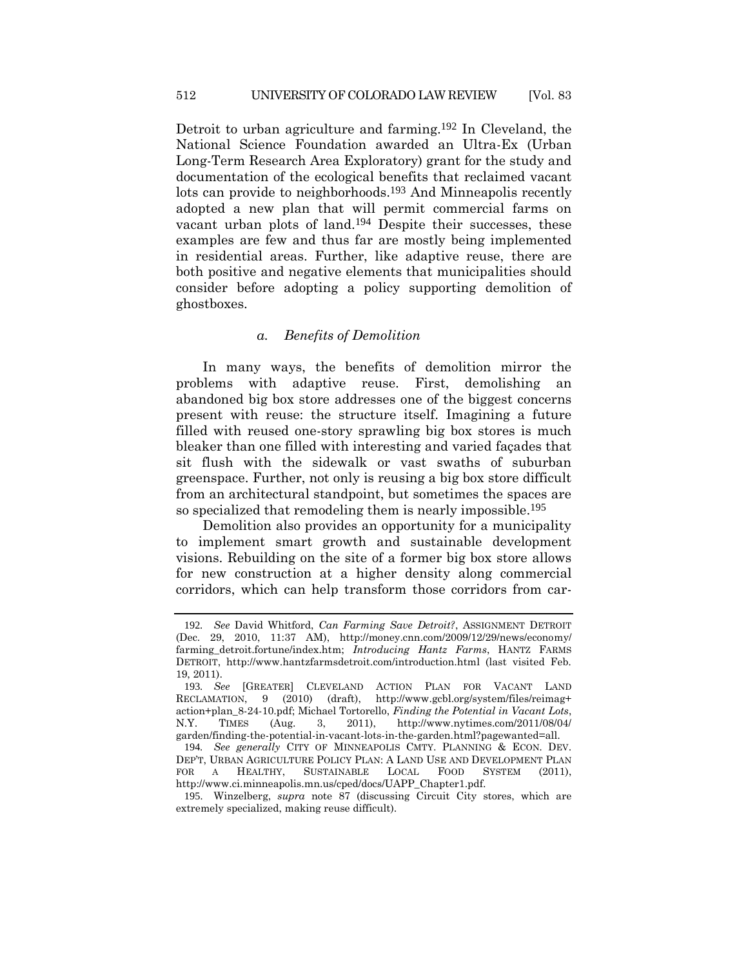Detroit to urban agriculture and farming.192 In Cleveland, the National Science Foundation awarded an Ultra-Ex (Urban Long-Term Research Area Exploratory) grant for the study and documentation of the ecological benefits that reclaimed vacant lots can provide to neighborhoods.193 And Minneapolis recently adopted a new plan that will permit commercial farms on vacant urban plots of land.194 Despite their successes, these examples are few and thus far are mostly being implemented in residential areas. Further, like adaptive reuse, there are both positive and negative elements that municipalities should consider before adopting a policy supporting demolition of ghostboxes.

## *a. Benefits of Demolition*

In many ways, the benefits of demolition mirror the problems with adaptive reuse. First, demolishing an abandoned big box store addresses one of the biggest concerns present with reuse: the structure itself. Imagining a future filled with reused one-story sprawling big box stores is much bleaker than one filled with interesting and varied façades that sit flush with the sidewalk or vast swaths of suburban greenspace. Further, not only is reusing a big box store difficult from an architectural standpoint, but sometimes the spaces are so specialized that remodeling them is nearly impossible. 195

Demolition also provides an opportunity for a municipality to implement smart growth and sustainable development visions. Rebuilding on the site of a former big box store allows for new construction at a higher density along commercial corridors, which can help transform those corridors from car-

<sup>192</sup>*. See* David Whitford, *Can Farming Save Detroit?*, ASSIGNMENT DETROIT (Dec. 29, 2010, 11:37 AM), http://money.cnn.com/2009/12/29/news/economy/ farming\_detroit.fortune/index.htm; *Introducing Hantz Farms*, HANTZ FARMS DETROIT, http://www.hantzfarmsdetroit.com/introduction.html (last visited Feb. 19, 2011).

<sup>193</sup>*. See* [GREATER] CLEVELAND ACTION PLAN FOR VACANT LAND RECLAMATION, 9 (2010) (draft), http://www.gcbl.org/system/files/reimag+ action+plan\_8-24-10.pdf; Michael Tortorello, *Finding the Potential in Vacant Lots*, N.Y. TIMES (Aug. 3, 2011), http://www.nytimes.com/2011/08/04/ garden/finding-the-potential-in-vacant-lots-in-the-garden.html?pagewanted=all.

<sup>194</sup>*. See generally* CITY OF MINNEAPOLIS CMTY. PLANNING & ECON. DEV. DEP'T, URBAN AGRICULTURE POLICY PLAN: A LAND USE AND DEVELOPMENT PLAN FOR A HEALTHY, SUSTAINABLE LOCAL FOOD SYSTEM (2011), http://www.ci.minneapolis.mn.us/cped/docs/UAPP\_Chapter1.pdf.

<sup>195</sup>. Winzelberg, *supra* note [87](#page-20-0) (discussing Circuit City stores, which are extremely specialized, making reuse difficult).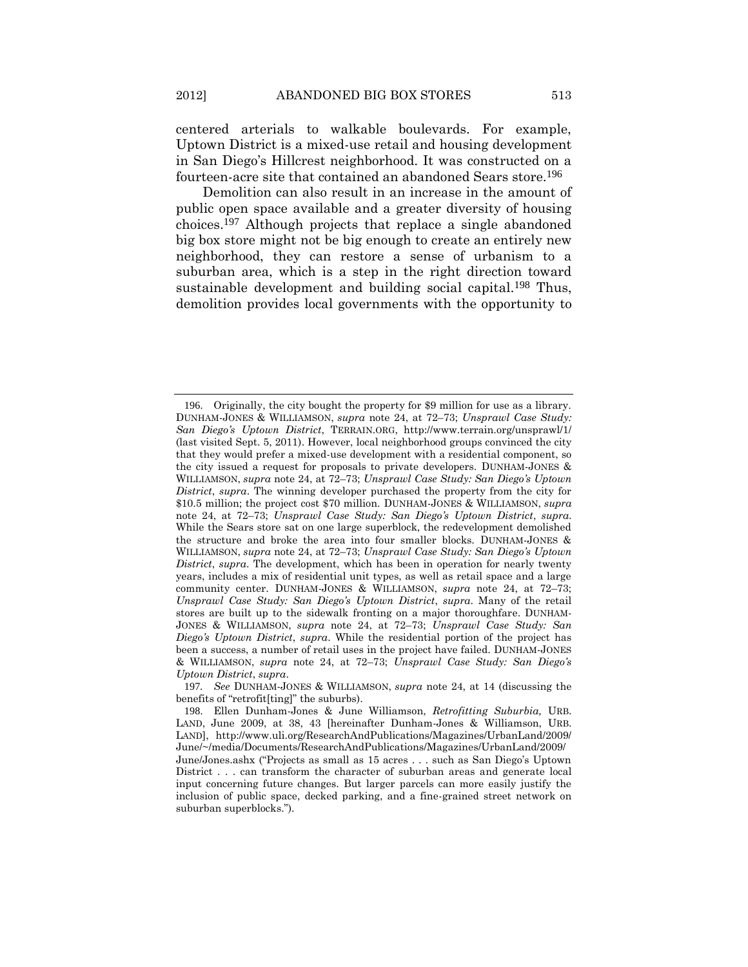centered arterials to walkable boulevards. For example, Uptown District is a mixed-use retail and housing development in San Diego's Hillcrest neighborhood. It was constructed on a fourteen-acre site that contained an abandoned Sears store.196

<span id="page-42-0"></span>Demolition can also result in an increase in the amount of public open space available and a greater diversity of housing choices.197 Although projects that replace a single abandoned big box store might not be big enough to create an entirely new neighborhood, they can restore a sense of urbanism to a suburban area, which is a step in the right direction toward sustainable development and building social capital.<sup>198</sup> Thus, demolition provides local governments with the opportunity to

<sup>196</sup>. Originally, the city bought the property for \$9 million for use as a library. DUNHAM-JONES & WILLIAMSON, *supra* note [24,](#page-8-0) at 72–73; *Unsprawl Case Study: San Diego's Uptown District*, TERRAIN.ORG, http://www.terrain.org/unsprawl/1/ (last visited Sept. 5, 2011). However, local neighborhood groups convinced the city that they would prefer a mixed-use development with a residential component, so the city issued a request for proposals to private developers. DUNHAM-JONES & WILLIAMSON, *supra* note [24,](#page-8-0) at 72–73; *Unsprawl Case Study: San Diego's Uptown District*, *supra*. The winning developer purchased the property from the city for \$10.5 million; the project cost \$70 million. DUNHAM-JONES & WILLIAMSON, *supra* note [24,](#page-8-0) at 72–73; *Unsprawl Case Study: San Diego's Uptown District*, *supra*. While the Sears store sat on one large superblock, the redevelopment demolished the structure and broke the area into four smaller blocks. DUNHAM-JONES & WILLIAMSON, *supra* note [24,](#page-8-0) at 72–73; *Unsprawl Case Study: San Diego's Uptown District*, *supra*. The development, which has been in operation for nearly twenty years, includes a mix of residential unit types, as well as retail space and a large community center. DUNHAM-JONES & WILLIAMSON, *supra* note [24,](#page-8-0) at 72–73; *Unsprawl Case Study: San Diego's Uptown District*, *supra*. Many of the retail stores are built up to the sidewalk fronting on a major thoroughfare. DUNHAM-JONES & WILLIAMSON, *supra* note [24,](#page-8-0) at 72–73; *Unsprawl Case Study: San Diego's Uptown District*, *supra*. While the residential portion of the project has been a success, a number of retail uses in the project have failed. DUNHAM-JONES & WILLIAMSON, *supra* note [24,](#page-8-0) at 72–73; *Unsprawl Case Study: San Diego's Uptown District*, *supra*.

<sup>197</sup>*. See* DUNHAM-JONES & WILLIAMSON, *supra* note [24,](#page-8-0) at 14 (discussing the benefits of "retrofit[ting]" the suburbs).

<sup>198</sup>. Ellen Dunham-Jones & June Williamson, *Retrofitting Suburbia,* URB. LAND, June 2009, at 38, 43 [hereinafter Dunham-Jones & Williamson, URB. LAND], http://www.uli.org/ResearchAndPublications/Magazines/UrbanLand/2009/ June/~/media/Documents/ResearchAndPublications/Magazines/UrbanLand/2009/ June/Jones.ashx ("Projects as small as 15 acres . . . such as San Diego's Uptown District . . . can transform the character of suburban areas and generate local input concerning future changes. But larger parcels can more easily justify the inclusion of public space, decked parking, and a fine-grained street network on suburban superblocks.").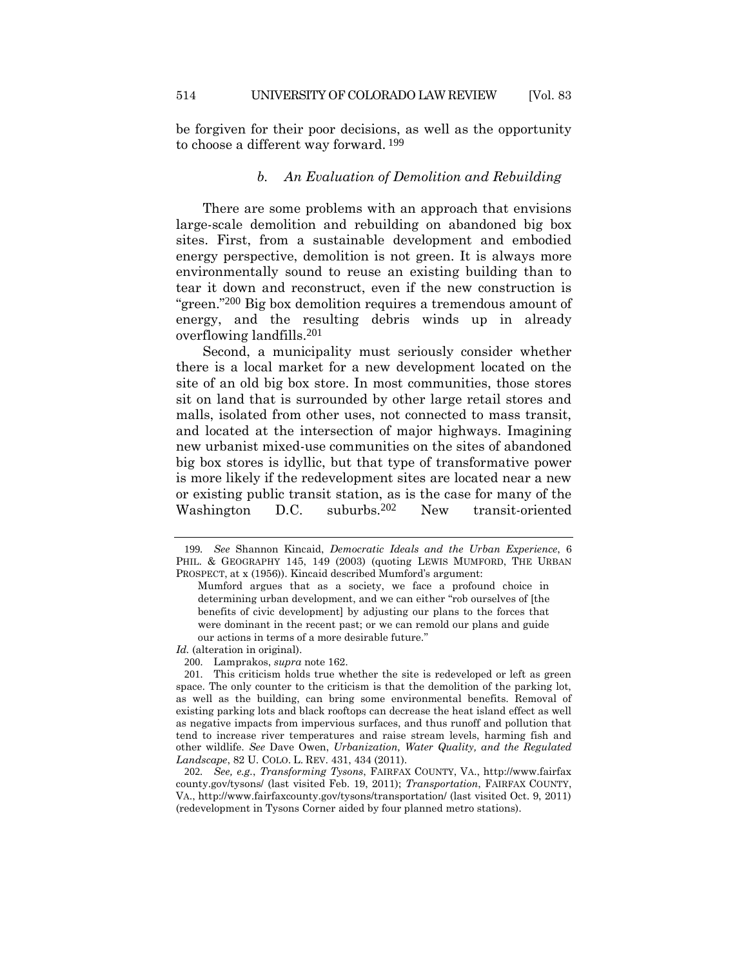be forgiven for their poor decisions, as well as the opportunity to choose a different way forward. 199

### *b. An Evaluation of Demolition and Rebuilding*

There are some problems with an approach that envisions large-scale demolition and rebuilding on abandoned big box sites. First, from a sustainable development and embodied energy perspective, demolition is not green. It is always more environmentally sound to reuse an existing building than to tear it down and reconstruct, even if the new construction is "green."200 Big box demolition requires a tremendous amount of energy, and the resulting debris winds up in already overflowing landfills.201

Second, a municipality must seriously consider whether there is a local market for a new development located on the site of an old big box store. In most communities, those stores sit on land that is surrounded by other large retail stores and malls, isolated from other uses, not connected to mass transit, and located at the intersection of major highways. Imagining new urbanist mixed-use communities on the sites of abandoned big box stores is idyllic, but that type of transformative power is more likely if the redevelopment sites are located near a new or existing public transit station, as is the case for many of the Washington D.C. suburbs.202 New transit-oriented

<sup>199</sup>*. See* Shannon Kincaid, *Democratic Ideals and the Urban Experience*, 6 PHIL. & GEOGRAPHY 145, 149 (2003) (quoting LEWIS MUMFORD, THE URBAN PROSPECT, at x (1956)). Kincaid described Mumford's argument:

Mumford argues that as a society, we face a profound choice in determining urban development, and we can either "rob ourselves of [the benefits of civic development] by adjusting our plans to the forces that were dominant in the recent past; or we can remold our plans and guide our actions in terms of a more desirable future."

*Id.* (alteration in original).

<sup>200</sup>. Lamprakos, *supra* not[e 162.](#page-34-0)

<sup>201</sup>. This criticism holds true whether the site is redeveloped or left as green space. The only counter to the criticism is that the demolition of the parking lot, as well as the building, can bring some environmental benefits. Removal of existing parking lots and black rooftops can decrease the heat island effect as well as negative impacts from impervious surfaces, and thus runoff and pollution that tend to increase river temperatures and raise stream levels, harming fish and other wildlife. *See* Dave Owen, *Urbanization, Water Quality, and the Regulated Landscape*, 82 U. COLO. L. REV. 431, 434 (2011).

<sup>202</sup>*. See, e.g.*, *Transforming Tysons*, FAIRFAX COUNTY, VA., http://www.fairfax county.gov/tysons/ (last visited Feb. 19, 2011); *Transportation*, FAIRFAX COUNTY, VA., http://www.fairfaxcounty.gov/tysons/transportation/ (last visited Oct. 9, 2011) (redevelopment in Tysons Corner aided by four planned metro stations).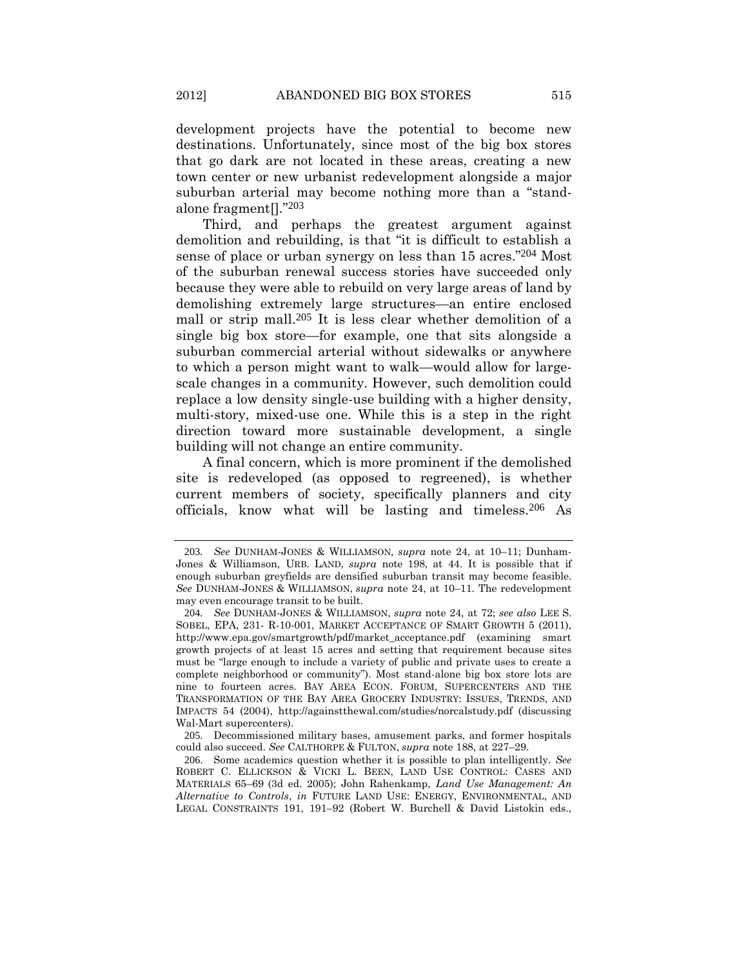development projects have the potential to become new destinations. Unfortunately, since most of the big box stores that go dark are not located in these areas, creating a new town center or new urbanist redevelopment alongside a major suburban arterial may become nothing more than a "standalone fragment[]."203

Third, and perhaps the greatest argument against demolition and rebuilding, is that "it is difficult to establish a sense of place or urban synergy on less than 15 acres."204 Most of the suburban renewal success stories have succeeded only because they were able to rebuild on very large areas of land by demolishing extremely large structures—an entire enclosed mall or strip mall.205 It is less clear whether demolition of a single big box store—for example, one that sits alongside a suburban commercial arterial without sidewalks or anywhere to which a person might want to walk—would allow for largescale changes in a community. However, such demolition could replace a low density single-use building with a higher density, multi-story, mixed-use one. While this is a step in the right direction toward more sustainable development, a single building will not change an entire community.

A final concern, which is more prominent if the demolished site is redeveloped (as opposed to regreened), is whether current members of society, specifically planners and city officials, know what will be lasting and timeless.206 As

<sup>203</sup>*. See* DUNHAM-JONES & WILLIAMSON, *supra* note [24,](#page-8-0) at 10–11; Dunham-Jones & Williamson, URB. LAND, *supra* note [198,](#page-42-0) at 44. It is possible that if enough suburban greyfields are densified suburban transit may become feasible. *See* DUNHAM-JONES & WILLIAMSON, *supra* note [24,](#page-8-0) at 10–11*.* The redevelopment may even encourage transit to be built.

<sup>204</sup>*. See* DUNHAM-JONES & WILLIAMSON, *supra* note [24,](#page-8-0) at 72; *see also* LEE S. SOBEL, EPA, 231- R-10-001, MARKET ACCEPTANCE OF SMART GROWTH 5 (2011), http://www.epa.gov/smartgrowth/pdf/market\_acceptance.pdf (examining smart growth projects of at least 15 acres and setting that requirement because sites must be "large enough to include a variety of public and private uses to create a complete neighborhood or community"). Most stand-alone big box store lots are nine to fourteen acres. BAY AREA ECON. FORUM, SUPERCENTERS AND THE TRANSFORMATION OF THE BAY AREA GROCERY INDUSTRY: ISSUES, TRENDS, AND IMPACTS 54 (2004), http://againstthewal.com/studies/norcalstudy.pdf (discussing Wal-Mart supercenters).

<sup>205</sup>. Decommissioned military bases, amusement parks, and former hospitals could also succeed. *See* CALTHORPE & FULTON, *supra* note [188,](#page-40-0) at 227–29.

<sup>206</sup>. Some academics question whether it is possible to plan intelligently. *See*  ROBERT C. ELLICKSON & VICKI L. BEEN, LAND USE CONTROL: CASES AND MATERIALS 65–69 (3d ed. 2005); John Rahenkamp, *Land Use Management: An Alternative to Controls*, *in* FUTURE LAND USE: ENERGY, ENVIRONMENTAL, AND LEGAL CONSTRAINTS 191, 191–92 (Robert W. Burchell & David Listokin eds.,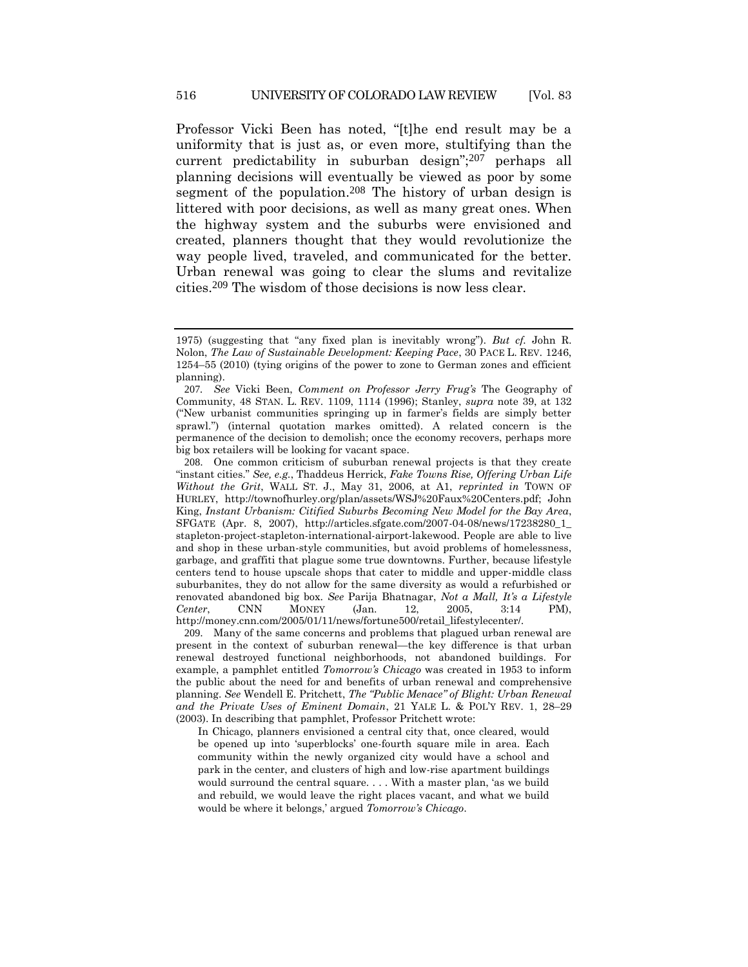Professor Vicki Been has noted, "[t]he end result may be a uniformity that is just as, or even more, stultifying than the current predictability in suburban design";207 perhaps all planning decisions will eventually be viewed as poor by some segment of the population.<sup>208</sup> The history of urban design is littered with poor decisions, as well as many great ones. When the highway system and the suburbs were envisioned and created, planners thought that they would revolutionize the way people lived, traveled, and communicated for the better. Urban renewal was going to clear the slums and revitalize cities.209 The wisdom of those decisions is now less clear.

209. Many of the same concerns and problems that plagued urban renewal are present in the context of suburban renewal—the key difference is that urban renewal destroyed functional neighborhoods, not abandoned buildings. For example, a pamphlet entitled *Tomorrow's Chicago* was created in 1953 to inform the public about the need for and benefits of urban renewal and comprehensive planning. *See* Wendell E. Pritchett, *The "Public Menace" of Blight: Urban Renewal and the Private Uses of Eminent Domain*, 21 YALE L. & POL'Y REV. 1, 28–29 (2003). In describing that pamphlet, Professor Pritchett wrote:

In Chicago, planners envisioned a central city that, once cleared, would be opened up into 'superblocks' one-fourth square mile in area. Each community within the newly organized city would have a school and park in the center, and clusters of high and low-rise apartment buildings would surround the central square. . . . With a master plan, 'as we build and rebuild, we would leave the right places vacant, and what we build would be where it belongs,' argued *Tomorrow's Chicago*.

<sup>1975) (</sup>suggesting that "any fixed plan is inevitably wrong"). *But cf.* John R. Nolon, *The Law of Sustainable Development: Keeping Pace*, 30 PACE L. REV. 1246, 1254–55 (2010) (tying origins of the power to zone to German zones and efficient planning).

<sup>207</sup>*. See* Vicki Been, *Comment on Professor Jerry Frug's* The Geography of Community, 48 STAN. L. REV. 1109, 1114 (1996); Stanley, *supra* note [39,](#page-10-0) at 132 ("New urbanist communities springing up in farmer's fields are simply better sprawl.") (internal quotation markes omitted). A related concern is the permanence of the decision to demolish; once the economy recovers, perhaps more big box retailers will be looking for vacant space.

<sup>208</sup>. One common criticism of suburban renewal projects is that they create "instant cities." *See, e.g.*, Thaddeus Herrick, *Fake Towns Rise, Offering Urban Life Without the Grit*, WALL ST. J., May 31, 2006, at A1, *reprinted in* TOWN OF HURLEY, http://townofhurley.org/plan/assets/WSJ%20Faux%20Centers.pdf; John King, *Instant Urbanism: Citified Suburbs Becoming New Model for the Bay Area*, SFGATE (Apr. 8, 2007), http://articles.sfgate.com/2007-04-08/news/17238280\_1\_ stapleton-project-stapleton-international-airport-lakewood. People are able to live and shop in these urban-style communities, but avoid problems of homelessness, garbage, and graffiti that plague some true downtowns. Further, because lifestyle centers tend to house upscale shops that cater to middle and upper-middle class suburbanites, they do not allow for the same diversity as would a refurbished or renovated abandoned big box. *See* Parija Bhatnagar, *Not a Mall, It's a Lifestyle Center*, CNN MONEY (Jan. 12, 2005, 3:14 PM), http://money.cnn.com/2005/01/11/news/fortune500/retail\_lifestylecenter/.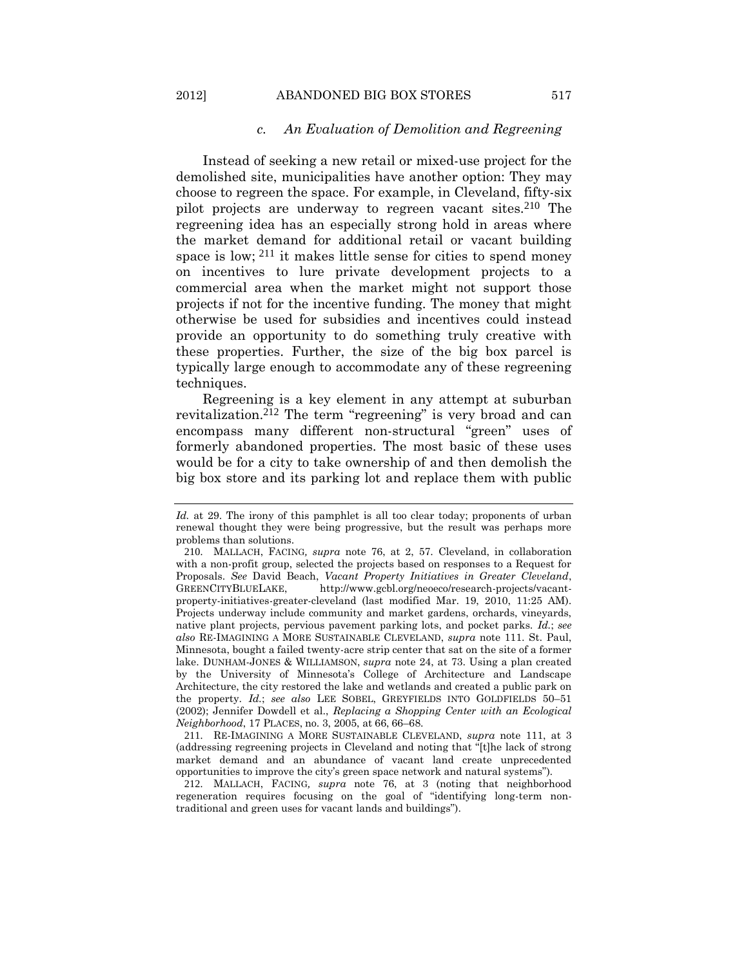#### *c. An Evaluation of Demolition and Regreening*

Instead of seeking a new retail or mixed-use project for the demolished site, municipalities have another option: They may choose to regreen the space. For example, in Cleveland, fifty-six pilot projects are underway to regreen vacant sites.210 The regreening idea has an especially strong hold in areas where the market demand for additional retail or vacant building space is low; <sup>211</sup> it makes little sense for cities to spend money on incentives to lure private development projects to a commercial area when the market might not support those projects if not for the incentive funding. The money that might otherwise be used for subsidies and incentives could instead provide an opportunity to do something truly creative with these properties. Further, the size of the big box parcel is typically large enough to accommodate any of these regreening techniques.

Regreening is a key element in any attempt at suburban revitalization.212 The term "regreening" is very broad and can encompass many different non-structural "green" uses of formerly abandoned properties. The most basic of these uses would be for a city to take ownership of and then demolish the big box store and its parking lot and replace them with public

211. RE-IMAGINING A MORE SUSTAINABLE CLEVELAND, *supra* note [111,](#page-24-0) at 3 (addressing regreening projects in Cleveland and noting that "[t]he lack of strong market demand and an abundance of vacant land create unprecedented opportunities to improve the city's green space network and natural systems").

212. MALLACH, FACING*, supra* note [76,](#page-18-0) at 3 (noting that neighborhood regeneration requires focusing on the goal of "identifying long-term nontraditional and green uses for vacant lands and buildings").

*Id.* at 29. The irony of this pamphlet is all too clear today; proponents of urban renewal thought they were being progressive, but the result was perhaps more problems than solutions.

<sup>210</sup>. MALLACH, FACING*, supra* note [76,](#page-18-0) at 2, 57. Cleveland, in collaboration with a non-profit group, selected the projects based on responses to a Request for Proposals. *See* David Beach, *Vacant Property Initiatives in Greater Cleveland*, GREENCITYBLUELAKE, http://www.gcbl.org/neoeco/research-projects/vacantproperty-initiatives-greater-cleveland (last modified Mar. 19, 2010, 11:25 AM). Projects underway include community and market gardens, orchards, vineyards, native plant projects, pervious pavement parking lots, and pocket parks. *Id.*; *see also* RE-IMAGINING A MORE SUSTAINABLE CLEVELAND, *supra* note [111.](#page-24-0) St. Paul, Minnesota, bought a failed twenty-acre strip center that sat on the site of a former lake. DUNHAM-JONES & WILLIAMSON, *supra* note [24,](#page-8-0) at 73. Using a plan created by the University of Minnesota's College of Architecture and Landscape Architecture, the city restored the lake and wetlands and created a public park on the property. *Id.*; *see also* LEE SOBEL, GREYFIELDS INTO GOLDFIELDS 50–51 (2002); Jennifer Dowdell et al., *Replacing a Shopping Center with an Ecological Neighborhood*, 17 PLACES, no. 3, 2005, at 66, 66–68.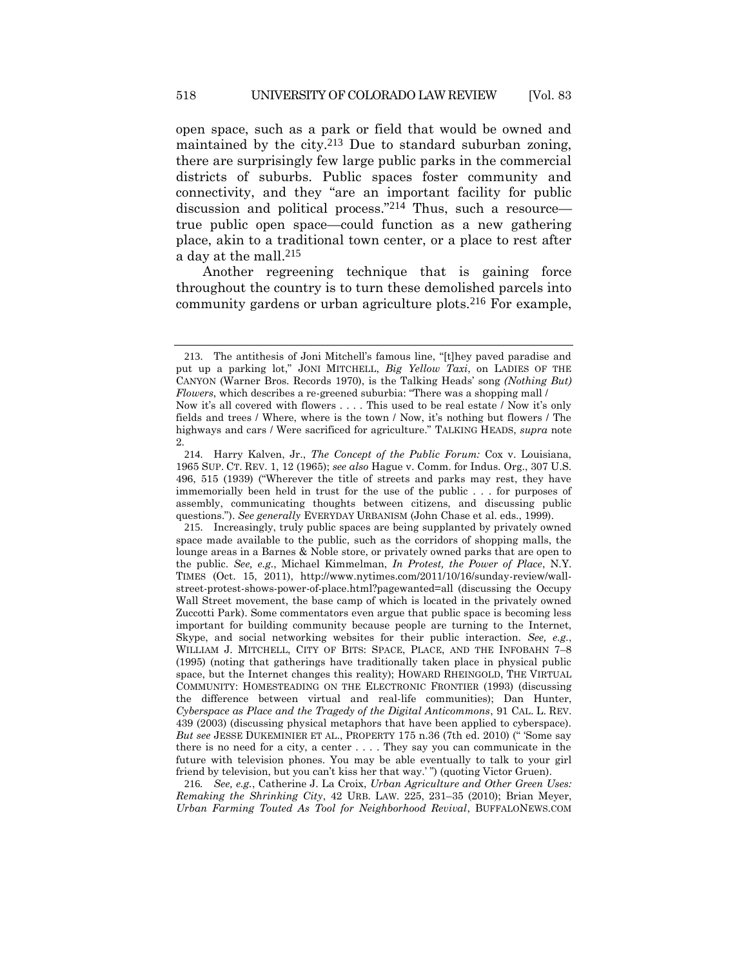open space, such as a park or field that would be owned and maintained by the city.213 Due to standard suburban zoning, there are surprisingly few large public parks in the commercial districts of suburbs. Public spaces foster community and connectivity, and they "are an important facility for public discussion and political process."214 Thus, such a resource true public open space—could function as a new gathering place, akin to a traditional town center, or a place to rest after a day at the mall.215

<span id="page-47-0"></span>Another regreening technique that is gaining force throughout the country is to turn these demolished parcels into community gardens or urban agriculture plots.216 For example,

215. Increasingly, truly public spaces are being supplanted by privately owned space made available to the public, such as the corridors of shopping malls, the lounge areas in a Barnes & Noble store, or privately owned parks that are open to the public. *See, e.g.*, Michael Kimmelman, *In Protest, the Power of Place*, N.Y. TIMES (Oct. 15, 2011), http://www.nytimes.com/2011/10/16/sunday-review/wallstreet-protest-shows-power-of-place.html?pagewanted=all (discussing the Occupy Wall Street movement, the base camp of which is located in the privately owned Zuccotti Park). Some commentators even argue that public space is becoming less important for building community because people are turning to the Internet, Skype, and social networking websites for their public interaction. *See, e.g.*, WILLIAM J. MITCHELL, CITY OF BITS: SPACE, PLACE, AND THE INFOBAHN 7–8 (1995) (noting that gatherings have traditionally taken place in physical public space, but the Internet changes this reality); HOWARD RHEINGOLD, THE VIRTUAL COMMUNITY: HOMESTEADING ON THE ELECTRONIC FRONTIER (1993) (discussing the difference between virtual and real-life communities); Dan Hunter, *Cyberspace as Place and the Tragedy of the Digital Anticommons*, 91 CAL. L. REV. 439 (2003) (discussing physical metaphors that have been applied to cyberspace). *But see* JESSE DUKEMINIER ET AL., PROPERTY 175 n.36 (7th ed. 2010) (" 'Some say there is no need for a city, a center . . . . They say you can communicate in the future with television phones. You may be able eventually to talk to your girl friend by television, but you can't kiss her that way.' ") (quoting Victor Gruen).

216*. See, e.g.*, Catherine J. La Croix, *Urban Agriculture and Other Green Uses: Remaking the Shrinking City*, 42 URB. LAW*.* 225, 231–35 (2010); Brian Meyer, *Urban Farming Touted As Tool for Neighborhood Revival*, BUFFALONEWS.COM

<sup>213</sup>. The antithesis of Joni Mitchell's famous line, "[t]hey paved paradise and put up a parking lot," JONI MITCHELL, *Big Yellow Taxi*, on LADIES OF THE CANYON (Warner Bros. Records 1970), is the Talking Heads' song *(Nothing But) Flowers*, which describes a re-greened suburbia: "There was a shopping mall / Now it's all covered with flowers . . . . This used to be real estate / Now it's only fields and trees / Where, where is the town / Now, it's nothing but flowers / The highways and cars / Were sacrificed for agriculture." TALKING HEADS, *supra* note [2.](#page-2-0)

<sup>214</sup>. Harry Kalven, Jr., *The Concept of the Public Forum:* Cox v. Louisiana, 1965 SUP. CT. REV. 1, 12 (1965); *see also* Hague v. Comm. for Indus. Org., 307 U.S. 496, 515 (1939) ("Wherever the title of streets and parks may rest, they have immemorially been held in trust for the use of the public . . . for purposes of assembly, communicating thoughts between citizens, and discussing public questions."). *See generally* EVERYDAY URBANISM (John Chase et al. eds., 1999).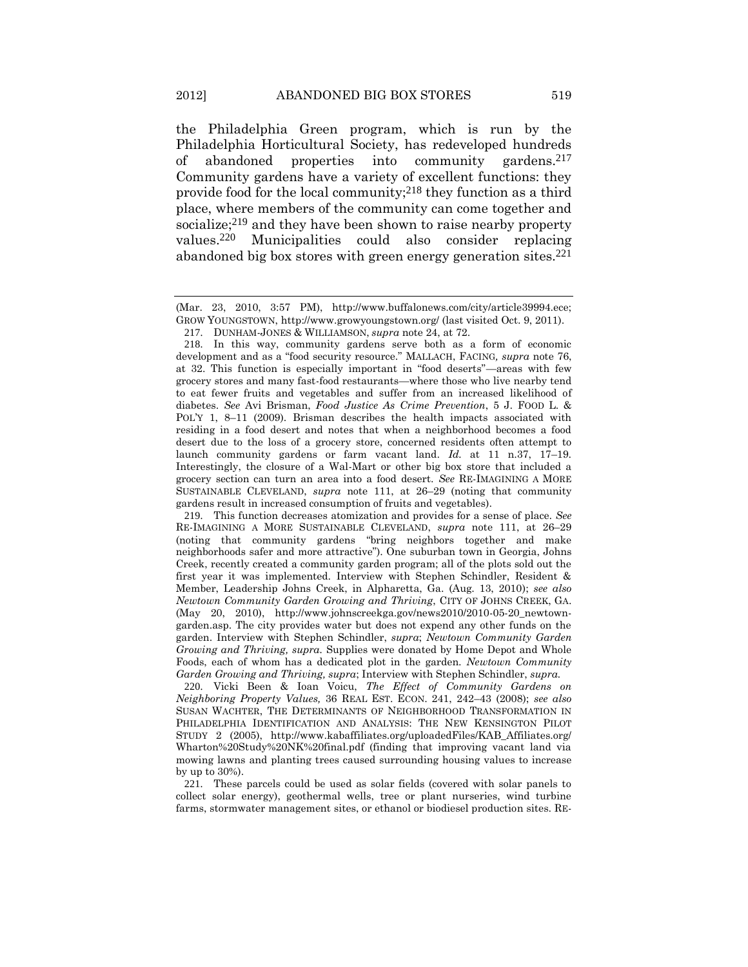the Philadelphia Green program, which is run by the Philadelphia Horticultural Society, has redeveloped hundreds of abandoned properties into community gardens.<sup>217</sup> Community gardens have a variety of excellent functions: they provide food for the local community;218 they function as a third place, where members of the community can come together and socialize;<sup>219</sup> and they have been shown to raise nearby property values.220 Municipalities could also consider replacing abandoned big box stores with green energy generation sites.221

<span id="page-48-0"></span><sup>(</sup>Mar. 23, 2010, 3:57 PM), http://www.buffalonews.com/city/article39994.ece; GROW YOUNGSTOWN, http://www.growyoungstown.org/ (last visited Oct. 9, 2011).

<sup>217</sup>. DUNHAM-JONES & WILLIAMSON, *supra* not[e 24,](#page-8-0) at 72.

<sup>218</sup>. In this way, community gardens serve both as a form of economic development and as a "food security resource." MALLACH, FACING*, supra* note [76,](#page-18-0) at 32. This function is especially important in "food deserts"—areas with few grocery stores and many fast-food restaurants—where those who live nearby tend to eat fewer fruits and vegetables and suffer from an increased likelihood of diabetes. *See* Avi Brisman, *Food Justice As Crime Prevention*, 5 J. FOOD L. & POL'Y 1, 8–11 (2009). Brisman describes the health impacts associated with residing in a food desert and notes that when a neighborhood becomes a food desert due to the loss of a grocery store, concerned residents often attempt to launch community gardens or farm vacant land. *Id.* at 11 n.37, 17–19. Interestingly, the closure of a Wal-Mart or other big box store that included a grocery section can turn an area into a food desert. *See* RE-IMAGINING A MORE SUSTAINABLE CLEVELAND, *supra* note [111,](#page-24-0) at 26–29 (noting that community gardens result in increased consumption of fruits and vegetables).

<sup>219</sup>. This function decreases atomization and provides for a sense of place. *See*  RE-IMAGINING A MORE SUSTAINABLE CLEVELAND, *supra* note [111,](#page-24-0) at 26–29 (noting that community gardens "bring neighbors together and make neighborhoods safer and more attractive"). One suburban town in Georgia, Johns Creek, recently created a community garden program; all of the plots sold out the first year it was implemented. Interview with Stephen Schindler, Resident & Member, Leadership Johns Creek, in Alpharetta, Ga. (Aug. 13, 2010); *see also Newtown Community Garden Growing and Thriving*, CITY OF JOHNS CREEK, GA. (May 20, 2010), http://www.johnscreekga.gov/news2010/2010-05-20\_newtowngarden.asp. The city provides water but does not expend any other funds on the garden. Interview with Stephen Schindler, *supra*; *Newtown Community Garden Growing and Thriving, supra.* Supplies were donated by Home Depot and Whole Foods, each of whom has a dedicated plot in the garden. *Newtown Community Garden Growing and Thriving, supra*; Interview with Stephen Schindler, *supra.*

<sup>220</sup>. Vicki Been & Ioan Voicu, *The Effect of Community Gardens on Neighboring Property Values,* 36 REAL EST. ECON. 241, 242–43 (2008); *see also* SUSAN WACHTER, THE DETERMINANTS OF NEIGHBORHOOD TRANSFORMATION IN PHILADELPHIA IDENTIFICATION AND ANALYSIS: THE NEW KENSINGTON PILOT STUDY 2 (2005), http://www.kabaffiliates.org/uploadedFiles/KAB\_Affiliates.org/ Wharton%20Study%20NK%20final.pdf (finding that improving vacant land via mowing lawns and planting trees caused surrounding housing values to increase by up to 30%).

<sup>221</sup>. These parcels could be used as solar fields (covered with solar panels to collect solar energy), geothermal wells, tree or plant nurseries, wind turbine farms, stormwater management sites, or ethanol or biodiesel production sites. RE-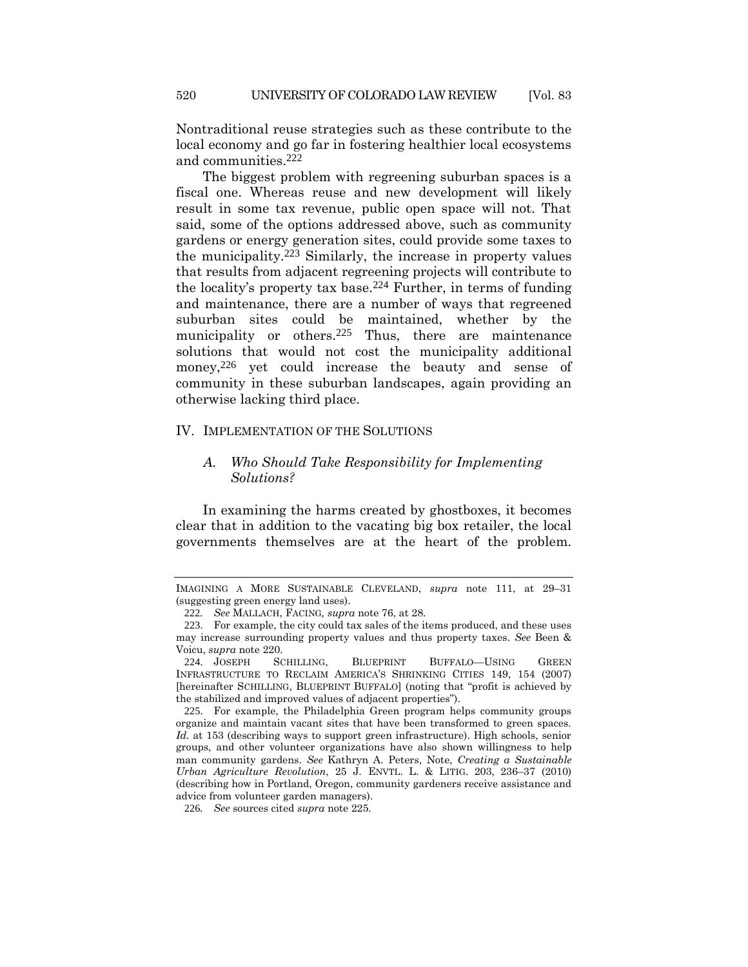Nontraditional reuse strategies such as these contribute to the local economy and go far in fostering healthier local ecosystems and communities.222

<span id="page-49-1"></span>The biggest problem with regreening suburban spaces is a fiscal one. Whereas reuse and new development will likely result in some tax revenue, public open space will not. That said, some of the options addressed above, such as community gardens or energy generation sites, could provide some taxes to the municipality.223 Similarly, the increase in property values that results from adjacent regreening projects will contribute to the locality's property tax base.224 Further, in terms of funding and maintenance, there are a number of ways that regreened suburban sites could be maintained, whether by the municipality or others.<sup>225</sup> Thus, there are maintenance solutions that would not cost the municipality additional money,<sup>226</sup> yet could increase the beauty and sense of community in these suburban landscapes, again providing an otherwise lacking third place.

### IV. IMPLEMENTATION OF THE SOLUTIONS

## <span id="page-49-0"></span>*A. Who Should Take Responsibility for Implementing Solutions?*

In examining the harms created by ghostboxes, it becomes clear that in addition to the vacating big box retailer, the local governments themselves are at the heart of the problem.

IMAGINING A MORE SUSTAINABLE CLEVELAND, *supra* note [111,](#page-24-0) at 29–31 (suggesting green energy land uses).

<sup>222</sup>*. See* MALLACH, FACING*, supra* not[e 76,](#page-18-0) at 28.

<sup>223</sup>. For example, the city could tax sales of the items produced, and these uses may increase surrounding property values and thus property taxes. *See* Been & Voicu, *supra* note [220.](#page-48-0)

<sup>224</sup>. JOSEPH SCHILLING, BLUEPRINT BUFFALO—USING GREEN INFRASTRUCTURE TO RECLAIM AMERICA'S SHRINKING CITIES 149, 154 (2007) [hereinafter SCHILLING, BLUEPRINT BUFFALO] (noting that "profit is achieved by the stabilized and improved values of adjacent properties").

<sup>225</sup>. For example, the Philadelphia Green program helps community groups organize and maintain vacant sites that have been transformed to green spaces. *Id.* at 153 (describing ways to support green infrastructure). High schools, senior groups, and other volunteer organizations have also shown willingness to help man community gardens. *See* Kathryn A. Peters, Note, *Creating a Sustainable Urban Agriculture Revolution*, 25 J. ENVTL. L. & LITIG. 203, 236–37 (2010) (describing how in Portland, Oregon, community gardeners receive assistance and advice from volunteer garden managers).

<sup>226</sup>*. See* sources cited *supra* not[e 225.](#page-49-0)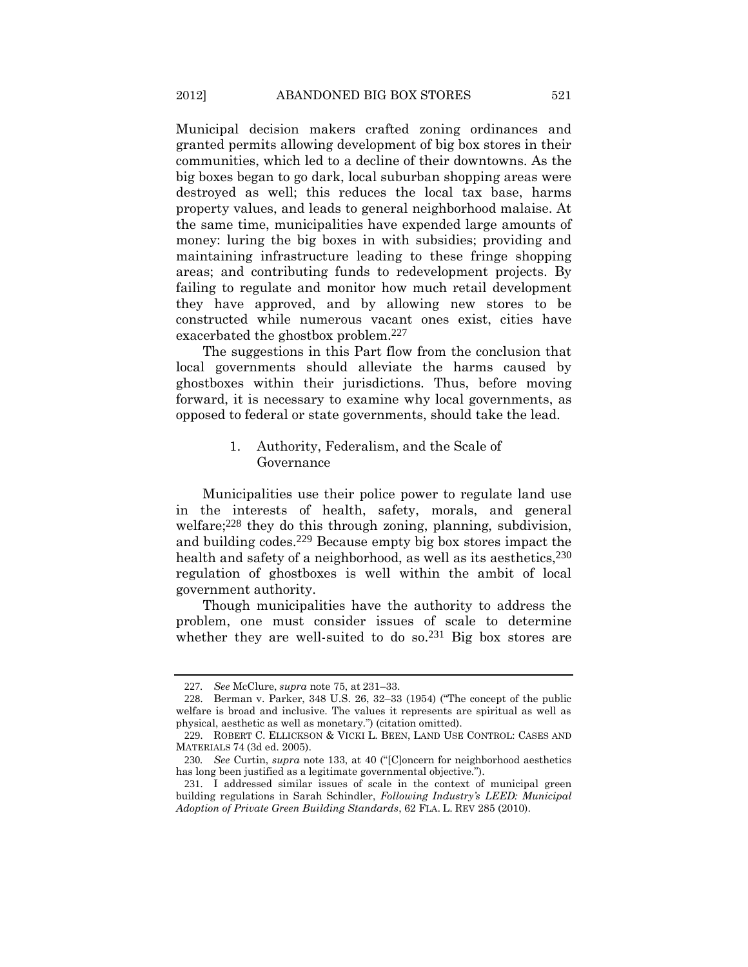Municipal decision makers crafted zoning ordinances and granted permits allowing development of big box stores in their communities, which led to a decline of their downtowns. As the big boxes began to go dark, local suburban shopping areas were destroyed as well; this reduces the local tax base, harms property values, and leads to general neighborhood malaise. At the same time, municipalities have expended large amounts of money: luring the big boxes in with subsidies; providing and maintaining infrastructure leading to these fringe shopping areas; and contributing funds to redevelopment projects. By failing to regulate and monitor how much retail development they have approved, and by allowing new stores to be constructed while numerous vacant ones exist, cities have exacerbated the ghostbox problem.227

The suggestions in this Part flow from the conclusion that local governments should alleviate the harms caused by ghostboxes within their jurisdictions. Thus, before moving forward, it is necessary to examine why local governments, as opposed to federal or state governments, should take the lead.

### 1. Authority, Federalism, and the Scale of Governance

Municipalities use their police power to regulate land use in the interests of health, safety, morals, and general welfare;<sup>228</sup> they do this through zoning, planning, subdivision, and building codes.229 Because empty big box stores impact the health and safety of a neighborhood, as well as its aesthetics,  $230$ regulation of ghostboxes is well within the ambit of local government authority.

Though municipalities have the authority to address the problem, one must consider issues of scale to determine whether they are well-suited to do so.<sup>231</sup> Big box stores are

<sup>227</sup>*. See* McClure, *supra* note [75,](#page-18-1) at 231–33.

<sup>228</sup>. Berman v. Parker, 348 U.S. 26, 32–33 (1954) ("The concept of the public welfare is broad and inclusive. The values it represents are spiritual as well as physical, aesthetic as well as monetary.") (citation omitted).

<sup>229</sup>. ROBERT C. ELLICKSON & VICKI L. BEEN, LAND USE CONTROL: CASES AND MATERIALS 74 (3d ed. 2005).

<sup>230</sup>*. See* Curtin, *supra* note [133](#page-28-0), at 40 ("[C]oncern for neighborhood aesthetics has long been justified as a legitimate governmental objective.").

<sup>231</sup>. I addressed similar issues of scale in the context of municipal green building regulations in Sarah Schindler, *Following Industry's LEED: Municipal Adoption of Private Green Building Standards*, 62 FLA. L. REV 285 (2010).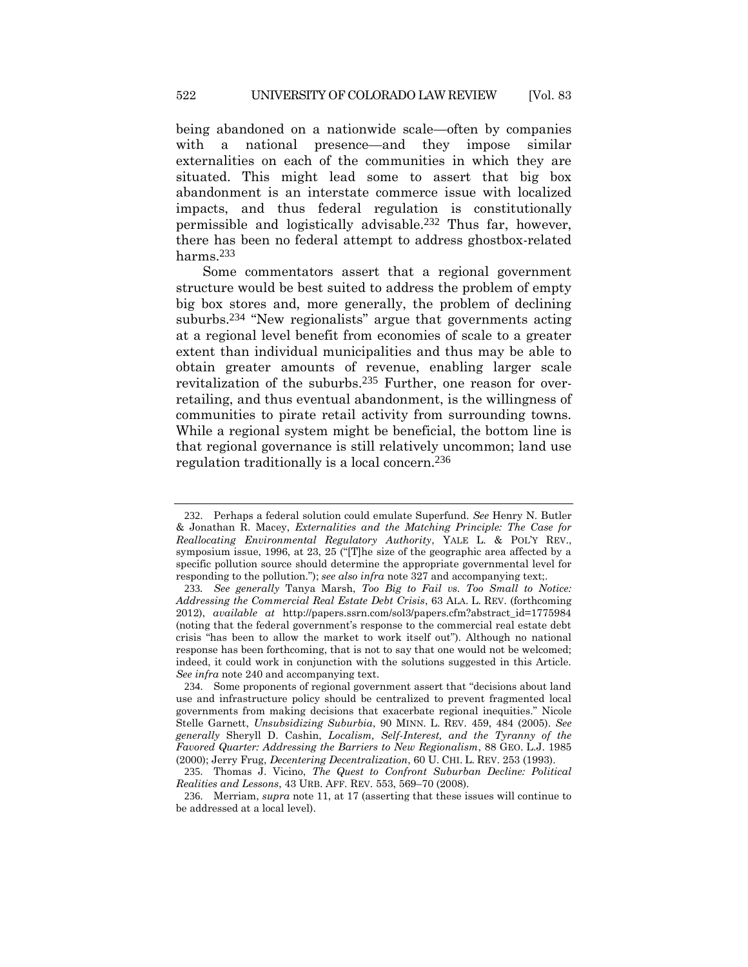being abandoned on a nationwide scale—often by companies with a national presence—and they impose similar externalities on each of the communities in which they are situated. This might lead some to assert that big box abandonment is an interstate commerce issue with localized impacts, and thus federal regulation is constitutionally permissible and logistically advisable.232 Thus far, however, there has been no federal attempt to address ghostbox-related harms.233

Some commentators assert that a regional government structure would be best suited to address the problem of empty big box stores and, more generally, the problem of declining suburbs.234 "New regionalists" argue that governments acting at a regional level benefit from economies of scale to a greater extent than individual municipalities and thus may be able to obtain greater amounts of revenue, enabling larger scale revitalization of the suburbs.235 Further, one reason for overretailing, and thus eventual abandonment, is the willingness of communities to pirate retail activity from surrounding towns. While a regional system might be beneficial, the bottom line is that regional governance is still relatively uncommon; land use regulation traditionally is a local concern.236

<sup>232</sup>. Perhaps a federal solution could emulate Superfund. *See* Henry N. Butler & Jonathan R. Macey, *Externalities and the Matching Principle: The Case for Reallocating Environmental Regulatory Authority*, YALE L. & POL'Y REV., symposium issue, 1996, at 23, 25 ("[T]he size of the geographic area affected by a specific pollution source should determine the appropriate governmental level for responding to the pollution."); *see also infra* not[e 327](#page-76-0) and accompanying text;.

<sup>233</sup>*. See generally* Tanya Marsh, *Too Big to Fail vs. Too Small to Notice: Addressing the Commercial Real Estate Debt Crisis*, 63 ALA. L. REV. (forthcoming 2012), *available at* http://papers.ssrn.com/sol3/papers.cfm?abstract\_id=1775984 (noting that the federal government's response to the commercial real estate debt crisis "has been to allow the market to work itself out"). Although no national response has been forthcoming, that is not to say that one would not be welcomed; indeed, it could work in conjunction with the solutions suggested in this Article. *See infra* note [240](#page-52-0) and accompanying text.

<sup>234</sup>. Some proponents of regional government assert that "decisions about land use and infrastructure policy should be centralized to prevent fragmented local governments from making decisions that exacerbate regional inequities." Nicole Stelle Garnett, *Unsubsidizing Suburbia*, 90 MINN. L. REV. 459, 484 (2005). *See generally* Sheryll D. Cashin, *Localism, Self-Interest, and the Tyranny of the Favored Quarter: Addressing the Barriers to New Regionalism*, 88 GEO. L.J. 1985 (2000); Jerry Frug, *Decentering Decentralization*, 60 U. CHI. L. REV. 253 (1993).

<sup>235</sup>. Thomas J. Vicino, *The Quest to Confront Suburban Decline: Political Realities and Lessons*, 43 URB. AFF. REV. 553, 569–70 (2008).

<sup>236</sup>. Merriam, *supra* note [11,](#page-4-0) at 17 (asserting that these issues will continue to be addressed at a local level).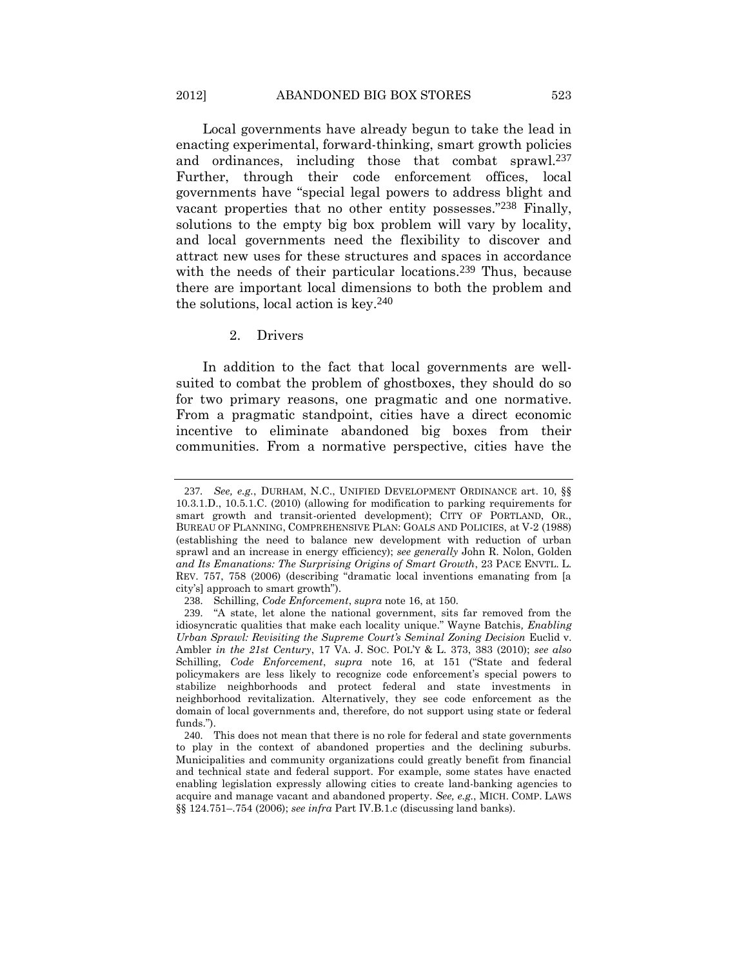Local governments have already begun to take the lead in enacting experimental, forward-thinking, smart growth policies and ordinances, including those that combat sprawl.237 Further, through their code enforcement offices, local governments have "special legal powers to address blight and vacant properties that no other entity possesses."238 Finally, solutions to the empty big box problem will vary by locality, and local governments need the flexibility to discover and attract new uses for these structures and spaces in accordance with the needs of their particular locations.<sup>239</sup> Thus, because there are important local dimensions to both the problem and the solutions, local action is key.240

### <span id="page-52-1"></span><span id="page-52-0"></span>2. Drivers

In addition to the fact that local governments are wellsuited to combat the problem of ghostboxes, they should do so for two primary reasons, one pragmatic and one normative. From a pragmatic standpoint, cities have a direct economic incentive to eliminate abandoned big boxes from their communities. From a normative perspective, cities have the

<sup>237</sup>*. See, e.g.*, DURHAM, N.C., UNIFIED DEVELOPMENT ORDINANCE art. 10, §§ 10.3.1.D., 10.5.1.C. (2010) (allowing for modification to parking requirements for smart growth and transit-oriented development); CITY OF PORTLAND, OR., BUREAU OF PLANNING, COMPREHENSIVE PLAN: GOALS AND POLICIES, at V-2 (1988) (establishing the need to balance new development with reduction of urban sprawl and an increase in energy efficiency); *see generally* John R. Nolon, Golden *and Its Emanations: The Surprising Origins of Smart Growth*, 23 PACE ENVTL. L. REV. 757, 758 (2006) (describing "dramatic local inventions emanating from [a city's] approach to smart growth").

<sup>238</sup>. Schilling, *Code Enforcement*, *supra* not[e 16,](#page-5-0) at 150.

<sup>239</sup>. "A state, let alone the national government, sits far removed from the idiosyncratic qualities that make each locality unique." Wayne Batchis*, Enabling Urban Sprawl: Revisiting the Supreme Court's Seminal Zoning Decision* Euclid v. Ambler *in the 21st Century*, 17 VA. J. SOC. POL'Y & L. 373, 383 (2010); *see also*  Schilling, *Code Enforcement*, *supra* note [16,](#page-5-0) at 151 ("State and federal policymakers are less likely to recognize code enforcement's special powers to stabilize neighborhoods and protect federal and state investments in neighborhood revitalization. Alternatively, they see code enforcement as the domain of local governments and, therefore, do not support using state or federal funds.").

<sup>240</sup>. This does not mean that there is no role for federal and state governments to play in the context of abandoned properties and the declining suburbs. Municipalities and community organizations could greatly benefit from financial and technical state and federal support. For example, some states have enacted enabling legislation expressly allowing cities to create land-banking agencies to acquire and manage vacant and abandoned property. *See, e.g.*, MICH. COMP. LAWS §§ 124.751–.754 (2006); *see infra* Part IV.B.1.c (discussing land banks).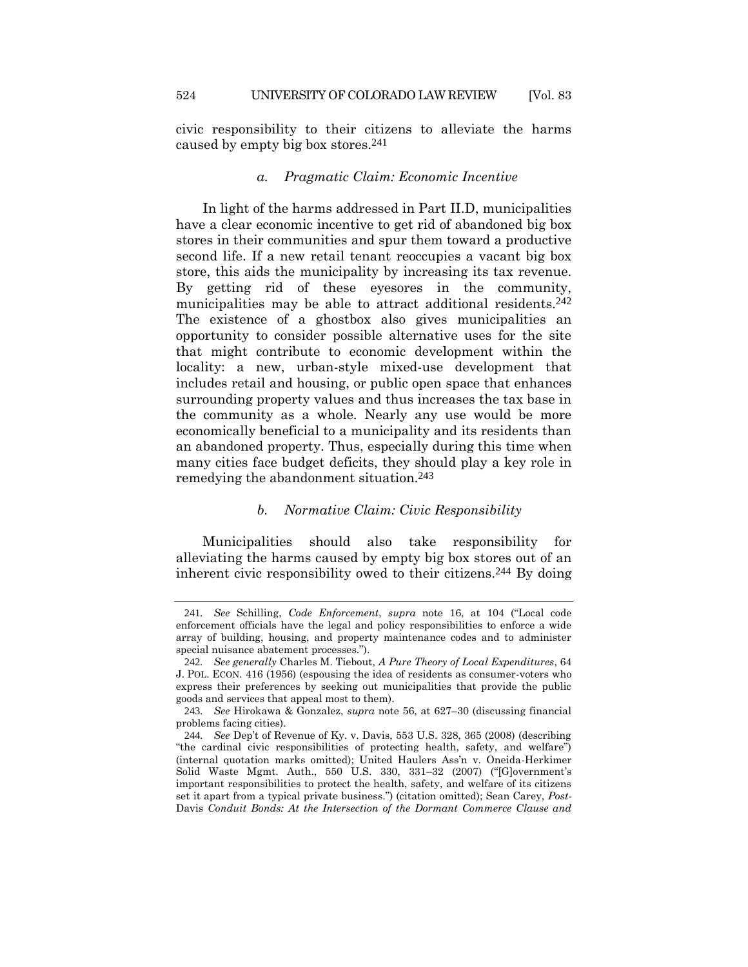civic responsibility to their citizens to alleviate the harms caused by empty big box stores.241

### *a. Pragmatic Claim: Economic Incentive*

In light of the harms addressed in Part II.D, municipalities have a clear economic incentive to get rid of abandoned big box stores in their communities and spur them toward a productive second life. If a new retail tenant reoccupies a vacant big box store, this aids the municipality by increasing its tax revenue. By getting rid of these eyesores in the community, municipalities may be able to attract additional residents.<sup>242</sup> The existence of a ghostbox also gives municipalities an opportunity to consider possible alternative uses for the site that might contribute to economic development within the locality: a new, urban-style mixed-use development that includes retail and housing, or public open space that enhances surrounding property values and thus increases the tax base in the community as a whole. Nearly any use would be more economically beneficial to a municipality and its residents than an abandoned property. Thus, especially during this time when many cities face budget deficits, they should play a key role in remedying the abandonment situation.243

## *b. Normative Claim: Civic Responsibility*

Municipalities should also take responsibility for alleviating the harms caused by empty big box stores out of an inherent civic responsibility owed to their citizens.244 By doing

<sup>241</sup>*. See* Schilling, *Code Enforcement*, *supra* note [16](#page-5-0), at 104 ("Local code enforcement officials have the legal and policy responsibilities to enforce a wide array of building, housing, and property maintenance codes and to administer special nuisance abatement processes.").

<sup>242</sup>*. See generally* Charles M. Tiebout, *A Pure Theory of Local Expenditures*, 64 J. POL. ECON. 416 (1956) (espousing the idea of residents as consumer-voters who express their preferences by seeking out municipalities that provide the public goods and services that appeal most to them).

<sup>243</sup>*. See* Hirokawa & Gonzalez, *supra* note [56,](#page-15-0) at 627–30 (discussing financial problems facing cities).

<sup>244</sup>*. See* Dep't of Revenue of Ky. v. Davis, 553 U.S. 328, 365 (2008) (describing "the cardinal civic responsibilities of protecting health, safety, and welfare") (internal quotation marks omitted); United Haulers Ass'n v. Oneida-Herkimer Solid Waste Mgmt. Auth., 550 U.S. 330, 331–32 (2007) ("[G]overnment's important responsibilities to protect the health, safety, and welfare of its citizens set it apart from a typical private business.") (citation omitted); Sean Carey, *Post-*Davis *Conduit Bonds: At the Intersection of the Dormant Commerce Clause and*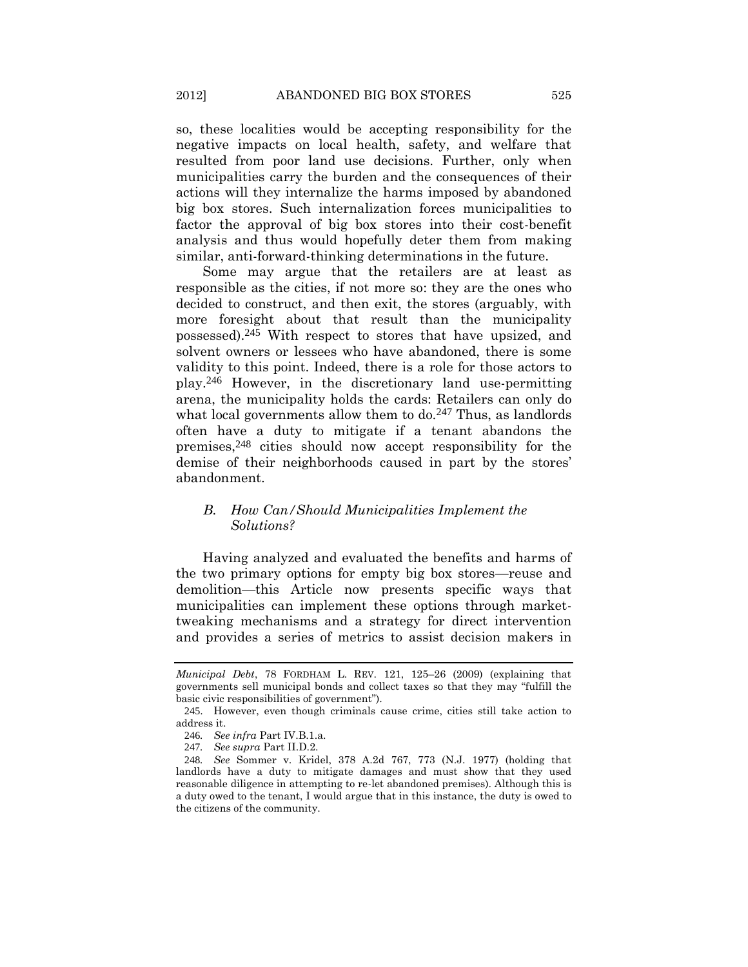so, these localities would be accepting responsibility for the negative impacts on local health, safety, and welfare that resulted from poor land use decisions. Further, only when municipalities carry the burden and the consequences of their actions will they internalize the harms imposed by abandoned big box stores. Such internalization forces municipalities to factor the approval of big box stores into their cost-benefit analysis and thus would hopefully deter them from making similar, anti-forward-thinking determinations in the future.

Some may argue that the retailers are at least as responsible as the cities, if not more so: they are the ones who decided to construct, and then exit, the stores (arguably, with more foresight about that result than the municipality possessed).245 With respect to stores that have upsized, and solvent owners or lessees who have abandoned, there is some validity to this point. Indeed, there is a role for those actors to play.246 However, in the discretionary land use-permitting arena, the municipality holds the cards: Retailers can only do what local governments allow them to  $do.<sup>247</sup>$  Thus, as landlords often have a duty to mitigate if a tenant abandons the premises,248 cities should now accept responsibility for the demise of their neighborhoods caused in part by the stores' abandonment.

# *B. How Can/Should Municipalities Implement the Solutions?*

Having analyzed and evaluated the benefits and harms of the two primary options for empty big box stores—reuse and demolition—this Article now presents specific ways that municipalities can implement these options through markettweaking mechanisms and a strategy for direct intervention and provides a series of metrics to assist decision makers in

*Municipal Debt*, 78 FORDHAM L. REV. 121, 125–26 (2009) (explaining that governments sell municipal bonds and collect taxes so that they may "fulfill the basic civic responsibilities of government").

<sup>245</sup>. However, even though criminals cause crime, cities still take action to address it.

<sup>246</sup>*. See infra* Part IV.B.1.a.

<sup>247</sup>*. See supra* Part II.D.2.

<sup>248</sup>*. See* Sommer v. Kridel, 378 A.2d 767, 773 (N.J. 1977) (holding that landlords have a duty to mitigate damages and must show that they used reasonable diligence in attempting to re-let abandoned premises). Although this is a duty owed to the tenant, I would argue that in this instance, the duty is owed to the citizens of the community.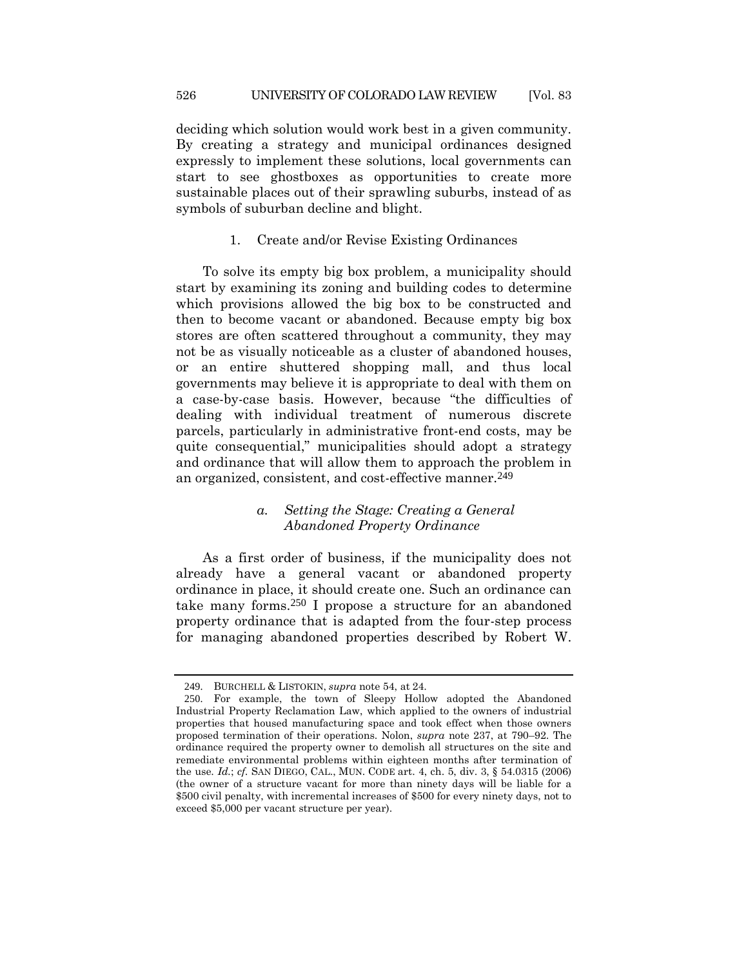deciding which solution would work best in a given community. By creating a strategy and municipal ordinances designed expressly to implement these solutions, local governments can start to see ghostboxes as opportunities to create more sustainable places out of their sprawling suburbs, instead of as symbols of suburban decline and blight.

### 1. Create and/or Revise Existing Ordinances

To solve its empty big box problem, a municipality should start by examining its zoning and building codes to determine which provisions allowed the big box to be constructed and then to become vacant or abandoned. Because empty big box stores are often scattered throughout a community, they may not be as visually noticeable as a cluster of abandoned houses, or an entire shuttered shopping mall, and thus local governments may believe it is appropriate to deal with them on a case-by-case basis. However, because "the difficulties of dealing with individual treatment of numerous discrete parcels, particularly in administrative front-end costs, may be quite consequential," municipalities should adopt a strategy and ordinance that will allow them to approach the problem in an organized, consistent, and cost-effective manner.<sup>249</sup>

# *a. Setting the Stage: Creating a General Abandoned Property Ordinance*

As a first order of business, if the municipality does not already have a general vacant or abandoned property ordinance in place, it should create one. Such an ordinance can take many forms.250 I propose a structure for an abandoned property ordinance that is adapted from the four-step process for managing abandoned properties described by Robert W.

<sup>249</sup>. BURCHELL & LISTOKIN, *supra* not[e 54,](#page-14-1) at 24.

<sup>250</sup>. For example, the town of Sleepy Hollow adopted the Abandoned Industrial Property Reclamation Law, which applied to the owners of industrial properties that housed manufacturing space and took effect when those owners proposed termination of their operations. Nolon, *supra* note [237,](#page-52-1) at 790–92. The ordinance required the property owner to demolish all structures on the site and remediate environmental problems within eighteen months after termination of the use. *Id.*; *cf.* SAN DIEGO, CAL., MUN. CODE art. 4, ch. 5, div. 3, § 54.0315 (2006) (the owner of a structure vacant for more than ninety days will be liable for a \$500 civil penalty, with incremental increases of \$500 for every ninety days, not to exceed \$5,000 per vacant structure per year).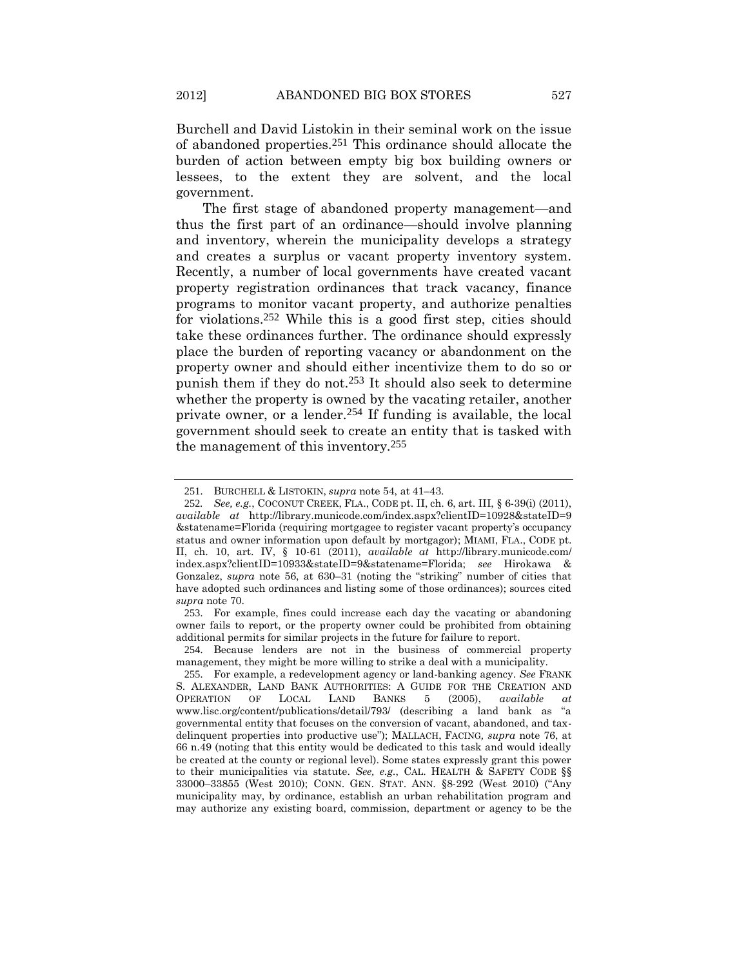Burchell and David Listokin in their seminal work on the issue of abandoned properties.251 This ordinance should allocate the burden of action between empty big box building owners or lessees, to the extent they are solvent, and the local government.

The first stage of abandoned property management—and thus the first part of an ordinance—should involve planning and inventory, wherein the municipality develops a strategy and creates a surplus or vacant property inventory system. Recently, a number of local governments have created vacant property registration ordinances that track vacancy, finance programs to monitor vacant property, and authorize penalties for violations.252 While this is a good first step, cities should take these ordinances further. The ordinance should expressly place the burden of reporting vacancy or abandonment on the property owner and should either incentivize them to do so or punish them if they do not.253 It should also seek to determine whether the property is owned by the vacating retailer, another private owner, or a lender.254 If funding is available, the local government should seek to create an entity that is tasked with the management of this inventory.255

253. For example, fines could increase each day the vacating or abandoning owner fails to report, or the property owner could be prohibited from obtaining additional permits for similar projects in the future for failure to report.

<sup>251</sup>. BURCHELL & LISTOKIN, *supra* not[e 54,](#page-14-1) at 41–43.

<sup>252</sup>*. See, e.g.*, COCONUT CREEK, FLA., CODE pt. II, ch. 6, art. III, § 6-39(i) (2011), *available at* http://library.municode.com/index.aspx?clientID=10928&stateID=9 &statename=Florida (requiring mortgagee to register vacant property's occupancy status and owner information upon default by mortgagor); MIAMI, FLA., CODE pt. II, ch. 10, art. IV, § 10-61 (2011), *available at* http://library.municode.com/ index.aspx?clientID=10933&stateID=9&statename=Florida; *see* Hirokawa & Gonzalez, *supra* note [56,](#page-15-0) at 630–31 (noting the "striking" number of cities that have adopted such ordinances and listing some of those ordinances); sources cited *supra* note [70.](#page-17-0)

<sup>254</sup>. Because lenders are not in the business of commercial property management, they might be more willing to strike a deal with a municipality.

<sup>255</sup>. For example, a redevelopment agency or land-banking agency. *See* FRANK S. ALEXANDER, LAND BANK AUTHORITIES: A GUIDE FOR THE CREATION AND OPERATION OF LOCAL LAND BANKS 5 (2005), *available at* www.lisc.org/content/publications/detail/793/ (describing a land bank as "a governmental entity that focuses on the conversion of vacant, abandoned, and taxdelinquent properties into productive use"); MALLACH, FACING*, supra* note [76,](#page-18-0) at 66 n.49 (noting that this entity would be dedicated to this task and would ideally be created at the county or regional level). Some states expressly grant this power to their municipalities via statute. *See, e.g.*, CAL. HEALTH & SAFETY CODE §§ 33000–33855 (West 2010); CONN. GEN. STAT. ANN. §8-292 (West 2010) ("Any municipality may, by ordinance, establish an urban rehabilitation program and may authorize any existing board, commission, department or agency to be the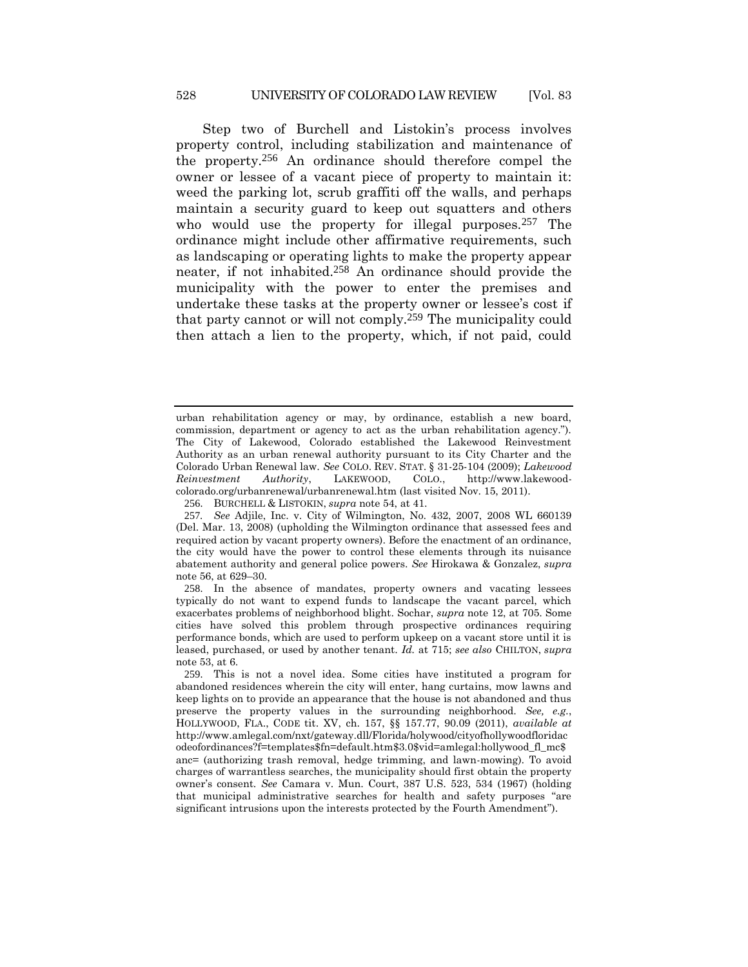Step two of Burchell and Listokin's process involves property control, including stabilization and maintenance of the property.256 An ordinance should therefore compel the owner or lessee of a vacant piece of property to maintain it: weed the parking lot, scrub graffiti off the walls, and perhaps maintain a security guard to keep out squatters and others who would use the property for illegal purposes.<sup>257</sup> The ordinance might include other affirmative requirements, such as landscaping or operating lights to make the property appear neater, if not inhabited.258 An ordinance should provide the municipality with the power to enter the premises and undertake these tasks at the property owner or lessee's cost if that party cannot or will not comply.259 The municipality could then attach a lien to the property, which, if not paid, could

urban rehabilitation agency or may, by ordinance, establish a new board, commission, department or agency to act as the urban rehabilitation agency."). The City of Lakewood, Colorado established the Lakewood Reinvestment Authority as an urban renewal authority pursuant to its City Charter and the Colorado Urban Renewal law. *See* COLO. REV. STAT. § 31-25-104 (2009); *Lakewood Reinvestment Authority*, LAKEWOOD, COLO., http://www.lakewoodcolorado.org/urbanrenewal/urbanrenewal.htm (last visited Nov. 15, 2011).

<sup>256</sup>. BURCHELL & LISTOKIN, *supra* not[e 54,](#page-14-1) at 41.

<sup>257</sup>*. See* Adjile, Inc. v. City of Wilmington, No. 432, 2007, 2008 WL 660139 (Del. Mar. 13, 2008) (upholding the Wilmington ordinance that assessed fees and required action by vacant property owners). Before the enactment of an ordinance, the city would have the power to control these elements through its nuisance abatement authority and general police powers. *See* Hirokawa & Gonzalez, *supra* not[e 56,](#page-15-0) at 629–30.

<sup>258</sup>. In the absence of mandates, property owners and vacating lessees typically do not want to expend funds to landscape the vacant parcel, which exacerbates problems of neighborhood blight. Sochar, *supra* note [12,](#page-4-1) at 705. Some cities have solved this problem through prospective ordinances requiring performance bonds, which are used to perform upkeep on a vacant store until it is leased, purchased, or used by another tenant. *Id.* at 715; *see also* CHILTON, *supra*  not[e 53,](#page-14-0) at 6.

<sup>259</sup>. This is not a novel idea. Some cities have instituted a program for abandoned residences wherein the city will enter, hang curtains, mow lawns and keep lights on to provide an appearance that the house is not abandoned and thus preserve the property values in the surrounding neighborhood. *See, e.g.*, HOLLYWOOD, FLA., CODE tit. XV, ch. 157, §§ 157.77, 90.09 (2011), *available at* http://www.amlegal.com/nxt/gateway.dll/Florida/holywood/cityofhollywoodfloridac odeofordinances?f=templates\$fn=default.htm\$3.0\$vid=amlegal:hollywood\_fl\_mc\$ anc= (authorizing trash removal, hedge trimming, and lawn-mowing). To avoid charges of warrantless searches, the municipality should first obtain the property owner's consent. *See* Camara v. Mun. Court, 387 U.S. 523, 534 (1967) (holding that municipal administrative searches for health and safety purposes "are significant intrusions upon the interests protected by the Fourth Amendment").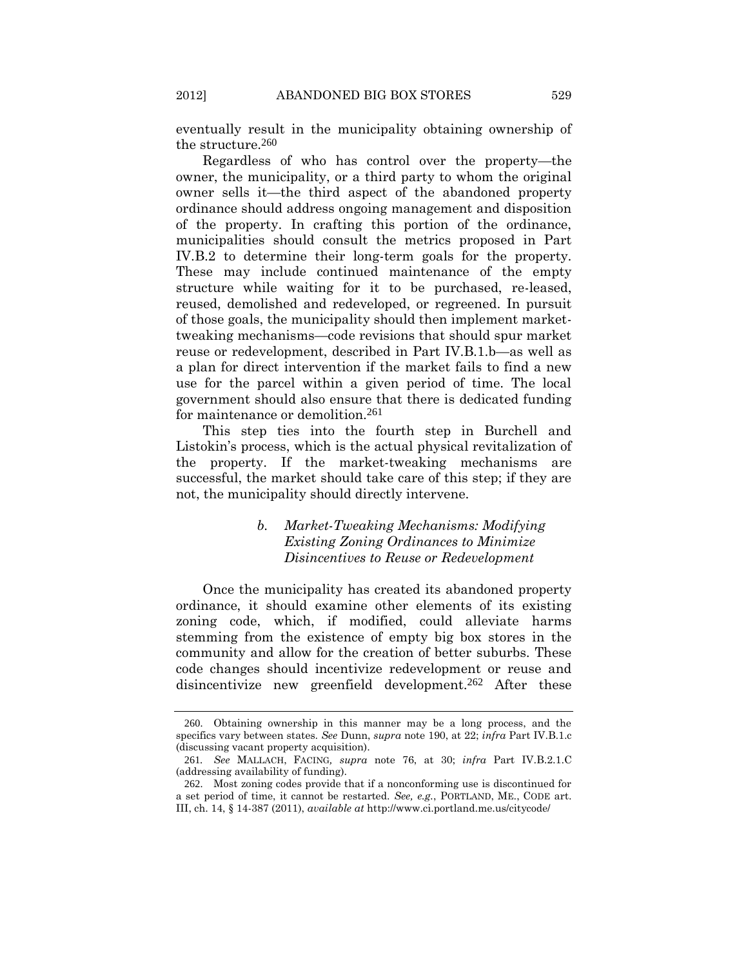eventually result in the municipality obtaining ownership of the structure.260

Regardless of who has control over the property—the owner, the municipality, or a third party to whom the original owner sells it—the third aspect of the abandoned property ordinance should address ongoing management and disposition of the property. In crafting this portion of the ordinance, municipalities should consult the metrics proposed in Part IV.B.2 to determine their long-term goals for the property. These may include continued maintenance of the empty structure while waiting for it to be purchased, re-leased, reused, demolished and redeveloped, or regreened. In pursuit of those goals, the municipality should then implement markettweaking mechanisms—code revisions that should spur market reuse or redevelopment, described in Part IV.B.1.b—as well as a plan for direct intervention if the market fails to find a new use for the parcel within a given period of time. The local government should also ensure that there is dedicated funding for maintenance or demolition.261

This step ties into the fourth step in Burchell and Listokin's process, which is the actual physical revitalization of the property. If the market-tweaking mechanisms are successful, the market should take care of this step; if they are not, the municipality should directly intervene.

# *b. Market-Tweaking Mechanisms: Modifying Existing Zoning Ordinances to Minimize Disincentives to Reuse or Redevelopment*

Once the municipality has created its abandoned property ordinance, it should examine other elements of its existing zoning code, which, if modified, could alleviate harms stemming from the existence of empty big box stores in the community and allow for the creation of better suburbs. These code changes should incentivize redevelopment or reuse and disincentivize new greenfield development.262 After these

<sup>260</sup>. Obtaining ownership in this manner may be a long process, and the specifics vary between states. *See* Dunn, *supra* not[e 190,](#page-40-1) at 22; *infra* Part IV.B.1.c (discussing vacant property acquisition).

<sup>261</sup>*. See* MALLACH, FACING*, supra* note [76,](#page-18-0) at 30; *infra* Part IV.B.2.1.C (addressing availability of funding).

<sup>262</sup>. Most zoning codes provide that if a nonconforming use is discontinued for a set period of time, it cannot be restarted. *See, e.g.*, PORTLAND, ME., CODE art. III, ch. 14, § 14-387 (2011), *available at* http://www.ci.portland.me.us/citycode/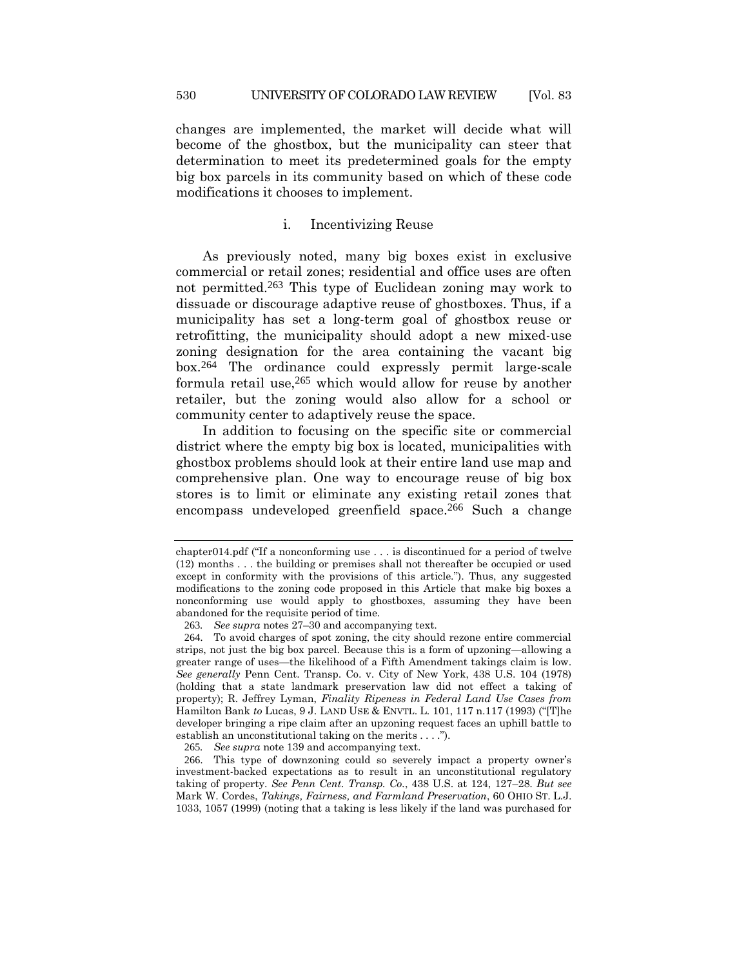changes are implemented, the market will decide what will become of the ghostbox, but the municipality can steer that determination to meet its predetermined goals for the empty big box parcels in its community based on which of these code modifications it chooses to implement.

### i. Incentivizing Reuse

As previously noted, many big boxes exist in exclusive commercial or retail zones; residential and office uses are often not permitted.263 This type of Euclidean zoning may work to dissuade or discourage adaptive reuse of ghostboxes. Thus, if a municipality has set a long-term goal of ghostbox reuse or retrofitting, the municipality should adopt a new mixed-use zoning designation for the area containing the vacant big box.264 The ordinance could expressly permit large-scale formula retail use,265 which would allow for reuse by another retailer, but the zoning would also allow for a school or community center to adaptively reuse the space.

<span id="page-59-0"></span>In addition to focusing on the specific site or commercial district where the empty big box is located, municipalities with ghostbox problems should look at their entire land use map and comprehensive plan. One way to encourage reuse of big box stores is to limit or eliminate any existing retail zones that encompass undeveloped greenfield space.266 Such a change

265*. See supra* note [139](#page-30-0) and accompanying text.

<span id="page-59-1"></span>chapter014.pdf ("If a nonconforming use . . . is discontinued for a period of twelve (12) months . . . the building or premises shall not thereafter be occupied or used except in conformity with the provisions of this article."). Thus, any suggested modifications to the zoning code proposed in this Article that make big boxes a nonconforming use would apply to ghostboxes, assuming they have been abandoned for the requisite period of time.

<sup>263</sup>*. See supra* note[s 27](#page-8-1)–[30](#page-9-0) and accompanying text.

<sup>264</sup>. To avoid charges of spot zoning, the city should rezone entire commercial strips, not just the big box parcel. Because this is a form of upzoning—allowing a greater range of uses—the likelihood of a Fifth Amendment takings claim is low. *See generally* Penn Cent. Transp. Co. v. City of New York, 438 U.S. 104 (1978) (holding that a state landmark preservation law did not effect a taking of property); R. Jeffrey Lyman, *Finality Ripeness in Federal Land Use Cases from*  Hamilton Bank *to* Lucas, 9 J. LAND USE & ENVTL. L. 101, 117 n.117 (1993) ("[T]he developer bringing a ripe claim after an upzoning request faces an uphill battle to establish an unconstitutional taking on the merits . . . .").

<sup>266</sup>. This type of downzoning could so severely impact a property owner's investment-backed expectations as to result in an unconstitutional regulatory taking of property. *See Penn Cent. Transp. Co.*, 438 U.S. at 124, 127–28. *But see*  Mark W. Cordes, *Takings, Fairness, and Farmland Preservation*, 60 OHIO ST. L.J. 1033, 1057 (1999) (noting that a taking is less likely if the land was purchased for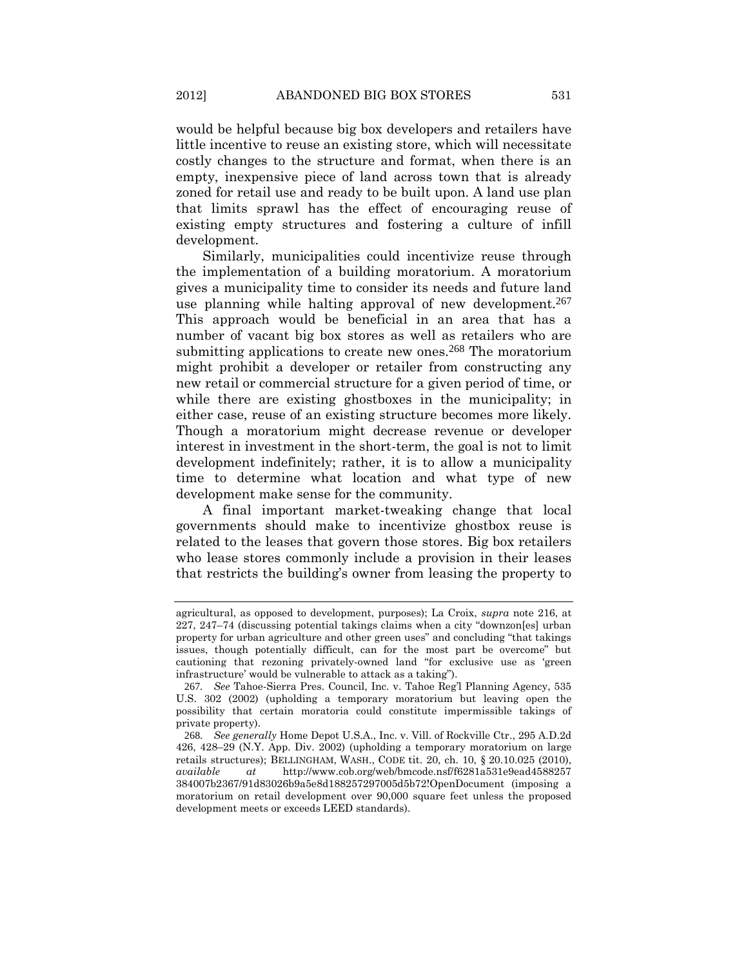would be helpful because big box developers and retailers have little incentive to reuse an existing store, which will necessitate costly changes to the structure and format, when there is an empty, inexpensive piece of land across town that is already zoned for retail use and ready to be built upon. A land use plan that limits sprawl has the effect of encouraging reuse of existing empty structures and fostering a culture of infill development.

Similarly, municipalities could incentivize reuse through the implementation of a building moratorium. A moratorium gives a municipality time to consider its needs and future land use planning while halting approval of new development.<sup>267</sup> This approach would be beneficial in an area that has a number of vacant big box stores as well as retailers who are submitting applications to create new ones.<sup>268</sup> The moratorium might prohibit a developer or retailer from constructing any new retail or commercial structure for a given period of time, or while there are existing ghostboxes in the municipality; in either case, reuse of an existing structure becomes more likely. Though a moratorium might decrease revenue or developer interest in investment in the short-term, the goal is not to limit development indefinitely; rather, it is to allow a municipality time to determine what location and what type of new development make sense for the community.

A final important market-tweaking change that local governments should make to incentivize ghostbox reuse is related to the leases that govern those stores. Big box retailers who lease stores commonly include a provision in their leases that restricts the building's owner from leasing the property to

agricultural, as opposed to development, purposes); La Croix, *supra* note [216,](#page-47-0) at 227, 247–74 (discussing potential takings claims when a city "downzon[es] urban property for urban agriculture and other green uses" and concluding "that takings issues, though potentially difficult, can for the most part be overcome" but cautioning that rezoning privately-owned land "for exclusive use as 'green infrastructure' would be vulnerable to attack as a taking").

<sup>267</sup>*. See* Tahoe-Sierra Pres. Council, Inc. v. Tahoe Reg'l Planning Agency, 535 U.S. 302 (2002) (upholding a temporary moratorium but leaving open the possibility that certain moratoria could constitute impermissible takings of private property).

<sup>268</sup>*. See generally* Home Depot U.S.A., Inc. v. Vill. of Rockville Ctr., 295 A.D.2d 426, 428–29 (N.Y. App. Div. 2002) (upholding a temporary moratorium on large retails structures); BELLINGHAM, WASH., CODE tit. 20, ch. 10, § 20.10.025 (2010), *available at* http://www.cob.org/web/bmcode.nsf/f6281a531e9ead4588257 384007b2367/91d83026b9a5e8d188257297005d5b72!OpenDocument (imposing a moratorium on retail development over 90,000 square feet unless the proposed development meets or exceeds LEED standards).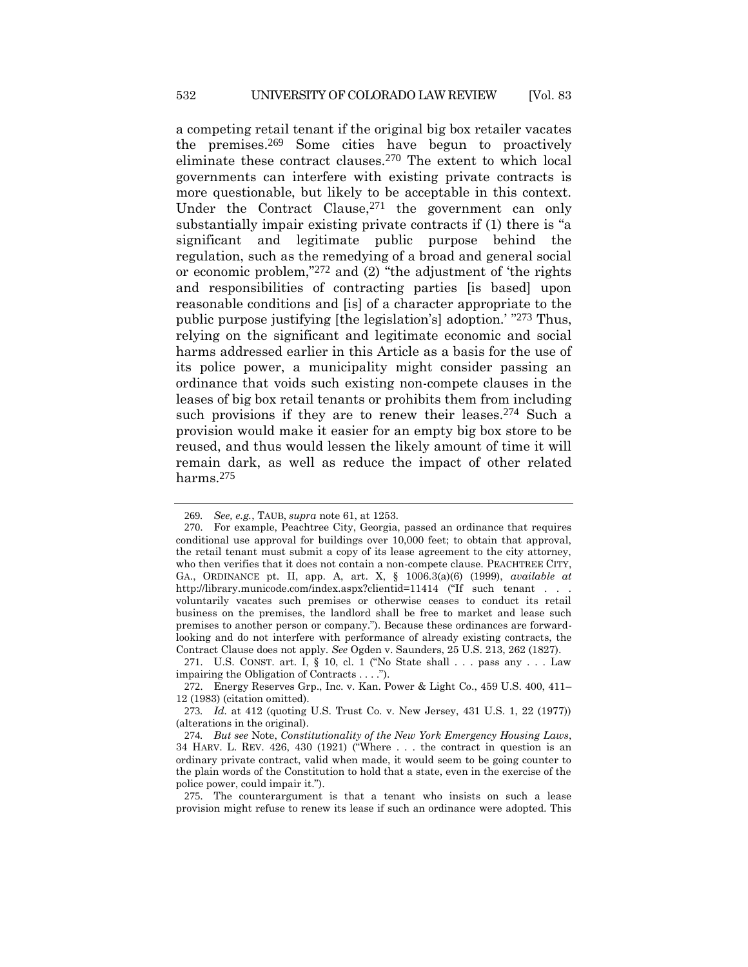<span id="page-61-0"></span>a competing retail tenant if the original big box retailer vacates the premises.269 Some cities have begun to proactively eliminate these contract clauses.270 The extent to which local governments can interfere with existing private contracts is more questionable, but likely to be acceptable in this context. Under the Contract Clause,<sup>271</sup> the government can only substantially impair existing private contracts if (1) there is "a significant and legitimate public purpose behind the regulation, such as the remedying of a broad and general social or economic problem,"272 and (2) "the adjustment of 'the rights and responsibilities of contracting parties [is based] upon reasonable conditions and [is] of a character appropriate to the public purpose justifying [the legislation's] adoption.' " 273 Thus, relying on the significant and legitimate economic and social harms addressed earlier in this Article as a basis for the use of its police power, a municipality might consider passing an ordinance that voids such existing non-compete clauses in the leases of big box retail tenants or prohibits them from including such provisions if they are to renew their leases.<sup>274</sup> Such a provision would make it easier for an empty big box store to be reused, and thus would lessen the likely amount of time it will remain dark, as well as reduce the impact of other related harms.275

<sup>269</sup>*. See, e.g.*, TAUB, *supra* not[e 61,](#page-16-0) at 1253.

<sup>270</sup>. For example, Peachtree City, Georgia, passed an ordinance that requires conditional use approval for buildings over 10,000 feet; to obtain that approval, the retail tenant must submit a copy of its lease agreement to the city attorney, who then verifies that it does not contain a non-compete clause. PEACHTREE CITY, GA., ORDINANCE pt. II, app. A, art. X, § 1006.3(a)(6) (1999), *available at* http://library.municode.com/index.aspx?clientid=11414 ("If such tenant . . . voluntarily vacates such premises or otherwise ceases to conduct its retail business on the premises, the landlord shall be free to market and lease such premises to another person or company."). Because these ordinances are forwardlooking and do not interfere with performance of already existing contracts, the Contract Clause does not apply. *See* Ogden v. Saunders, 25 U.S. 213, 262 (1827).

<sup>271</sup>. U.S. CONST. art. I, § 10, cl. 1 ("No State shall . . . pass any . . . Law impairing the Obligation of Contracts . . . .").

<sup>272</sup>. Energy Reserves Grp., Inc. v. Kan. Power & Light Co., 459 U.S. 400, 411– 12 (1983) (citation omitted).

<sup>273</sup>*. Id.* at 412 (quoting U.S. Trust Co. v. New Jersey, 431 U.S. 1, 22 (1977)) (alterations in the original).

<sup>274</sup>*. But see* Note, *Constitutionality of the New York Emergency Housing Laws*, 34 HARV. L. REV. 426, 430 (1921) ("Where . . . the contract in question is an ordinary private contract, valid when made, it would seem to be going counter to the plain words of the Constitution to hold that a state, even in the exercise of the police power, could impair it.").

<sup>275</sup>. The counterargument is that a tenant who insists on such a lease provision might refuse to renew its lease if such an ordinance were adopted. This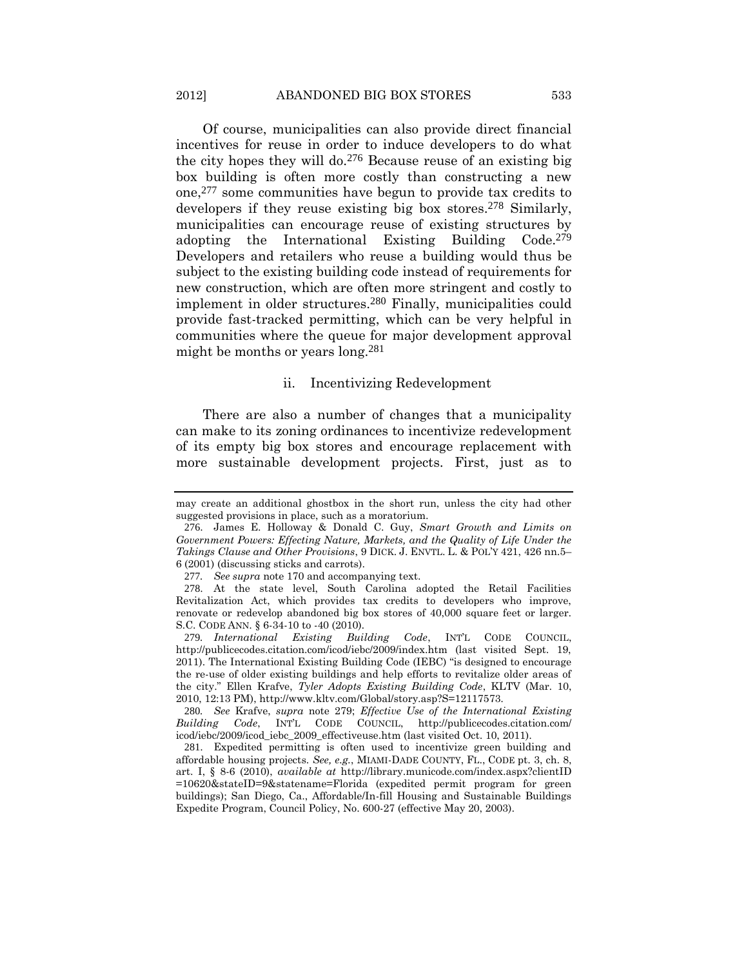Of course, municipalities can also provide direct financial incentives for reuse in order to induce developers to do what the city hopes they will do.276 Because reuse of an existing big box building is often more costly than constructing a new one,277 some communities have begun to provide tax credits to developers if they reuse existing big box stores.278 Similarly, municipalities can encourage reuse of existing structures by adopting the International Existing Building Code.279 Developers and retailers who reuse a building would thus be subject to the existing building code instead of requirements for new construction, which are often more stringent and costly to implement in older structures.280 Finally, municipalities could provide fast-tracked permitting, which can be very helpful in communities where the queue for major development approval might be months or years long.281

### ii. Incentivizing Redevelopment

There are also a number of changes that a municipality can make to its zoning ordinances to incentivize redevelopment of its empty big box stores and encourage replacement with more sustainable development projects. First, just as to

280*. See* Krafve, *supra* note [279;](#page-62-0) *Effective Use of the International Existing Building Code*, INT'L CODE COUNCIL, http://publicecodes.citation.com/ icod/iebc/2009/icod\_iebc\_2009\_effectiveuse.htm (last visited Oct. 10, 2011).

<span id="page-62-0"></span>

may create an additional ghostbox in the short run, unless the city had other suggested provisions in place, such as a moratorium.

<sup>276</sup>. James E. Holloway & Donald C. Guy, *Smart Growth and Limits on Government Powers: Effecting Nature, Markets, and the Quality of Life Under the Takings Clause and Other Provisions*, 9 DICK. J. ENVTL. L. & POL'Y 421, 426 nn.5– 6 (2001) (discussing sticks and carrots).

<sup>277</sup>*. See supra* note [170](#page-36-0) and accompanying text.

<sup>278</sup>. At the state level, South Carolina adopted the Retail Facilities Revitalization Act, which provides tax credits to developers who improve, renovate or redevelop abandoned big box stores of 40,000 square feet or larger. S.C. CODE ANN. § 6-34-10 to -40 (2010)*.*

<sup>279</sup>*. International Existing Building Code*, INT'L CODE COUNCIL, http://publicecodes.citation.com/icod/iebc/2009/index.htm (last visited Sept. 19, 2011). The International Existing Building Code (IEBC) "is designed to encourage the re-use of older existing buildings and help efforts to revitalize older areas of the city." Ellen Krafve, *Tyler Adopts Existing Building Code*, KLTV (Mar. 10, 2010, 12:13 PM), http://www.kltv.com/Global/story.asp?S=12117573.

<sup>281</sup>. Expedited permitting is often used to incentivize green building and affordable housing projects. *See, e.g.*, MIAMI-DADE COUNTY, FL., CODE pt. 3, ch. 8, art. I, § 8-6 (2010), *available at* http://library.municode.com/index.aspx?clientID =10620&stateID=9&statename=Florida (expedited permit program for green buildings); San Diego, Ca., Affordable/In-fill Housing and Sustainable Buildings Expedite Program, Council Policy, No. 600-27 (effective May 20, 2003).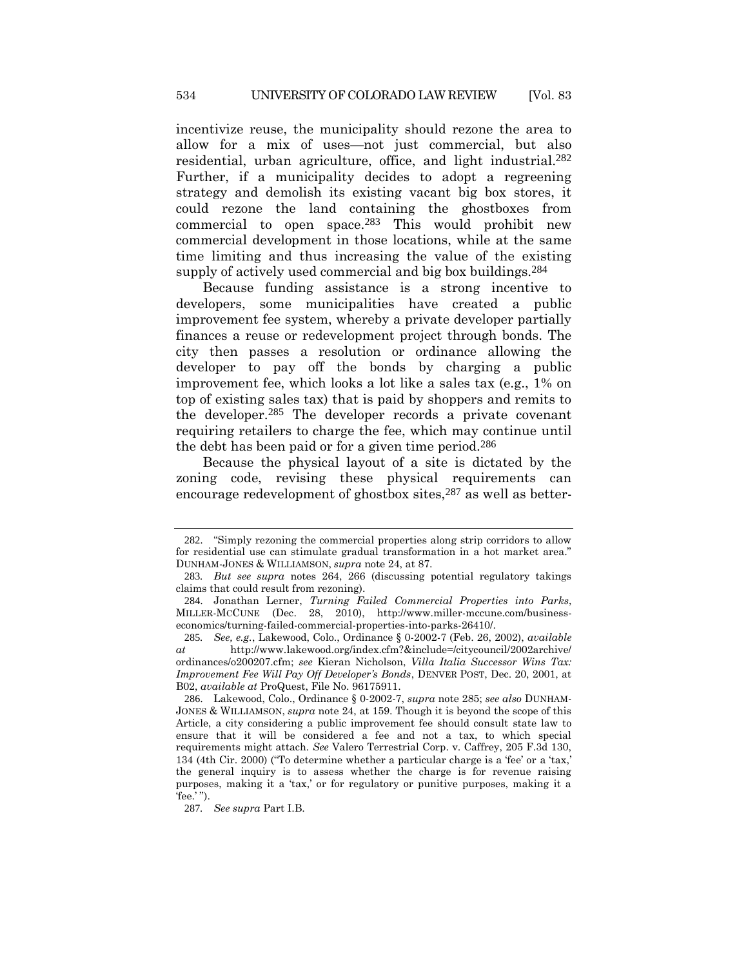incentivize reuse, the municipality should rezone the area to allow for a mix of uses—not just commercial, but also residential, urban agriculture, office, and light industrial.282 Further, if a municipality decides to adopt a regreening strategy and demolish its existing vacant big box stores, it could rezone the land containing the ghostboxes from commercial to open space.283 This would prohibit new commercial development in those locations, while at the same time limiting and thus increasing the value of the existing supply of actively used commercial and big box buildings.<sup>284</sup>

Because funding assistance is a strong incentive to developers, some municipalities have created a public improvement fee system, whereby a private developer partially finances a reuse or redevelopment project through bonds. The city then passes a resolution or ordinance allowing the developer to pay off the bonds by charging a public improvement fee, which looks a lot like a sales tax (e.g., 1% on top of existing sales tax) that is paid by shoppers and remits to the developer.285 The developer records a private covenant requiring retailers to charge the fee, which may continue until the debt has been paid or for a given time period.286

Because the physical layout of a site is dictated by the zoning code, revising these physical requirements can encourage redevelopment of ghostbox sites,<sup>287</sup> as well as better-

<sup>282</sup>. "Simply rezoning the commercial properties along strip corridors to allow for residential use can stimulate gradual transformation in a hot market area." DUNHAM-JONES & WILLIAMSON, *supra* not[e 24,](#page-8-0) at 87.

<sup>283</sup>*. But see supra* notes [264,](#page-59-0) [266](#page-59-1) (discussing potential regulatory takings claims that could result from rezoning).

<sup>284</sup>. Jonathan Lerner, *Turning Failed Commercial Properties into Parks*, MILLER-MCCUNE (Dec. 28, 2010), http://www.miller-mccune.com/businesseconomics/turning-failed-commercial-properties-into-parks-26410/.

<sup>285</sup>*. See, e.g.*, Lakewood, Colo., Ordinance § 0-2002-7 (Feb. 26, 2002), *available at* http://www.lakewood.org/index.cfm?&include=/citycouncil/2002archive/ ordinances/o200207.cfm; *see* Kieran Nicholson, *Villa Italia Successor Wins Tax: Improvement Fee Will Pay Off Developer's Bonds*, DENVER POST, Dec. 20, 2001, at B02, *available at* ProQuest, File No. 96175911.

<sup>286</sup>. Lakewood, Colo., Ordinance § 0-2002-7, *supra* note 285; *see also* DUNHAM-JONES & WILLIAMSON, *supra* note [24,](#page-8-0) at 159. Though it is beyond the scope of this Article, a city considering a public improvement fee should consult state law to ensure that it will be considered a fee and not a tax, to which special requirements might attach. *See* Valero Terrestrial Corp. v. Caffrey, 205 F.3d 130, 134 (4th Cir. 2000) ("To determine whether a particular charge is a 'fee' or a 'tax,' the general inquiry is to assess whether the charge is for revenue raising purposes, making it a 'tax,' or for regulatory or punitive purposes, making it a 'fee.' ").

<sup>287</sup>*. See supra* Part I.B.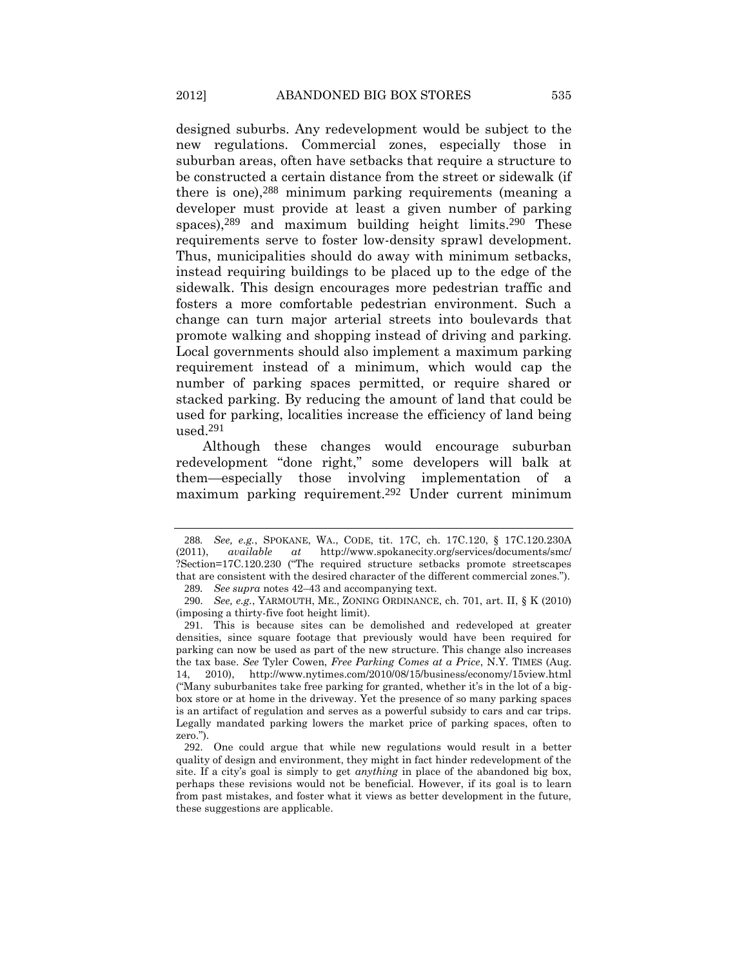designed suburbs. Any redevelopment would be subject to the new regulations. Commercial zones, especially those in suburban areas, often have setbacks that require a structure to be constructed a certain distance from the street or sidewalk (if there is one),288 minimum parking requirements (meaning a developer must provide at least a given number of parking spaces), $289$  and maximum building height limits. $290$  These requirements serve to foster low-density sprawl development. Thus, municipalities should do away with minimum setbacks, instead requiring buildings to be placed up to the edge of the sidewalk. This design encourages more pedestrian traffic and fosters a more comfortable pedestrian environment. Such a change can turn major arterial streets into boulevards that promote walking and shopping instead of driving and parking. Local governments should also implement a maximum parking requirement instead of a minimum, which would cap the number of parking spaces permitted, or require shared or stacked parking. By reducing the amount of land that could be used for parking, localities increase the efficiency of land being used.291

Although these changes would encourage suburban redevelopment "done right," some developers will balk at them—especially those involving implementation of a maximum parking requirement.292 Under current minimum

<sup>288</sup>*. See, e.g.*, SPOKANE, WA., CODE, tit. 17C, ch. 17C.120, § 17C.120.230A (2011), *available at* http://www.spokanecity.org/services/documents/smc/ ?Section=17C.120.230 ("The required structure setbacks promote streetscapes that are consistent with the desired character of the different commercial zones."). 289*. See supra* note[s 42](#page-11-0)–[43](#page-11-1) and accompanying text.

<sup>290</sup>. *See, e.g.*, YARMOUTH, ME., ZONING ORDINANCE, ch. 701, art. II, § K (2010) (imposing a thirty-five foot height limit).

<sup>291</sup>. This is because sites can be demolished and redeveloped at greater densities, since square footage that previously would have been required for parking can now be used as part of the new structure. This change also increases the tax base. *See* Tyler Cowen, *Free Parking Comes at a Price*, N.Y. TIMES (Aug. 14, 2010), http://www.nytimes.com/2010/08/15/business/economy/15view.html ("Many suburbanites take free parking for granted, whether it's in the lot of a bigbox store or at home in the driveway. Yet the presence of so many parking spaces is an artifact of regulation and serves as a powerful subsidy to cars and car trips. Legally mandated parking lowers the market price of parking spaces, often to zero.").

<sup>292</sup>. One could argue that while new regulations would result in a better quality of design and environment, they might in fact hinder redevelopment of the site. If a city's goal is simply to get *anything* in place of the abandoned big box, perhaps these revisions would not be beneficial. However, if its goal is to learn from past mistakes, and foster what it views as better development in the future, these suggestions are applicable.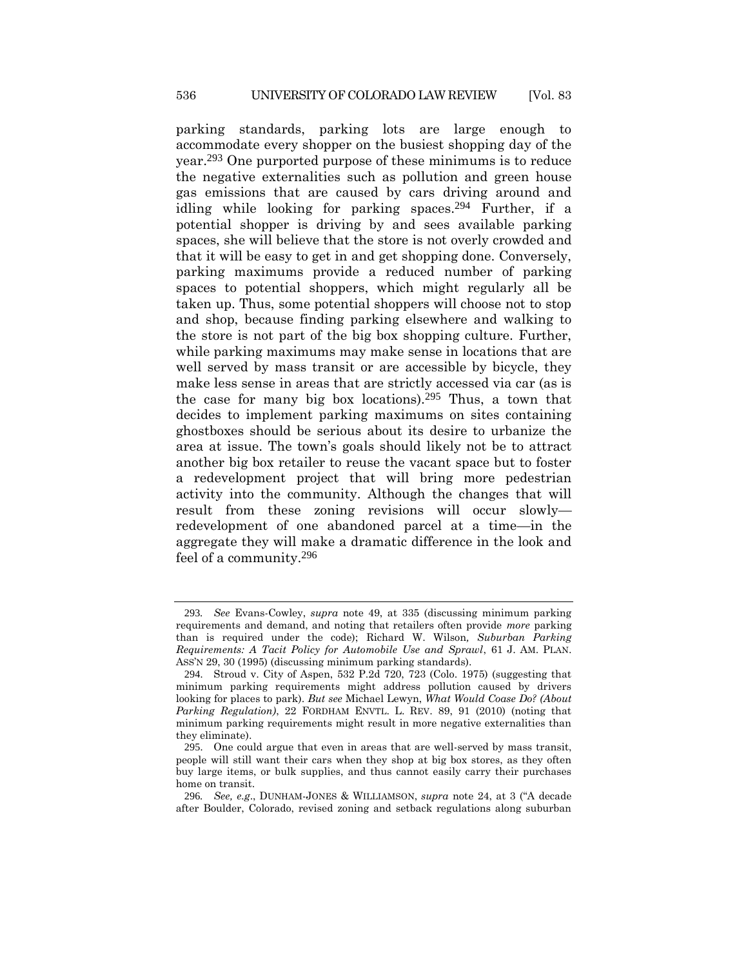parking standards, parking lots are large enough to accommodate every shopper on the busiest shopping day of the year.293 One purported purpose of these minimums is to reduce the negative externalities such as pollution and green house gas emissions that are caused by cars driving around and idling while looking for parking spaces.<sup>294</sup> Further, if a potential shopper is driving by and sees available parking spaces, she will believe that the store is not overly crowded and that it will be easy to get in and get shopping done. Conversely, parking maximums provide a reduced number of parking spaces to potential shoppers, which might regularly all be taken up. Thus, some potential shoppers will choose not to stop and shop, because finding parking elsewhere and walking to the store is not part of the big box shopping culture. Further, while parking maximums may make sense in locations that are well served by mass transit or are accessible by bicycle, they make less sense in areas that are strictly accessed via car (as is the case for many big box locations).295 Thus, a town that decides to implement parking maximums on sites containing ghostboxes should be serious about its desire to urbanize the area at issue. The town's goals should likely not be to attract another big box retailer to reuse the vacant space but to foster a redevelopment project that will bring more pedestrian activity into the community. Although the changes that will result from these zoning revisions will occur slowly redevelopment of one abandoned parcel at a time—in the aggregate they will make a dramatic difference in the look and feel of a community.296

<sup>293</sup>*. See* Evans-Cowley, *supra* note [49,](#page-12-0) at 335 (discussing minimum parking requirements and demand, and noting that retailers often provide *more* parking than is required under the code); Richard W. Wilson*, Suburban Parking Requirements: A Tacit Policy for Automobile Use and Sprawl*, 61 J. AM. PLAN. ASS'N 29, 30 (1995) (discussing minimum parking standards).

<sup>294</sup>. Stroud v. City of Aspen, 532 P.2d 720, 723 (Colo. 1975) (suggesting that minimum parking requirements might address pollution caused by drivers looking for places to park). *But see* Michael Lewyn, *What Would Coase Do? (About Parking Regulation)*, 22 FORDHAM ENVTL. L. REV. 89, 91 (2010) (noting that minimum parking requirements might result in more negative externalities than they eliminate).

<sup>295</sup>. One could argue that even in areas that are well-served by mass transit, people will still want their cars when they shop at big box stores, as they often buy large items, or bulk supplies, and thus cannot easily carry their purchases home on transit.

<sup>296</sup>*. See, e.g*., DUNHAM-JONES & WILLIAMSON, *supra* note [24](#page-8-0), at 3 ("A decade after Boulder, Colorado, revised zoning and setback regulations along suburban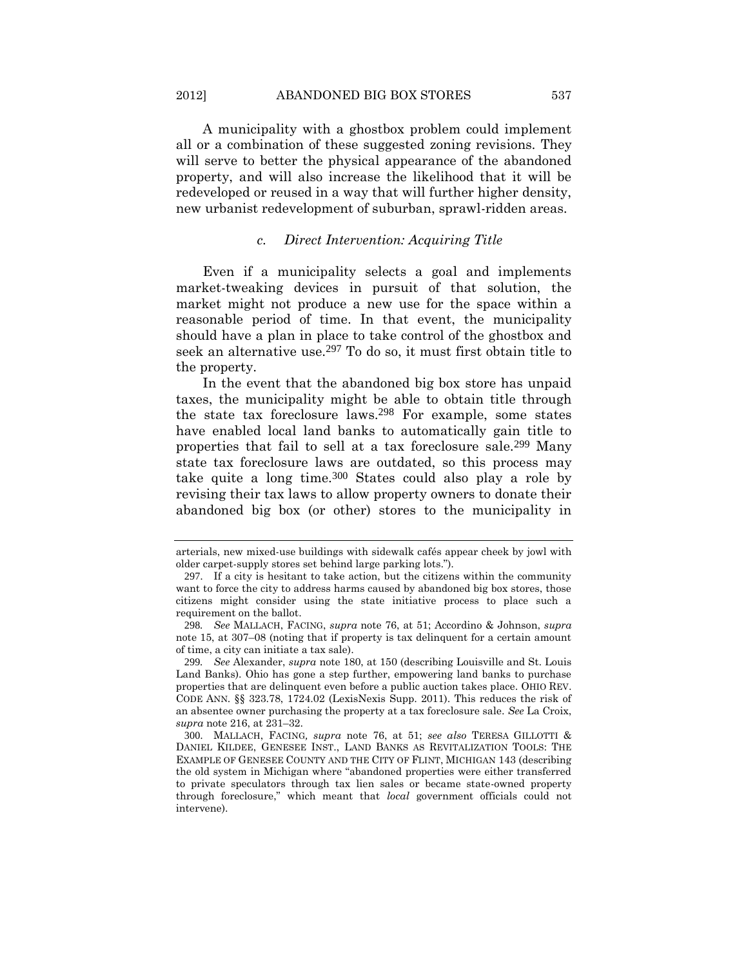2012] ABANDONED BIG BOX STORES 537

A municipality with a ghostbox problem could implement all or a combination of these suggested zoning revisions. They will serve to better the physical appearance of the abandoned property, and will also increase the likelihood that it will be redeveloped or reused in a way that will further higher density, new urbanist redevelopment of suburban, sprawl-ridden areas.

### *c. Direct Intervention: Acquiring Title*

Even if a municipality selects a goal and implements market-tweaking devices in pursuit of that solution, the market might not produce a new use for the space within a reasonable period of time. In that event, the municipality should have a plan in place to take control of the ghostbox and seek an alternative use.297 To do so, it must first obtain title to the property.

In the event that the abandoned big box store has unpaid taxes, the municipality might be able to obtain title through the state tax foreclosure laws.298 For example, some states have enabled local land banks to automatically gain title to properties that fail to sell at a tax foreclosure sale.299 Many state tax foreclosure laws are outdated, so this process may take quite a long time.300 States could also play a role by revising their tax laws to allow property owners to donate their abandoned big box (or other) stores to the municipality in

<span id="page-66-0"></span>arterials, new mixed-use buildings with sidewalk cafés appear cheek by jowl with older carpet-supply stores set behind large parking lots.").

<sup>297</sup>. If a city is hesitant to take action, but the citizens within the community want to force the city to address harms caused by abandoned big box stores, those citizens might consider using the state initiative process to place such a requirement on the ballot.

<sup>298</sup>*. See* MALLACH, FACING, *supra* note [76,](#page-18-0) at 51; Accordino & Johnson, *supra*  note [15,](#page-5-1) at 307–08 (noting that if property is tax delinquent for a certain amount of time, a city can initiate a tax sale).

<sup>299</sup>*. See* Alexander, *supra* note [180,](#page-38-0) at 150 (describing Louisville and St. Louis Land Banks). Ohio has gone a step further, empowering land banks to purchase properties that are delinquent even before a public auction takes place. OHIO REV. CODE ANN. §§ 323.78, 1724.02 (LexisNexis Supp. 2011). This reduces the risk of an absentee owner purchasing the property at a tax foreclosure sale. *See* La Croix, *supra* note [216,](#page-47-0) at 231–32.

<sup>300</sup>. MALLACH, FACING*, supra* note [76,](#page-18-0) at 51; *see also* TERESA GILLOTTI & DANIEL KILDEE, GENESEE INST., LAND BANKS AS REVITALIZATION TOOLS: THE EXAMPLE OF GENESEE COUNTY AND THE CITY OF FLINT, MICHIGAN 143 (describing the old system in Michigan where "abandoned properties were either transferred to private speculators through tax lien sales or became state-owned property through foreclosure," which meant that *local* government officials could not intervene).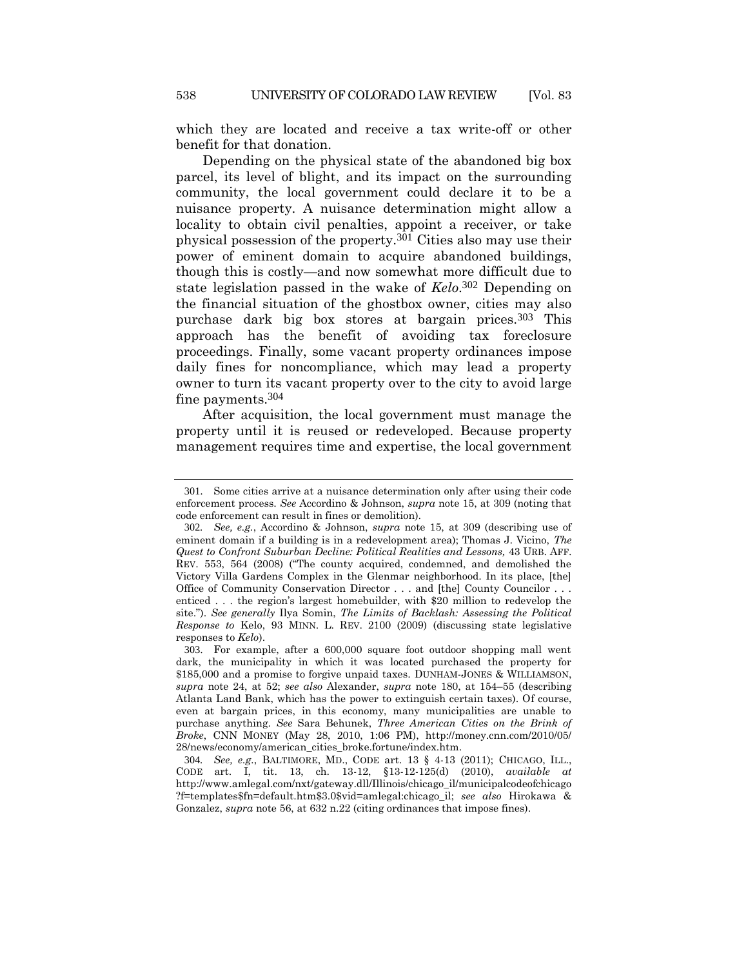which they are located and receive a tax write-off or other benefit for that donation.

Depending on the physical state of the abandoned big box parcel, its level of blight, and its impact on the surrounding community, the local government could declare it to be a nuisance property. A nuisance determination might allow a locality to obtain civil penalties, appoint a receiver, or take physical possession of the property.301 Cities also may use their power of eminent domain to acquire abandoned buildings, though this is costly—and now somewhat more difficult due to state legislation passed in the wake of *Kelo*. 302 Depending on the financial situation of the ghostbox owner, cities may also purchase dark big box stores at bargain prices.303 This approach has the benefit of avoiding tax foreclosure proceedings. Finally, some vacant property ordinances impose daily fines for noncompliance, which may lead a property owner to turn its vacant property over to the city to avoid large fine payments.304

<span id="page-67-0"></span>After acquisition, the local government must manage the property until it is reused or redeveloped. Because property management requires time and expertise, the local government

<sup>301</sup>. Some cities arrive at a nuisance determination only after using their code enforcement process. *See* Accordino & Johnson, *supra* not[e 15,](#page-5-1) at 309 (noting that code enforcement can result in fines or demolition).

<sup>302</sup>*. See, e.g.*, Accordino & Johnson, *supra* note [15,](#page-5-1) at 309 (describing use of eminent domain if a building is in a redevelopment area); Thomas J. Vicino, *The Quest to Confront Suburban Decline: Political Realities and Lessons,* 43 URB. AFF. REV. 553, 564 (2008) ("The county acquired, condemned, and demolished the Victory Villa Gardens Complex in the Glenmar neighborhood. In its place, [the] Office of Community Conservation Director . . . and [the] County Councilor . . . enticed . . . the region's largest homebuilder, with \$20 million to redevelop the site."). *See generally* Ilya Somin, *The Limits of Backlash: Assessing the Political Response to* Kelo, 93 MINN. L. REV. 2100 (2009) (discussing state legislative responses to *Kelo*).

<sup>303</sup>. For example, after a 600,000 square foot outdoor shopping mall went dark, the municipality in which it was located purchased the property for \$185,000 and a promise to forgive unpaid taxes. DUNHAM-JONES & WILLIAMSON, *supra* note [24,](#page-8-0) at 52; *see also* Alexander, *supra* note [180,](#page-38-0) at 154–55 (describing Atlanta Land Bank, which has the power to extinguish certain taxes). Of course, even at bargain prices, in this economy, many municipalities are unable to purchase anything. *See* Sara Behunek, *Three American Cities on the Brink of Broke*, CNN MONEY (May 28, 2010, 1:06 PM), http://money.cnn.com/2010/05/ 28/news/economy/american\_cities\_broke.fortune/index.htm.

<sup>304</sup>*. See, e.g.*, BALTIMORE, MD., CODE art. 13 § 4-13 (2011); CHICAGO, ILL., CODE art. I, tit. 13, ch. 13-12, §13-12-125(d) (2010), *available at* http://www.amlegal.com/nxt/gateway.dll/Illinois/chicago\_il/municipalcodeofchicago ?f=templates\$fn=default.htm\$3.0\$vid=amlegal:chicago\_il; *see also* Hirokawa & Gonzalez, *supra* note [56,](#page-15-0) at 632 n.22 (citing ordinances that impose fines).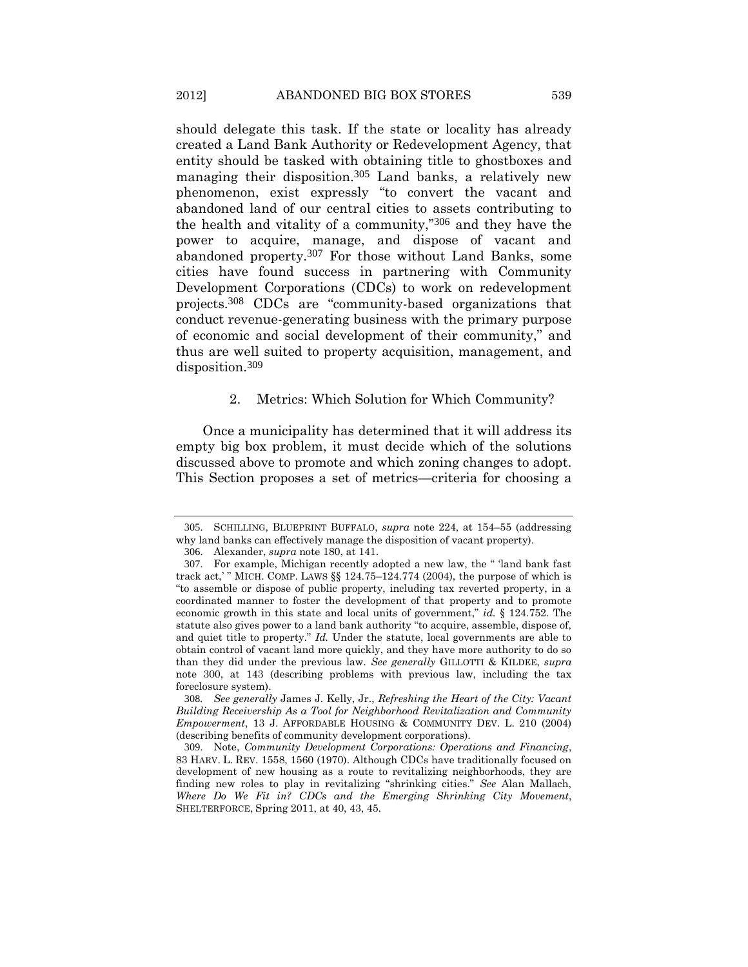should delegate this task. If the state or locality has already created a Land Bank Authority or Redevelopment Agency, that entity should be tasked with obtaining title to ghostboxes and managing their disposition.<sup>305</sup> Land banks, a relatively new phenomenon, exist expressly "to convert the vacant and abandoned land of our central cities to assets contributing to the health and vitality of a community,"306 and they have the power to acquire, manage, and dispose of vacant and abandoned property.307 For those without Land Banks, some cities have found success in partnering with Community Development Corporations (CDCs) to work on redevelopment projects.308 CDCs are "community-based organizations that conduct revenue-generating business with the primary purpose of economic and social development of their community," and thus are well suited to property acquisition, management, and disposition.309

### 2. Metrics: Which Solution for Which Community?

Once a municipality has determined that it will address its empty big box problem, it must decide which of the solutions discussed above to promote and which zoning changes to adopt. This Section proposes a set of metrics—criteria for choosing a

<sup>305</sup>. SCHILLING, BLUEPRINT BUFFALO, *supra* note [224,](#page-49-1) at 154–55 (addressing why land banks can effectively manage the disposition of vacant property).

<sup>306</sup>. Alexander, *supra* not[e 180,](#page-38-0) at 141.

<sup>307</sup>. For example, Michigan recently adopted a new law, the " 'land bank fast track act,'" MICH. COMP. LAWS  $\S$  124.75–124.774 (2004), the purpose of which is "to assemble or dispose of public property, including tax reverted property, in a coordinated manner to foster the development of that property and to promote economic growth in this state and local units of government," *id.* § 124.752. The statute also gives power to a land bank authority "to acquire, assemble, dispose of, and quiet title to property." *Id.* Under the statute, local governments are able to obtain control of vacant land more quickly, and they have more authority to do so than they did under the previous law. *See generally* GILLOTTI & KILDEE, *supra* note [300,](#page-66-0) at 143 (describing problems with previous law, including the tax foreclosure system).

<sup>308</sup>*. See generally* James J. Kelly, Jr., *Refreshing the Heart of the City: Vacant Building Receivership As a Tool for Neighborhood Revitalization and Community Empowerment*, 13 J. AFFORDABLE HOUSING & COMMUNITY DEV. L. 210 (2004) (describing benefits of community development corporations).

<sup>309</sup>. Note, *Community Development Corporations: Operations and Financing*, 83 HARV. L. REV. 1558, 1560 (1970). Although CDCs have traditionally focused on development of new housing as a route to revitalizing neighborhoods, they are finding new roles to play in revitalizing "shrinking cities." *See* Alan Mallach, *Where Do We Fit in? CDCs and the Emerging Shrinking City Movement*, SHELTERFORCE, Spring 2011, at 40, 43, 45.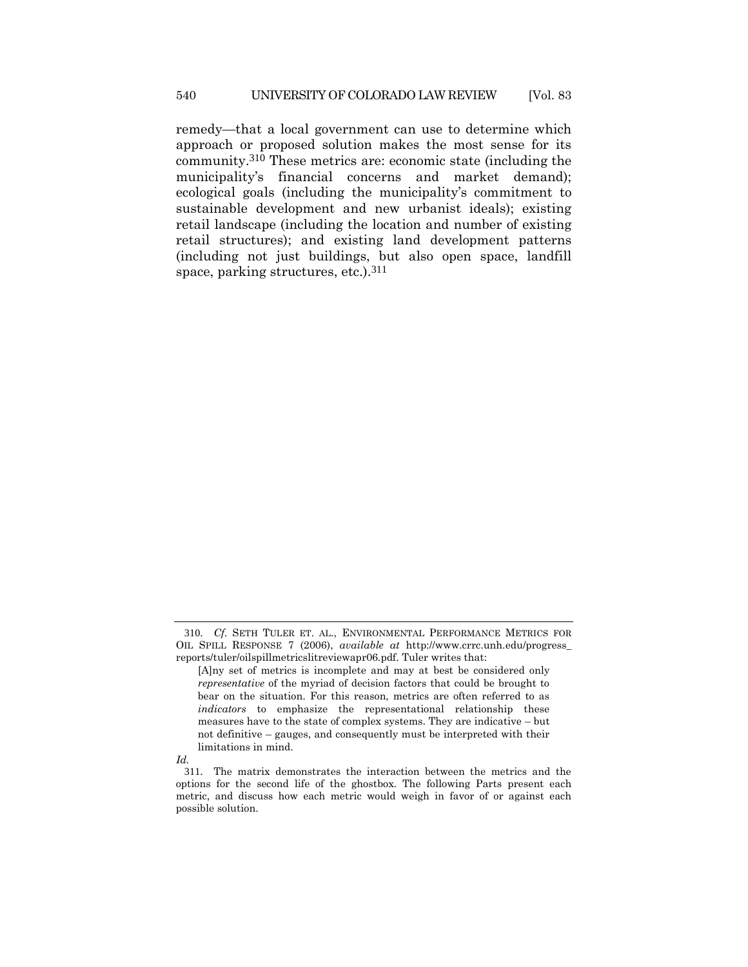remedy—that a local government can use to determine which approach or proposed solution makes the most sense for its community.310 These metrics are: economic state (including the municipality's financial concerns and market demand); ecological goals (including the municipality's commitment to sustainable development and new urbanist ideals); existing retail landscape (including the location and number of existing retail structures); and existing land development patterns (including not just buildings, but also open space, landfill space, parking structures, etc.).311

*Id.*

<sup>310</sup>. *Cf.* SETH TULER ET. AL., ENVIRONMENTAL PERFORMANCE METRICS FOR OIL SPILL RESPONSE 7 (2006), *available at* http://www.crrc.unh.edu/progress\_ reports/tuler/oilspillmetricslitreviewapr06.pdf. Tuler writes that:

<sup>[</sup>A]ny set of metrics is incomplete and may at best be considered only *representative* of the myriad of decision factors that could be brought to bear on the situation. For this reason, metrics are often referred to as *indicators* to emphasize the representational relationship these measures have to the state of complex systems. They are indicative – but not definitive – gauges, and consequently must be interpreted with their limitations in mind.

<sup>311</sup>. The matrix demonstrates the interaction between the metrics and the options for the second life of the ghostbox. The following Parts present each metric, and discuss how each metric would weigh in favor of or against each possible solution.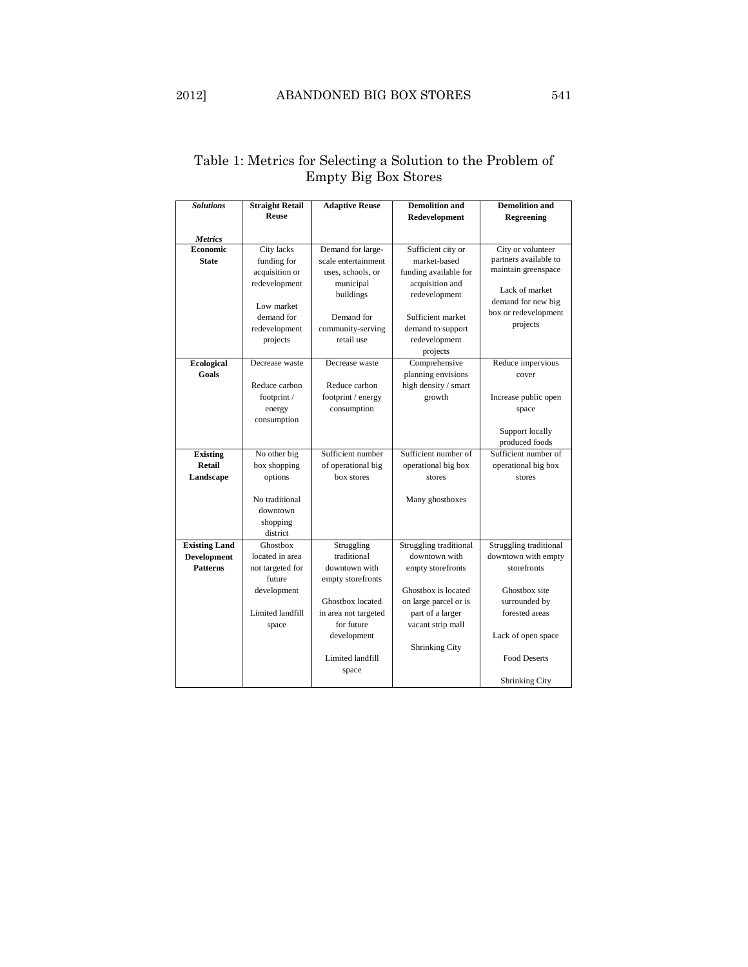# Table 1: Metrics for Selecting a Solution to the Problem of Empty Big Box Stores

| <b>Solutions</b>     | <b>Straight Retail</b> | <b>Adaptive Reuse</b> | <b>Demolition and</b>  | <b>Demolition and</b>  |
|----------------------|------------------------|-----------------------|------------------------|------------------------|
|                      | <b>Reuse</b>           |                       | Redevelopment          | <b>Regreening</b>      |
| <b>Metrics</b>       |                        |                       |                        |                        |
| Economic             | City lacks             | Demand for large-     | Sufficient city or     | City or volunteer      |
| <b>State</b>         | funding for            | scale entertainment   | market-based           | partners available to  |
|                      | acquisition or         | uses, schools, or     | funding available for  | maintain greenspace    |
|                      | redevelopment          | municipal             | acquisition and        |                        |
|                      |                        | buildings             | redevelopment          | Lack of market         |
|                      | Low market             |                       |                        | demand for new big     |
|                      | demand for             | Demand for            | Sufficient market      | box or redevelopment   |
|                      | redevelopment          | community-serving     | demand to support      | projects               |
|                      | projects               | retail use            | redevelopment          |                        |
|                      |                        |                       | projects               |                        |
| <b>Ecological</b>    | Decrease waste         | Decrease waste        | Comprehensive          | Reduce impervious      |
| Goals                |                        |                       | planning envisions     | cover                  |
|                      | Reduce carbon          | Reduce carbon         | high density / smart   |                        |
|                      | footprint /            | footprint / energy    | growth                 | Increase public open   |
|                      | energy                 | consumption           |                        | space                  |
|                      | consumption            |                       |                        |                        |
|                      |                        |                       |                        | Support locally        |
|                      |                        |                       |                        | produced foods         |
| <b>Existing</b>      | No other big           | Sufficient number     | Sufficient number of   | Sufficient number of   |
| <b>Retail</b>        | box shopping           | of operational big    | operational big box    | operational big box    |
| Landscape            | options                | box stores            | stores                 | stores                 |
|                      |                        |                       |                        |                        |
|                      | No traditional         |                       | Many ghostboxes        |                        |
|                      | downtown               |                       |                        |                        |
|                      | shopping<br>district   |                       |                        |                        |
| <b>Existing Land</b> | Ghostbox               | Struggling            | Struggling traditional | Struggling traditional |
| <b>Development</b>   | located in area        | traditional           | downtown with          | downtown with empty    |
| <b>Patterns</b>      | not targeted for       | downtown with         | empty storefronts      | storefronts            |
|                      | future                 | empty storefronts     |                        |                        |
|                      | development            |                       | Ghostbox is located    | Ghostbox site          |
|                      |                        | Ghostbox located      | on large parcel or is  | surrounded by          |
|                      | Limited landfill       | in area not targeted  | part of a larger       | forested areas         |
|                      | space                  | for future            | vacant strip mall      |                        |
|                      |                        | development           |                        | Lack of open space     |
|                      |                        |                       | <b>Shrinking City</b>  |                        |
|                      |                        | Limited landfill      |                        | <b>Food Deserts</b>    |
|                      |                        | space                 |                        |                        |
|                      |                        |                       |                        | <b>Shrinking City</b>  |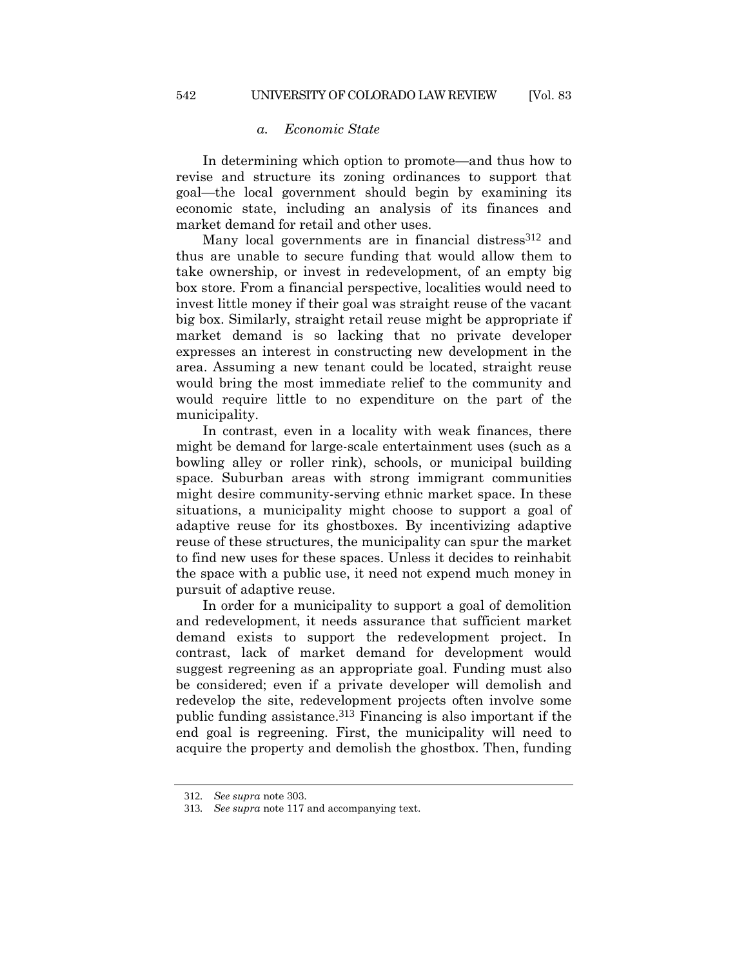In determining which option to promote—and thus how to revise and structure its zoning ordinances to support that goal—the local government should begin by examining its economic state, including an analysis of its finances and market demand for retail and other uses.

Many local governments are in financial distress<sup>312</sup> and thus are unable to secure funding that would allow them to take ownership, or invest in redevelopment, of an empty big box store. From a financial perspective, localities would need to invest little money if their goal was straight reuse of the vacant big box. Similarly, straight retail reuse might be appropriate if market demand is so lacking that no private developer expresses an interest in constructing new development in the area. Assuming a new tenant could be located, straight reuse would bring the most immediate relief to the community and would require little to no expenditure on the part of the municipality.

In contrast, even in a locality with weak finances, there might be demand for large-scale entertainment uses (such as a bowling alley or roller rink), schools, or municipal building space. Suburban areas with strong immigrant communities might desire community-serving ethnic market space. In these situations, a municipality might choose to support a goal of adaptive reuse for its ghostboxes. By incentivizing adaptive reuse of these structures, the municipality can spur the market to find new uses for these spaces. Unless it decides to reinhabit the space with a public use, it need not expend much money in pursuit of adaptive reuse.

In order for a municipality to support a goal of demolition and redevelopment, it needs assurance that sufficient market demand exists to support the redevelopment project. In contrast, lack of market demand for development would suggest regreening as an appropriate goal. Funding must also be considered; even if a private developer will demolish and redevelop the site, redevelopment projects often involve some public funding assistance.313 Financing is also important if the end goal is regreening. First, the municipality will need to acquire the property and demolish the ghostbox. Then, funding

<sup>312</sup>*. See supra* note [303.](#page-67-0)

<sup>313</sup>*. See supra* note [117](#page-25-0) and accompanying text.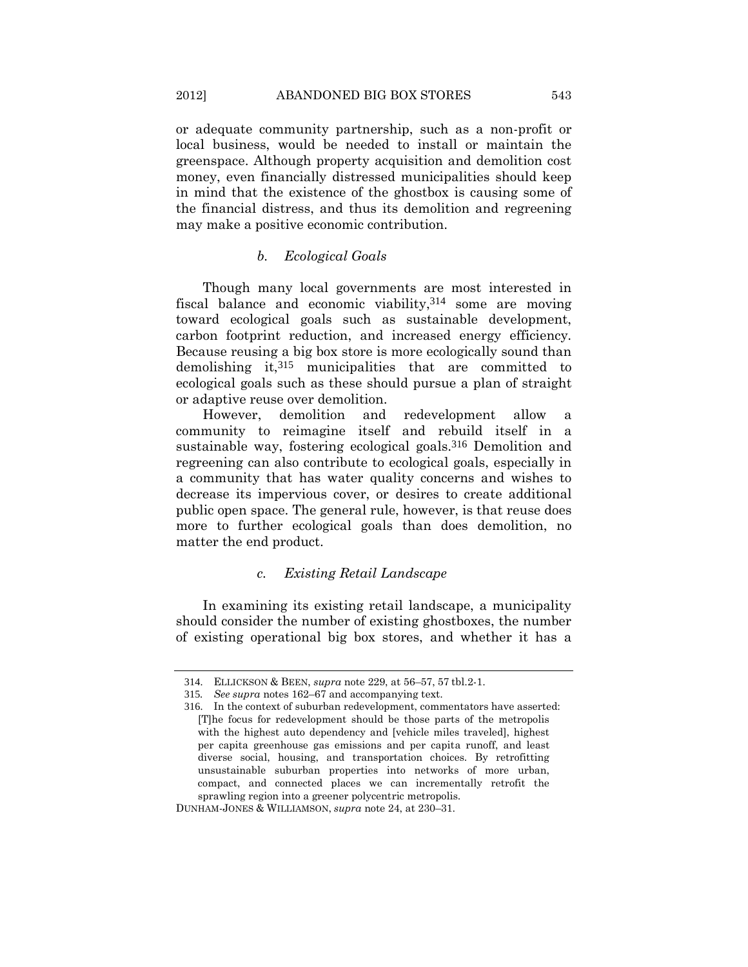or adequate community partnership, such as a non-profit or local business, would be needed to install or maintain the greenspace. Although property acquisition and demolition cost money, even financially distressed municipalities should keep in mind that the existence of the ghostbox is causing some of the financial distress, and thus its demolition and regreening may make a positive economic contribution.

## *b. Ecological Goals*

Though many local governments are most interested in fiscal balance and economic viability,314 some are moving toward ecological goals such as sustainable development, carbon footprint reduction, and increased energy efficiency. Because reusing a big box store is more ecologically sound than demolishing it,315 municipalities that are committed to ecological goals such as these should pursue a plan of straight or adaptive reuse over demolition.

However, demolition and redevelopment allow a community to reimagine itself and rebuild itself in a sustainable way, fostering ecological goals.<sup>316</sup> Demolition and regreening can also contribute to ecological goals, especially in a community that has water quality concerns and wishes to decrease its impervious cover, or desires to create additional public open space. The general rule, however, is that reuse does more to further ecological goals than does demolition, no matter the end product.

## *c. Existing Retail Landscape*

In examining its existing retail landscape, a municipality should consider the number of existing ghostboxes, the number of existing operational big box stores, and whether it has a

<sup>314</sup>. ELLICKSON & BEEN, *supra* note [229,](#page-50-0) at 56–57, 57 tbl.2-1.

<sup>315</sup>*. See supra* note[s 162](#page-34-0)–67 and accompanying text.

<sup>316</sup>. In the context of suburban redevelopment, commentators have asserted: [T]he focus for redevelopment should be those parts of the metropolis with the highest auto dependency and [vehicle miles traveled], highest per capita greenhouse gas emissions and per capita runoff, and least diverse social, housing, and transportation choices. By retrofitting unsustainable suburban properties into networks of more urban, compact, and connected places we can incrementally retrofit the sprawling region into a greener polycentric metropolis.

DUNHAM-JONES & WILLIAMSON, *supra* not[e 24,](#page-8-0) at 230–31.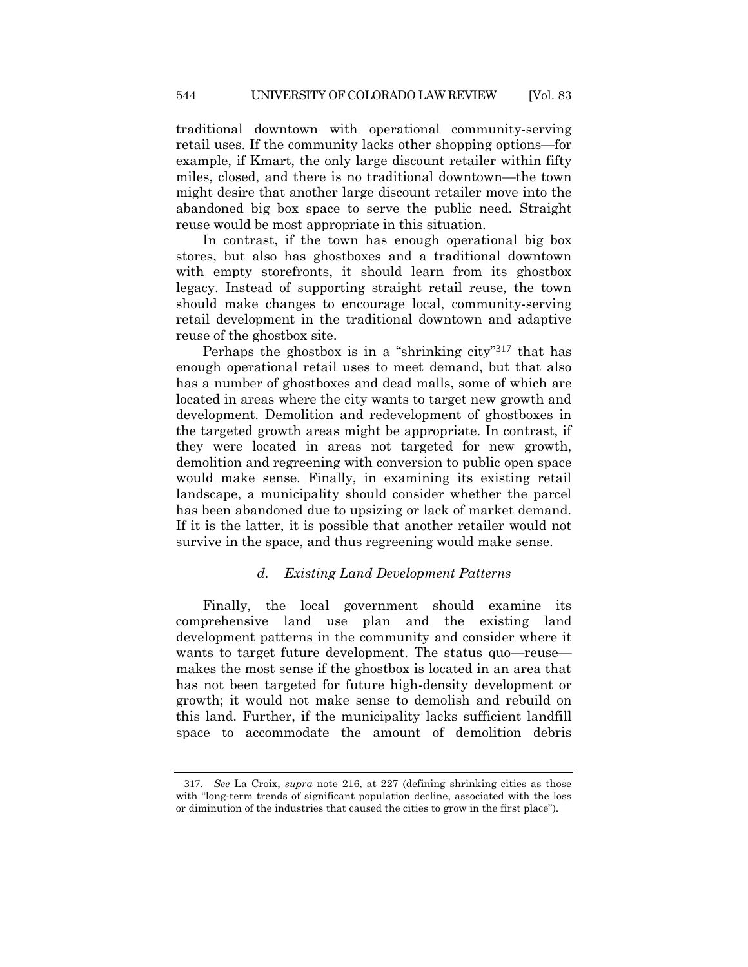traditional downtown with operational community-serving retail uses. If the community lacks other shopping options—for example, if Kmart, the only large discount retailer within fifty miles, closed, and there is no traditional downtown—the town might desire that another large discount retailer move into the abandoned big box space to serve the public need. Straight reuse would be most appropriate in this situation.

In contrast, if the town has enough operational big box stores, but also has ghostboxes and a traditional downtown with empty storefronts, it should learn from its ghostbox legacy. Instead of supporting straight retail reuse, the town should make changes to encourage local, community-serving retail development in the traditional downtown and adaptive reuse of the ghostbox site.

Perhaps the ghostbox is in a "shrinking city"317 that has enough operational retail uses to meet demand, but that also has a number of ghostboxes and dead malls, some of which are located in areas where the city wants to target new growth and development. Demolition and redevelopment of ghostboxes in the targeted growth areas might be appropriate. In contrast, if they were located in areas not targeted for new growth, demolition and regreening with conversion to public open space would make sense. Finally, in examining its existing retail landscape, a municipality should consider whether the parcel has been abandoned due to upsizing or lack of market demand. If it is the latter, it is possible that another retailer would not survive in the space, and thus regreening would make sense.

## *d. Existing Land Development Patterns*

Finally, the local government should examine its comprehensive land use plan and the existing land development patterns in the community and consider where it wants to target future development. The status quo—reuse makes the most sense if the ghostbox is located in an area that has not been targeted for future high-density development or growth; it would not make sense to demolish and rebuild on this land. Further, if the municipality lacks sufficient landfill space to accommodate the amount of demolition debris

<sup>317</sup>*. See* La Croix, *supra* note [216,](#page-47-0) at 227 (defining shrinking cities as those with "long-term trends of significant population decline, associated with the loss or diminution of the industries that caused the cities to grow in the first place").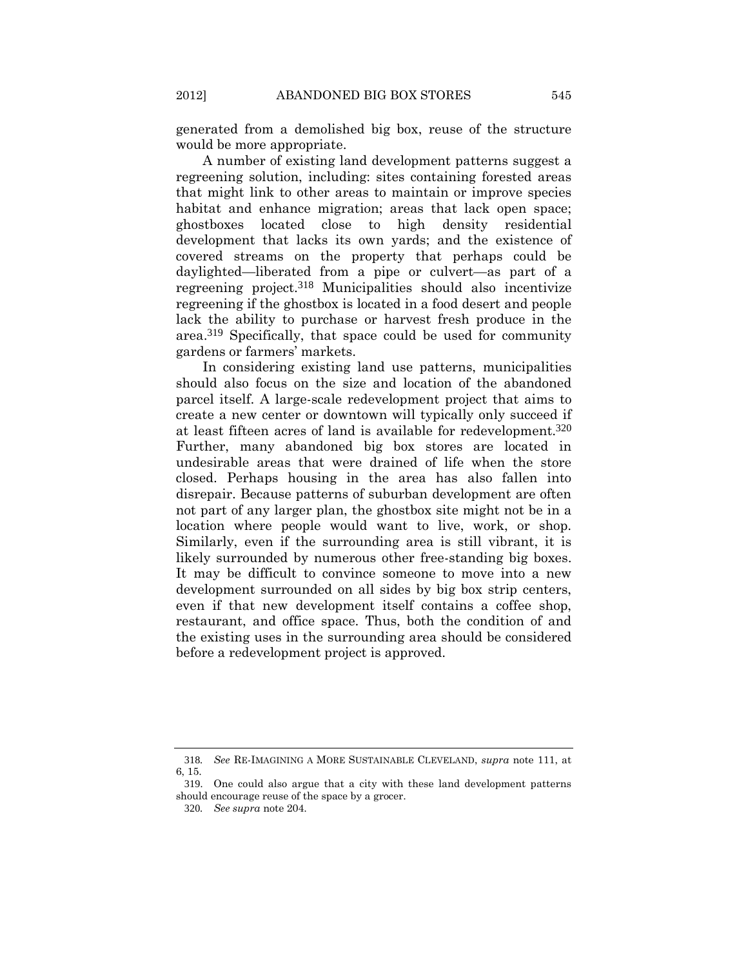generated from a demolished big box, reuse of the structure would be more appropriate.

A number of existing land development patterns suggest a regreening solution, including: sites containing forested areas that might link to other areas to maintain or improve species habitat and enhance migration; areas that lack open space; ghostboxes located close to high density residential development that lacks its own yards; and the existence of covered streams on the property that perhaps could be daylighted—liberated from a pipe or culvert—as part of a regreening project.318 Municipalities should also incentivize regreening if the ghostbox is located in a food desert and people lack the ability to purchase or harvest fresh produce in the area.319 Specifically, that space could be used for community gardens or farmers' markets.

In considering existing land use patterns, municipalities should also focus on the size and location of the abandoned parcel itself. A large-scale redevelopment project that aims to create a new center or downtown will typically only succeed if at least fifteen acres of land is available for redevelopment.320 Further, many abandoned big box stores are located in undesirable areas that were drained of life when the store closed. Perhaps housing in the area has also fallen into disrepair. Because patterns of suburban development are often not part of any larger plan, the ghostbox site might not be in a location where people would want to live, work, or shop. Similarly, even if the surrounding area is still vibrant, it is likely surrounded by numerous other free-standing big boxes. It may be difficult to convince someone to move into a new development surrounded on all sides by big box strip centers, even if that new development itself contains a coffee shop, restaurant, and office space. Thus, both the condition of and the existing uses in the surrounding area should be considered before a redevelopment project is approved.

<sup>318</sup>*. See* RE-IMAGINING A MORE SUSTAINABLE CLEVELAND, *supra* note [111,](#page-24-0) at 6, 15.

<sup>319</sup>. One could also argue that a city with these land development patterns should encourage reuse of the space by a grocer.

<sup>320</sup>*. See supra* note [204.](#page-44-0)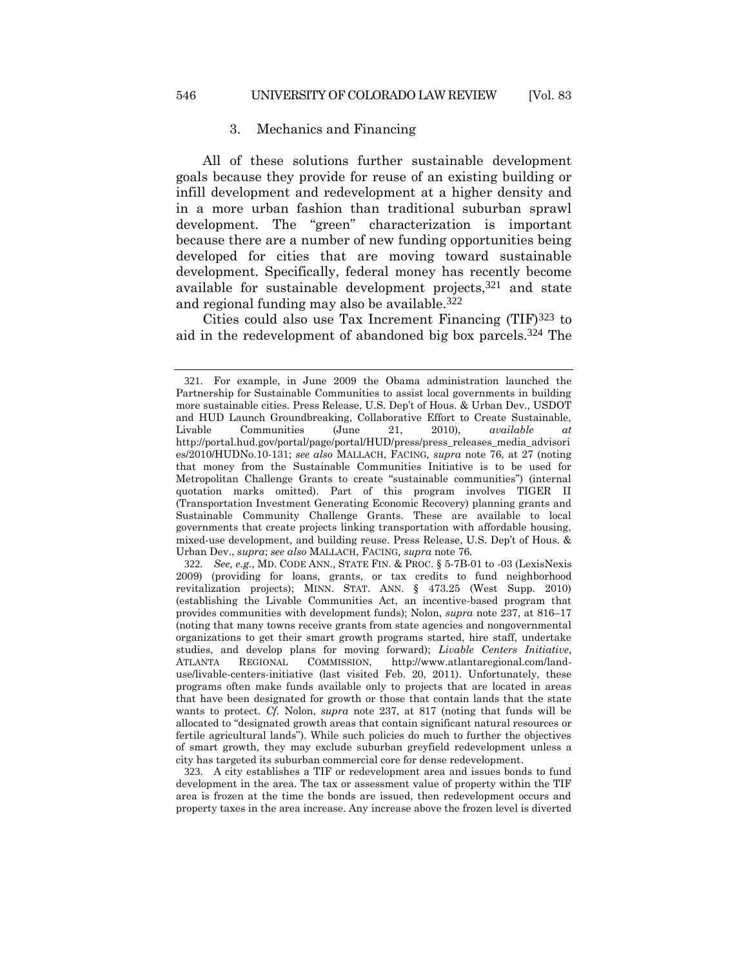## 3. Mechanics and Financing

All of these solutions further sustainable development goals because they provide for reuse of an existing building or infill development and redevelopment at a higher density and in a more urban fashion than traditional suburban sprawl development. The "green" characterization is important because there are a number of new funding opportunities being developed for cities that are moving toward sustainable development. Specifically, federal money has recently become available for sustainable development projects,  $321$  and state and regional funding may also be available.322

Cities could also use Tax Increment Financing (TIF)323 to aid in the redevelopment of abandoned big box parcels.324 The

<sup>321</sup>. For example, in June 2009 the Obama administration launched the Partnership for Sustainable Communities to assist local governments in building more sustainable cities. Press Release, U.S. Dep't of Hous. & Urban Dev., USDOT and HUD Launch Groundbreaking, Collaborative Effort to Create Sustainable, Livable Communities (June 21, 2010), *available at* http://portal.hud.gov/portal/page/portal/HUD/press/press\_releases\_media\_advisori es/2010/HUDNo.10-131; *see also* MALLACH, FACING*, supra* note [76,](#page-18-0) at 27 (noting that money from the Sustainable Communities Initiative is to be used for Metropolitan Challenge Grants to create "sustainable communities") (internal quotation marks omitted). Part of this program involves TIGER II (Transportation Investment Generating Economic Recovery) planning grants and Sustainable Community Challenge Grants. These are available to local governments that create projects linking transportation with affordable housing, mixed-use development, and building reuse. Press Release, U.S. Dep't of Hous. & Urban Dev., *supra*; *see also* MALLACH, FACING*, supra* note [76](#page-18-0)*.*

<sup>322</sup>*. See, e.g.*, MD. CODE ANN., STATE FIN. & PROC. § 5-7B-01 to -03 (LexisNexis 2009) (providing for loans, grants, or tax credits to fund neighborhood revitalization projects); MINN. STAT. ANN. § 473.25 (West Supp. 2010) (establishing the Livable Communities Act, an incentive-based program that provides communities with development funds); Nolon, *supra* not[e 237,](#page-52-0) at 816–17 (noting that many towns receive grants from state agencies and nongovernmental organizations to get their smart growth programs started, hire staff, undertake studies, and develop plans for moving forward); *Livable Centers Initiative*, ATLANTA REGIONAL COMMISSION, http://www.atlantaregional.com/landuse/livable-centers-initiative (last visited Feb. 20, 2011). Unfortunately, these programs often make funds available only to projects that are located in areas that have been designated for growth or those that contain lands that the state wants to protect. *Cf.* Nolon, *supra* note [237,](#page-52-0) at 817 (noting that funds will be allocated to "designated growth areas that contain significant natural resources or fertile agricultural lands"). While such policies do much to further the objectives of smart growth, they may exclude suburban greyfield redevelopment unless a city has targeted its suburban commercial core for dense redevelopment.

<sup>323</sup>. A city establishes a TIF or redevelopment area and issues bonds to fund development in the area. The tax or assessment value of property within the TIF area is frozen at the time the bonds are issued, then redevelopment occurs and property taxes in the area increase. Any increase above the frozen level is diverted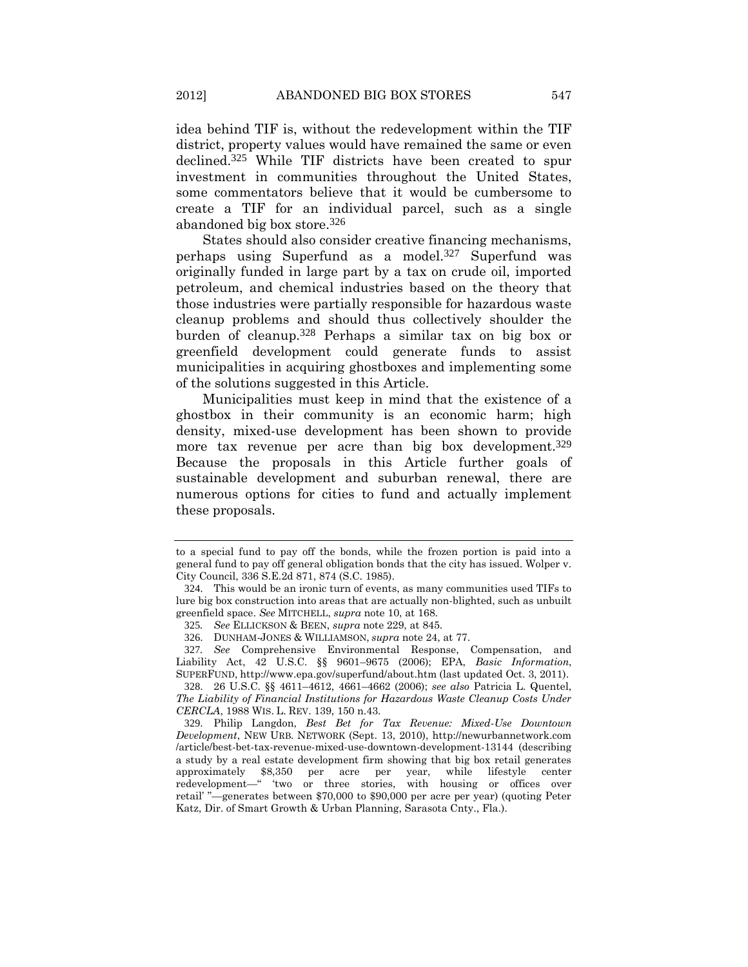idea behind TIF is, without the redevelopment within the TIF district, property values would have remained the same or even declined.325 While TIF districts have been created to spur investment in communities throughout the United States, some commentators believe that it would be cumbersome to create a TIF for an individual parcel, such as a single abandoned big box store.326

States should also consider creative financing mechanisms, perhaps using Superfund as a model.327 Superfund was originally funded in large part by a tax on crude oil, imported petroleum, and chemical industries based on the theory that those industries were partially responsible for hazardous waste cleanup problems and should thus collectively shoulder the burden of cleanup.328 Perhaps a similar tax on big box or greenfield development could generate funds to assist municipalities in acquiring ghostboxes and implementing some of the solutions suggested in this Article.

Municipalities must keep in mind that the existence of a ghostbox in their community is an economic harm; high density, mixed-use development has been shown to provide more tax revenue per acre than big box development.<sup>329</sup> Because the proposals in this Article further goals of sustainable development and suburban renewal, there are numerous options for cities to fund and actually implement these proposals.

326. DUNHAM-JONES & WILLIAMSON, *supra* not[e 24,](#page-8-0) at 77.

327*. See* Comprehensive Environmental Response, Compensation, and Liability Act, 42 U.S.C. §§ 9601–9675 (2006); EPA, *Basic Information*, SUPERFUND, http://www.epa.gov/superfund/about.htm (last updated Oct. 3, 2011).

to a special fund to pay off the bonds, while the frozen portion is paid into a general fund to pay off general obligation bonds that the city has issued. Wolper v. City Council, 336 S.E.2d 871, 874 (S.C. 1985).

<sup>324</sup>. This would be an ironic turn of events, as many communities used TIFs to lure big box construction into areas that are actually non-blighted, such as unbuilt greenfield space. *See* MITCHELL, *supra* not[e 10,](#page-4-0) at 168.

<sup>325</sup>*. See* ELLICKSON & BEEN, *supra* not[e 229,](#page-50-0) at 845.

<sup>328</sup>. 26 U.S.C. §§ 4611–4612, 4661–4662 (2006); *see also* Patricia L. Quentel, *The Liability of Financial Institutions for Hazardous Waste Cleanup Costs Under CERCLA*, 1988 WIS. L. REV. 139, 150 n.43.

<sup>329</sup>. Philip Langdon, *Best Bet for Tax Revenue: Mixed-Use Downtown Development*, NEW URB. NETWORK (Sept. 13, 2010), http://newurbannetwork.com /article/best-bet-tax-revenue-mixed-use-downtown-development-13144 (describing a study by a real estate development firm showing that big box retail generates approximately \$8,350 per acre per year, while lifestyle center redevelopment—" 'two or three stories, with housing or offices over retail' "—generates between \$70,000 to \$90,000 per acre per year) (quoting Peter Katz, Dir. of Smart Growth & Urban Planning, Sarasota Cnty., Fla.).